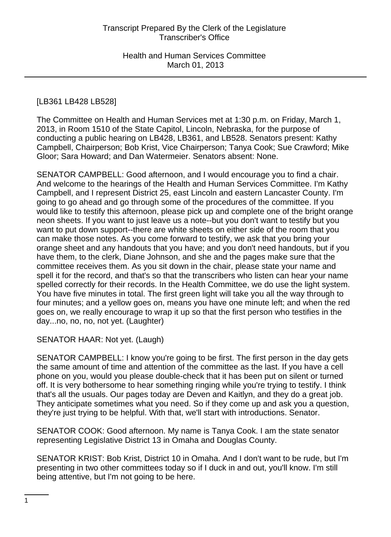# [LB361 LB428 LB528]

The Committee on Health and Human Services met at 1:30 p.m. on Friday, March 1, 2013, in Room 1510 of the State Capitol, Lincoln, Nebraska, for the purpose of conducting a public hearing on LB428, LB361, and LB528. Senators present: Kathy Campbell, Chairperson; Bob Krist, Vice Chairperson; Tanya Cook; Sue Crawford; Mike Gloor; Sara Howard; and Dan Watermeier. Senators absent: None.

SENATOR CAMPBELL: Good afternoon, and I would encourage you to find a chair. And welcome to the hearings of the Health and Human Services Committee. I'm Kathy Campbell, and I represent District 25, east Lincoln and eastern Lancaster County. I'm going to go ahead and go through some of the procedures of the committee. If you would like to testify this afternoon, please pick up and complete one of the bright orange neon sheets. If you want to just leave us a note--but you don't want to testify but you want to put down support--there are white sheets on either side of the room that you can make those notes. As you come forward to testify, we ask that you bring your orange sheet and any handouts that you have; and you don't need handouts, but if you have them, to the clerk, Diane Johnson, and she and the pages make sure that the committee receives them. As you sit down in the chair, please state your name and spell it for the record, and that's so that the transcribers who listen can hear your name spelled correctly for their records. In the Health Committee, we do use the light system. You have five minutes in total. The first green light will take you all the way through to four minutes; and a yellow goes on, means you have one minute left; and when the red goes on, we really encourage to wrap it up so that the first person who testifies in the day...no, no, no, not yet. (Laughter)

SENATOR HAAR: Not yet. (Laugh)

SENATOR CAMPBELL: I know you're going to be first. The first person in the day gets the same amount of time and attention of the committee as the last. If you have a cell phone on you, would you please double-check that it has been put on silent or turned off. It is very bothersome to hear something ringing while you're trying to testify. I think that's all the usuals. Our pages today are Deven and Kaitlyn, and they do a great job. They anticipate sometimes what you need. So if they come up and ask you a question, they're just trying to be helpful. With that, we'll start with introductions. Senator.

SENATOR COOK: Good afternoon. My name is Tanya Cook. I am the state senator representing Legislative District 13 in Omaha and Douglas County.

SENATOR KRIST: Bob Krist, District 10 in Omaha. And I don't want to be rude, but I'm presenting in two other committees today so if I duck in and out, you'll know. I'm still being attentive, but I'm not going to be here.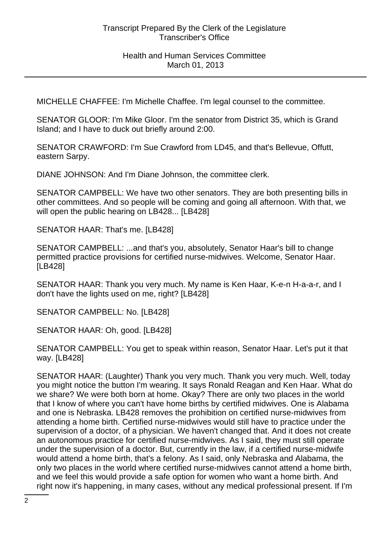MICHELLE CHAFFEE: I'm Michelle Chaffee. I'm legal counsel to the committee.

SENATOR GLOOR: I'm Mike Gloor. I'm the senator from District 35, which is Grand Island; and I have to duck out briefly around 2:00.

SENATOR CRAWFORD: I'm Sue Crawford from LD45, and that's Bellevue, Offutt, eastern Sarpy.

DIANE JOHNSON: And I'm Diane Johnson, the committee clerk.

SENATOR CAMPBELL: We have two other senators. They are both presenting bills in other committees. And so people will be coming and going all afternoon. With that, we will open the public hearing on LB428... [LB428]

SENATOR HAAR: That's me. [LB428]

SENATOR CAMPBELL: ...and that's you, absolutely, Senator Haar's bill to change permitted practice provisions for certified nurse-midwives. Welcome, Senator Haar. [LB428]

SENATOR HAAR: Thank you very much. My name is Ken Haar, K-e-n H-a-a-r, and I don't have the lights used on me, right? [LB428]

SENATOR CAMPBELL: No. [LB428]

SENATOR HAAR: Oh, good. [LB428]

SENATOR CAMPBELL: You get to speak within reason, Senator Haar. Let's put it that way. [LB428]

SENATOR HAAR: (Laughter) Thank you very much. Thank you very much. Well, today you might notice the button I'm wearing. It says Ronald Reagan and Ken Haar. What do we share? We were both born at home. Okay? There are only two places in the world that I know of where you can't have home births by certified midwives. One is Alabama and one is Nebraska. LB428 removes the prohibition on certified nurse-midwives from attending a home birth. Certified nurse-midwives would still have to practice under the supervision of a doctor, of a physician. We haven't changed that. And it does not create an autonomous practice for certified nurse-midwives. As I said, they must still operate under the supervision of a doctor. But, currently in the law, if a certified nurse-midwife would attend a home birth, that's a felony. As I said, only Nebraska and Alabama, the only two places in the world where certified nurse-midwives cannot attend a home birth, and we feel this would provide a safe option for women who want a home birth. And right now it's happening, in many cases, without any medical professional present. If I'm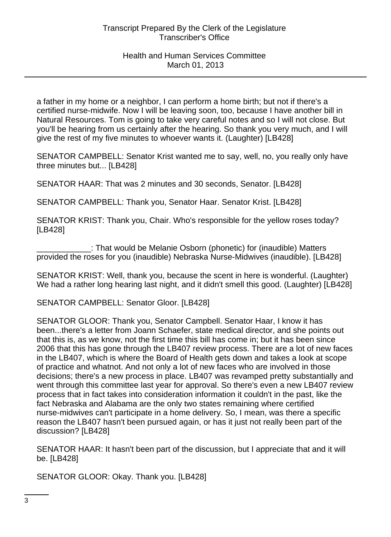a father in my home or a neighbor, I can perform a home birth; but not if there's a certified nurse-midwife. Now I will be leaving soon, too, because I have another bill in Natural Resources. Tom is going to take very careful notes and so I will not close. But you'll be hearing from us certainly after the hearing. So thank you very much, and I will give the rest of my five minutes to whoever wants it. (Laughter) [LB428]

SENATOR CAMPBELL: Senator Krist wanted me to say, well, no, you really only have three minutes but... [LB428]

SENATOR HAAR: That was 2 minutes and 30 seconds, Senator. [LB428]

SENATOR CAMPBELL: Thank you, Senator Haar. Senator Krist. [LB428]

SENATOR KRIST: Thank you, Chair. Who's responsible for the yellow roses today? [LB428]

\_\_\_\_\_\_\_\_\_\_\_\_: That would be Melanie Osborn (phonetic) for (inaudible) Matters provided the roses for you (inaudible) Nebraska Nurse-Midwives (inaudible). [LB428]

SENATOR KRIST: Well, thank you, because the scent in here is wonderful. (Laughter) We had a rather long hearing last night, and it didn't smell this good. (Laughter) [LB428]

SENATOR CAMPBELL: Senator Gloor. [LB428]

SENATOR GLOOR: Thank you, Senator Campbell. Senator Haar, I know it has been...there's a letter from Joann Schaefer, state medical director, and she points out that this is, as we know, not the first time this bill has come in; but it has been since 2006 that this has gone through the LB407 review process. There are a lot of new faces in the LB407, which is where the Board of Health gets down and takes a look at scope of practice and whatnot. And not only a lot of new faces who are involved in those decisions; there's a new process in place. LB407 was revamped pretty substantially and went through this committee last year for approval. So there's even a new LB407 review process that in fact takes into consideration information it couldn't in the past, like the fact Nebraska and Alabama are the only two states remaining where certified nurse-midwives can't participate in a home delivery. So, I mean, was there a specific reason the LB407 hasn't been pursued again, or has it just not really been part of the discussion? [LB428]

SENATOR HAAR: It hasn't been part of the discussion, but I appreciate that and it will be. [LB428]

SENATOR GLOOR: Okay. Thank you. [LB428]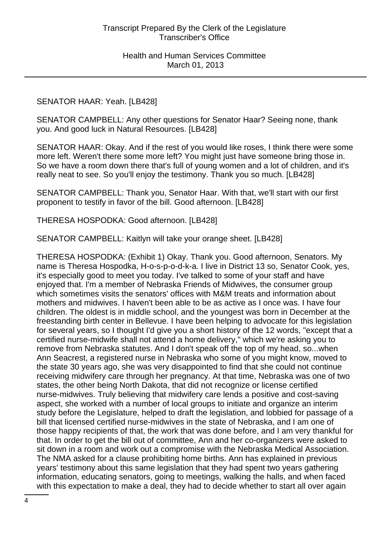### SENATOR HAAR: Yeah. [LB428]

SENATOR CAMPBELL: Any other questions for Senator Haar? Seeing none, thank you. And good luck in Natural Resources. [LB428]

SENATOR HAAR: Okay. And if the rest of you would like roses, I think there were some more left. Weren't there some more left? You might just have someone bring those in. So we have a room down there that's full of young women and a lot of children, and it's really neat to see. So you'll enjoy the testimony. Thank you so much. [LB428]

SENATOR CAMPBELL: Thank you, Senator Haar. With that, we'll start with our first proponent to testify in favor of the bill. Good afternoon. [LB428]

THERESA HOSPODKA: Good afternoon. [LB428]

SENATOR CAMPBELL: Kaitlyn will take your orange sheet. [LB428]

THERESA HOSPODKA: (Exhibit 1) Okay. Thank you. Good afternoon, Senators. My name is Theresa Hospodka, H-o-s-p-o-d-k-a. I live in District 13 so, Senator Cook, yes, it's especially good to meet you today. I've talked to some of your staff and have enjoyed that. I'm a member of Nebraska Friends of Midwives, the consumer group which sometimes visits the senators' offices with M&M treats and information about mothers and midwives. I haven't been able to be as active as I once was. I have four children. The oldest is in middle school, and the youngest was born in December at the freestanding birth center in Bellevue. I have been helping to advocate for this legislation for several years, so I thought I'd give you a short history of the 12 words, "except that a certified nurse-midwife shall not attend a home delivery," which we're asking you to remove from Nebraska statutes. And I don't speak off the top of my head, so...when Ann Seacrest, a registered nurse in Nebraska who some of you might know, moved to the state 30 years ago, she was very disappointed to find that she could not continue receiving midwifery care through her pregnancy. At that time, Nebraska was one of two states, the other being North Dakota, that did not recognize or license certified nurse-midwives. Truly believing that midwifery care lends a positive and cost-saving aspect, she worked with a number of local groups to initiate and organize an interim study before the Legislature, helped to draft the legislation, and lobbied for passage of a bill that licensed certified nurse-midwives in the state of Nebraska, and I am one of those happy recipients of that, the work that was done before, and I am very thankful for that. In order to get the bill out of committee, Ann and her co-organizers were asked to sit down in a room and work out a compromise with the Nebraska Medical Association. The NMA asked for a clause prohibiting home births. Ann has explained in previous years' testimony about this same legislation that they had spent two years gathering information, educating senators, going to meetings, walking the halls, and when faced with this expectation to make a deal, they had to decide whether to start all over again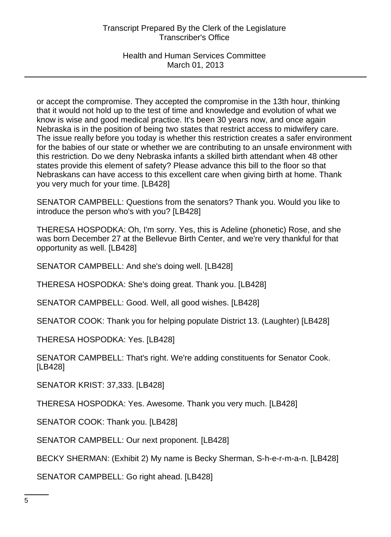Health and Human Services Committee March 01, 2013

or accept the compromise. They accepted the compromise in the 13th hour, thinking that it would not hold up to the test of time and knowledge and evolution of what we know is wise and good medical practice. It's been 30 years now, and once again Nebraska is in the position of being two states that restrict access to midwifery care. The issue really before you today is whether this restriction creates a safer environment for the babies of our state or whether we are contributing to an unsafe environment with this restriction. Do we deny Nebraska infants a skilled birth attendant when 48 other states provide this element of safety? Please advance this bill to the floor so that Nebraskans can have access to this excellent care when giving birth at home. Thank you very much for your time. [LB428]

SENATOR CAMPBELL: Questions from the senators? Thank you. Would you like to introduce the person who's with you? [LB428]

THERESA HOSPODKA: Oh, I'm sorry. Yes, this is Adeline (phonetic) Rose, and she was born December 27 at the Bellevue Birth Center, and we're very thankful for that opportunity as well. [LB428]

SENATOR CAMPBELL: And she's doing well. [LB428]

THERESA HOSPODKA: She's doing great. Thank you. [LB428]

SENATOR CAMPBELL: Good. Well, all good wishes. [LB428]

SENATOR COOK: Thank you for helping populate District 13. (Laughter) [LB428]

THERESA HOSPODKA: Yes. [LB428]

SENATOR CAMPBELL: That's right. We're adding constituents for Senator Cook. [LB428]

SENATOR KRIST: 37,333. [LB428]

THERESA HOSPODKA: Yes. Awesome. Thank you very much. [LB428]

SENATOR COOK: Thank you. [LB428]

SENATOR CAMPBELL: Our next proponent. [LB428]

BECKY SHERMAN: (Exhibit 2) My name is Becky Sherman, S-h-e-r-m-a-n. [LB428]

SENATOR CAMPBELL: Go right ahead. [LB428]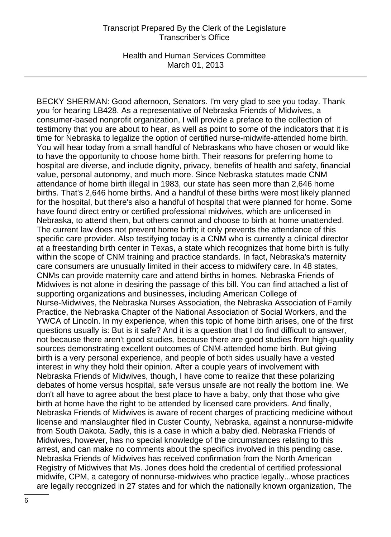Health and Human Services Committee March 01, 2013

BECKY SHERMAN: Good afternoon, Senators. I'm very glad to see you today. Thank you for hearing LB428. As a representative of Nebraska Friends of Midwives, a consumer-based nonprofit organization, I will provide a preface to the collection of testimony that you are about to hear, as well as point to some of the indicators that it is time for Nebraska to legalize the option of certified nurse-midwife-attended home birth. You will hear today from a small handful of Nebraskans who have chosen or would like to have the opportunity to choose home birth. Their reasons for preferring home to hospital are diverse, and include dignity, privacy, benefits of health and safety, financial value, personal autonomy, and much more. Since Nebraska statutes made CNM attendance of home birth illegal in 1983, our state has seen more than 2,646 home births. That's 2,646 home births. And a handful of these births were most likely planned for the hospital, but there's also a handful of hospital that were planned for home. Some have found direct entry or certified professional midwives, which are unlicensed in Nebraska, to attend them, but others cannot and choose to birth at home unattended. The current law does not prevent home birth; it only prevents the attendance of this specific care provider. Also testifying today is a CNM who is currently a clinical director at a freestanding birth center in Texas, a state which recognizes that home birth is fully within the scope of CNM training and practice standards. In fact, Nebraska's maternity care consumers are unusually limited in their access to midwifery care. In 48 states, CNMs can provide maternity care and attend births in homes. Nebraska Friends of Midwives is not alone in desiring the passage of this bill. You can find attached a list of supporting organizations and businesses, including American College of Nurse-Midwives, the Nebraska Nurses Association, the Nebraska Association of Family Practice, the Nebraska Chapter of the National Association of Social Workers, and the YWCA of Lincoln. In my experience, when this topic of home birth arises, one of the first questions usually is: But is it safe? And it is a question that I do find difficult to answer, not because there aren't good studies, because there are good studies from high-quality sources demonstrating excellent outcomes of CNM-attended home birth. But giving birth is a very personal experience, and people of both sides usually have a vested interest in why they hold their opinion. After a couple years of involvement with Nebraska Friends of Midwives, though, I have come to realize that these polarizing debates of home versus hospital, safe versus unsafe are not really the bottom line. We don't all have to agree about the best place to have a baby, only that those who give birth at home have the right to be attended by licensed care providers. And finally, Nebraska Friends of Midwives is aware of recent charges of practicing medicine without license and manslaughter filed in Custer County, Nebraska, against a nonnurse-midwife from South Dakota. Sadly, this is a case in which a baby died. Nebraska Friends of Midwives, however, has no special knowledge of the circumstances relating to this arrest, and can make no comments about the specifics involved in this pending case. Nebraska Friends of Midwives has received confirmation from the North American Registry of Midwives that Ms. Jones does hold the credential of certified professional midwife, CPM, a category of nonnurse-midwives who practice legally...whose practices are legally recognized in 27 states and for which the nationally known organization, The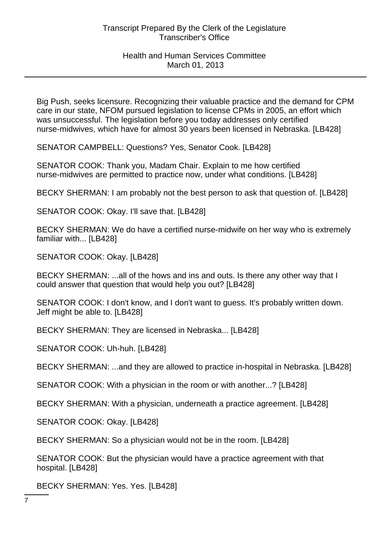Big Push, seeks licensure. Recognizing their valuable practice and the demand for CPM care in our state, NFOM pursued legislation to license CPMs in 2005, an effort which was unsuccessful. The legislation before you today addresses only certified nurse-midwives, which have for almost 30 years been licensed in Nebraska. [LB428]

SENATOR CAMPBELL: Questions? Yes, Senator Cook. [LB428]

SENATOR COOK: Thank you, Madam Chair. Explain to me how certified nurse-midwives are permitted to practice now, under what conditions. [LB428]

BECKY SHERMAN: I am probably not the best person to ask that question of. [LB428]

SENATOR COOK: Okay. I'll save that. [LB428]

BECKY SHERMAN: We do have a certified nurse-midwife on her way who is extremely familiar with... [LB428]

SENATOR COOK: Okay. [LB428]

BECKY SHERMAN: ...all of the hows and ins and outs. Is there any other way that I could answer that question that would help you out? [LB428]

SENATOR COOK: I don't know, and I don't want to guess. It's probably written down. Jeff might be able to. [LB428]

BECKY SHERMAN: They are licensed in Nebraska... [LB428]

SENATOR COOK: Uh-huh. [LB428]

BECKY SHERMAN: ...and they are allowed to practice in-hospital in Nebraska. [LB428]

SENATOR COOK: With a physician in the room or with another...? [LB428]

BECKY SHERMAN: With a physician, underneath a practice agreement. [LB428]

SENATOR COOK: Okay. [LB428]

BECKY SHERMAN: So a physician would not be in the room. [LB428]

SENATOR COOK: But the physician would have a practice agreement with that hospital. [LB428]

BECKY SHERMAN: Yes. Yes. [LB428]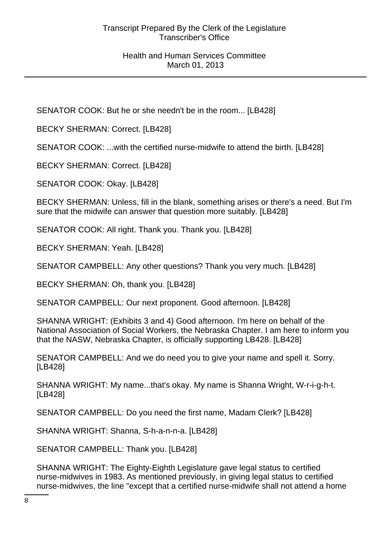SENATOR COOK: But he or she needn't be in the room... [LB428]

BECKY SHERMAN: Correct. [LB428]

SENATOR COOK: ...with the certified nurse-midwife to attend the birth. [LB428]

BECKY SHERMAN: Correct. [LB428]

SENATOR COOK: Okay. [LB428]

BECKY SHERMAN: Unless, fill in the blank, something arises or there's a need. But I'm sure that the midwife can answer that question more suitably. [LB428]

SENATOR COOK: All right. Thank you. Thank you. [LB428]

BECKY SHERMAN: Yeah. [LB428]

SENATOR CAMPBELL: Any other questions? Thank you very much. [LB428]

BECKY SHERMAN: Oh, thank you. [LB428]

SENATOR CAMPBELL: Our next proponent. Good afternoon. [LB428]

SHANNA WRIGHT: (Exhibits 3 and 4) Good afternoon. I'm here on behalf of the National Association of Social Workers, the Nebraska Chapter. I am here to inform you that the NASW, Nebraska Chapter, is officially supporting LB428. [LB428]

SENATOR CAMPBELL: And we do need you to give your name and spell it. Sorry. [LB428]

SHANNA WRIGHT: My name...that's okay. My name is Shanna Wright, W-r-i-g-h-t. [LB428]

SENATOR CAMPBELL: Do you need the first name, Madam Clerk? [LB428]

SHANNA WRIGHT: Shanna, S-h-a-n-n-a. [LB428]

SENATOR CAMPBELL: Thank you. [LB428]

SHANNA WRIGHT: The Eighty-Eighth Legislature gave legal status to certified nurse-midwives in 1983. As mentioned previously, in giving legal status to certified nurse-midwives, the line "except that a certified nurse-midwife shall not attend a home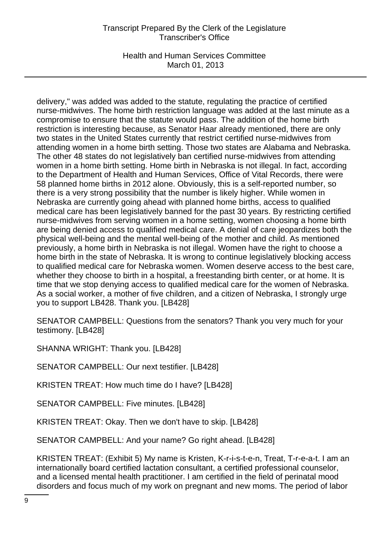Health and Human Services Committee March 01, 2013

delivery," was added was added to the statute, regulating the practice of certified nurse-midwives. The home birth restriction language was added at the last minute as a compromise to ensure that the statute would pass. The addition of the home birth restriction is interesting because, as Senator Haar already mentioned, there are only two states in the United States currently that restrict certified nurse-midwives from attending women in a home birth setting. Those two states are Alabama and Nebraska. The other 48 states do not legislatively ban certified nurse-midwives from attending women in a home birth setting. Home birth in Nebraska is not illegal. In fact, according to the Department of Health and Human Services, Office of Vital Records, there were 58 planned home births in 2012 alone. Obviously, this is a self-reported number, so there is a very strong possibility that the number is likely higher. While women in Nebraska are currently going ahead with planned home births, access to qualified medical care has been legislatively banned for the past 30 years. By restricting certified nurse-midwives from serving women in a home setting, women choosing a home birth are being denied access to qualified medical care. A denial of care jeopardizes both the physical well-being and the mental well-being of the mother and child. As mentioned previously, a home birth in Nebraska is not illegal. Women have the right to choose a home birth in the state of Nebraska. It is wrong to continue legislatively blocking access to qualified medical care for Nebraska women. Women deserve access to the best care, whether they choose to birth in a hospital, a freestanding birth center, or at home. It is time that we stop denying access to qualified medical care for the women of Nebraska. As a social worker, a mother of five children, and a citizen of Nebraska, I strongly urge you to support LB428. Thank you. [LB428]

SENATOR CAMPBELL: Questions from the senators? Thank you very much for your testimony. [LB428]

SHANNA WRIGHT: Thank you. [LB428]

SENATOR CAMPBELL: Our next testifier. [LB428]

KRISTEN TREAT: How much time do I have? [LB428]

SENATOR CAMPBELL: Five minutes. [LB428]

KRISTEN TREAT: Okay. Then we don't have to skip. [LB428]

SENATOR CAMPBELL: And your name? Go right ahead. [LB428]

KRISTEN TREAT: (Exhibit 5) My name is Kristen, K-r-i-s-t-e-n, Treat, T-r-e-a-t. I am an internationally board certified lactation consultant, a certified professional counselor, and a licensed mental health practitioner. I am certified in the field of perinatal mood disorders and focus much of my work on pregnant and new moms. The period of labor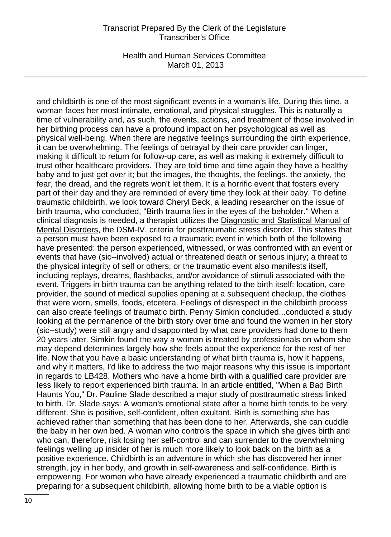Health and Human Services Committee March 01, 2013

and childbirth is one of the most significant events in a woman's life. During this time, a woman faces her most intimate, emotional, and physical struggles. This is naturally a time of vulnerability and, as such, the events, actions, and treatment of those involved in her birthing process can have a profound impact on her psychological as well as physical well-being. When there are negative feelings surrounding the birth experience, it can be overwhelming. The feelings of betrayal by their care provider can linger, making it difficult to return for follow-up care, as well as making it extremely difficult to trust other healthcare providers. They are told time and time again they have a healthy baby and to just get over it; but the images, the thoughts, the feelings, the anxiety, the fear, the dread, and the regrets won't let them. It is a horrific event that fosters every part of their day and they are reminded of every time they look at their baby. To define traumatic childbirth, we look toward Cheryl Beck, a leading researcher on the issue of birth trauma, who concluded, "Birth trauma lies in the eyes of the beholder." When a clinical diagnosis is needed, a therapist utilizes the Diagnostic and Statistical Manual of Mental Disorders, the DSM-IV, criteria for posttraumatic stress disorder. This states that a person must have been exposed to a traumatic event in which both of the following have presented: the person experienced, witnessed, or was confronted with an event or events that have (sic--involved) actual or threatened death or serious injury; a threat to the physical integrity of self or others; or the traumatic event also manifests itself, including replays, dreams, flashbacks, and/or avoidance of stimuli associated with the event. Triggers in birth trauma can be anything related to the birth itself: location, care provider, the sound of medical supplies opening at a subsequent checkup, the clothes that were worn, smells, foods, etcetera. Feelings of disrespect in the childbirth process can also create feelings of traumatic birth. Penny Simkin concluded...conducted a study looking at the permanence of the birth story over time and found the women in her story (sic--study) were still angry and disappointed by what care providers had done to them 20 years later. Simkin found the way a woman is treated by professionals on whom she may depend determines largely how she feels about the experience for the rest of her life. Now that you have a basic understanding of what birth trauma is, how it happens, and why it matters, I'd like to address the two major reasons why this issue is important in regards to LB428. Mothers who have a home birth with a qualified care provider are less likely to report experienced birth trauma. In an article entitled, "When a Bad Birth Haunts You," Dr. Pauline Slade described a major study of posttraumatic stress linked to birth. Dr. Slade says: A woman's emotional state after a home birth tends to be very different. She is positive, self-confident, often exultant. Birth is something she has achieved rather than something that has been done to her. Afterwards, she can cuddle the baby in her own bed. A woman who controls the space in which she gives birth and who can, therefore, risk losing her self-control and can surrender to the overwhelming feelings welling up insider of her is much more likely to look back on the birth as a positive experience. Childbirth is an adventure in which she has discovered her inner strength, joy in her body, and growth in self-awareness and self-confidence. Birth is empowering. For women who have already experienced a traumatic childbirth and are preparing for a subsequent childbirth, allowing home birth to be a viable option is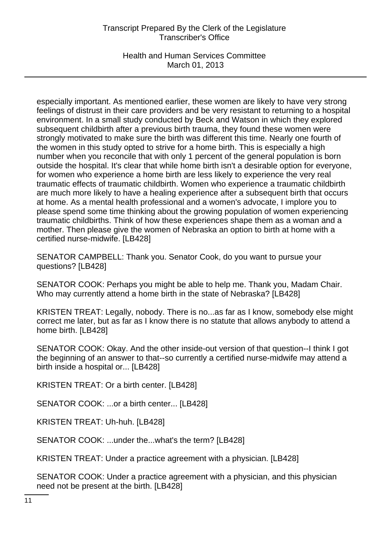Health and Human Services Committee March 01, 2013

especially important. As mentioned earlier, these women are likely to have very strong feelings of distrust in their care providers and be very resistant to returning to a hospital environment. In a small study conducted by Beck and Watson in which they explored subsequent childbirth after a previous birth trauma, they found these women were strongly motivated to make sure the birth was different this time. Nearly one fourth of the women in this study opted to strive for a home birth. This is especially a high number when you reconcile that with only 1 percent of the general population is born outside the hospital. It's clear that while home birth isn't a desirable option for everyone, for women who experience a home birth are less likely to experience the very real traumatic effects of traumatic childbirth. Women who experience a traumatic childbirth are much more likely to have a healing experience after a subsequent birth that occurs at home. As a mental health professional and a women's advocate, I implore you to please spend some time thinking about the growing population of women experiencing traumatic childbirths. Think of how these experiences shape them as a woman and a mother. Then please give the women of Nebraska an option to birth at home with a certified nurse-midwife. [LB428]

SENATOR CAMPBELL: Thank you. Senator Cook, do you want to pursue your questions? [LB428]

SENATOR COOK: Perhaps you might be able to help me. Thank you, Madam Chair. Who may currently attend a home birth in the state of Nebraska? [LB428]

KRISTEN TREAT: Legally, nobody. There is no...as far as I know, somebody else might correct me later, but as far as I know there is no statute that allows anybody to attend a home birth. [LB428]

SENATOR COOK: Okay. And the other inside-out version of that question--I think I got the beginning of an answer to that--so currently a certified nurse-midwife may attend a birth inside a hospital or... [LB428]

KRISTEN TREAT: Or a birth center. [LB428]

SENATOR COOK: ...or a birth center... [LB428]

KRISTEN TREAT: Uh-huh. [LB428]

SENATOR COOK: ...under the...what's the term? [LB428]

KRISTEN TREAT: Under a practice agreement with a physician. [LB428]

SENATOR COOK: Under a practice agreement with a physician, and this physician need not be present at the birth. [LB428]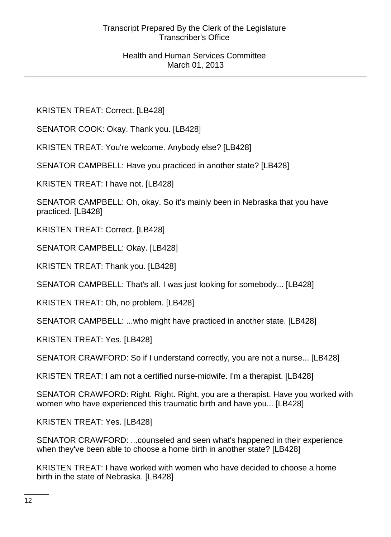KRISTEN TREAT: Correct. [LB428]

SENATOR COOK: Okay. Thank you. [LB428]

KRISTEN TREAT: You're welcome. Anybody else? [LB428]

SENATOR CAMPBELL: Have you practiced in another state? [LB428]

KRISTEN TREAT: I have not. [LB428]

SENATOR CAMPBELL: Oh, okay. So it's mainly been in Nebraska that you have practiced. [LB428]

KRISTEN TREAT: Correct. [LB428]

SENATOR CAMPBELL: Okay. [LB428]

KRISTEN TREAT: Thank you. [LB428]

SENATOR CAMPBELL: That's all. I was just looking for somebody... [LB428]

KRISTEN TREAT: Oh, no problem. [LB428]

SENATOR CAMPBELL: ...who might have practiced in another state. [LB428]

KRISTEN TREAT: Yes. [LB428]

SENATOR CRAWFORD: So if I understand correctly, you are not a nurse... [LB428]

KRISTEN TREAT: I am not a certified nurse-midwife. I'm a therapist. [LB428]

SENATOR CRAWFORD: Right. Right. Right, you are a therapist. Have you worked with women who have experienced this traumatic birth and have you... [LB428]

KRISTEN TREAT: Yes. [LB428]

SENATOR CRAWFORD: ...counseled and seen what's happened in their experience when they've been able to choose a home birth in another state? [LB428]

KRISTEN TREAT: I have worked with women who have decided to choose a home birth in the state of Nebraska. [LB428]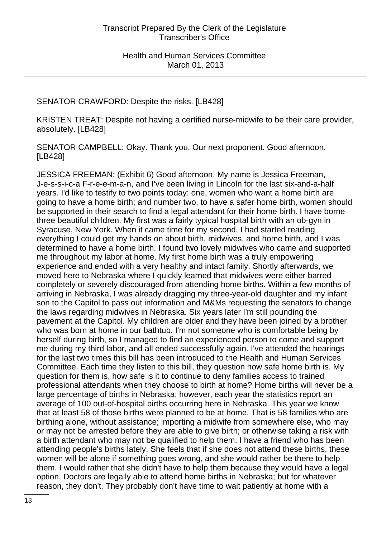### SENATOR CRAWFORD: Despite the risks. [LB428]

KRISTEN TREAT: Despite not having a certified nurse-midwife to be their care provider, absolutely. [LB428]

SENATOR CAMPBELL: Okay. Thank you. Our next proponent. Good afternoon. [LB428]

JESSICA FREEMAN: (Exhibit 6) Good afternoon. My name is Jessica Freeman, J-e-s-s-i-c-a F-r-e-e-m-a-n, and I've been living in Lincoln for the last six-and-a-half years. I'd like to testify to two points today: one, women who want a home birth are going to have a home birth; and number two, to have a safer home birth, women should be supported in their search to find a legal attendant for their home birth. I have borne three beautiful children. My first was a fairly typical hospital birth with an ob-gyn in Syracuse, New York. When it came time for my second, I had started reading everything I could get my hands on about birth, midwives, and home birth, and I was determined to have a home birth. I found two lovely midwives who came and supported me throughout my labor at home. My first home birth was a truly empowering experience and ended with a very healthy and intact family. Shortly afterwards, we moved here to Nebraska where I quickly learned that midwives were either barred completely or severely discouraged from attending home births. Within a few months of arriving in Nebraska, I was already dragging my three-year-old daughter and my infant son to the Capitol to pass out information and M&Ms requesting the senators to change the laws regarding midwives in Nebraska. Six years later I'm still pounding the pavement at the Capitol. My children are older and they have been joined by a brother who was born at home in our bathtub. I'm not someone who is comfortable being by herself during birth, so I managed to find an experienced person to come and support me during my third labor, and all ended successfully again. I've attended the hearings for the last two times this bill has been introduced to the Health and Human Services Committee. Each time they listen to this bill, they question how safe home birth is. My question for them is, how safe is it to continue to deny families access to trained professional attendants when they choose to birth at home? Home births will never be a large percentage of births in Nebraska; however, each year the statistics report an average of 100 out-of-hospital births occurring here in Nebraska. This year we know that at least 58 of those births were planned to be at home. That is 58 families who are birthing alone, without assistance; importing a midwife from somewhere else, who may or may not be arrested before they are able to give birth; or otherwise taking a risk with a birth attendant who may not be qualified to help them. I have a friend who has been attending people's births lately. She feels that if she does not attend these births, these women will be alone if something goes wrong, and she would rather be there to help them. I would rather that she didn't have to help them because they would have a legal option. Doctors are legally able to attend home births in Nebraska; but for whatever reason, they don't. They probably don't have time to wait patiently at home with a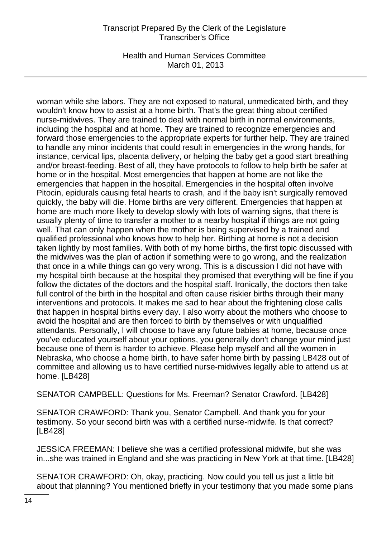Health and Human Services Committee March 01, 2013

woman while she labors. They are not exposed to natural, unmedicated birth, and they wouldn't know how to assist at a home birth. That's the great thing about certified nurse-midwives. They are trained to deal with normal birth in normal environments, including the hospital and at home. They are trained to recognize emergencies and forward those emergencies to the appropriate experts for further help. They are trained to handle any minor incidents that could result in emergencies in the wrong hands, for instance, cervical lips, placenta delivery, or helping the baby get a good start breathing and/or breast-feeding. Best of all, they have protocols to follow to help birth be safer at home or in the hospital. Most emergencies that happen at home are not like the emergencies that happen in the hospital. Emergencies in the hospital often involve Pitocin, epidurals causing fetal hearts to crash, and if the baby isn't surgically removed quickly, the baby will die. Home births are very different. Emergencies that happen at home are much more likely to develop slowly with lots of warning signs, that there is usually plenty of time to transfer a mother to a nearby hospital if things are not going well. That can only happen when the mother is being supervised by a trained and qualified professional who knows how to help her. Birthing at home is not a decision taken lightly by most families. With both of my home births, the first topic discussed with the midwives was the plan of action if something were to go wrong, and the realization that once in a while things can go very wrong. This is a discussion I did not have with my hospital birth because at the hospital they promised that everything will be fine if you follow the dictates of the doctors and the hospital staff. Ironically, the doctors then take full control of the birth in the hospital and often cause riskier births through their many interventions and protocols. It makes me sad to hear about the frightening close calls that happen in hospital births every day. I also worry about the mothers who choose to avoid the hospital and are then forced to birth by themselves or with unqualified attendants. Personally, I will choose to have any future babies at home, because once you've educated yourself about your options, you generally don't change your mind just because one of them is harder to achieve. Please help myself and all the women in Nebraska, who choose a home birth, to have safer home birth by passing LB428 out of committee and allowing us to have certified nurse-midwives legally able to attend us at home. [LB428]

SENATOR CAMPBELL: Questions for Ms. Freeman? Senator Crawford. [LB428]

SENATOR CRAWFORD: Thank you, Senator Campbell. And thank you for your testimony. So your second birth was with a certified nurse-midwife. Is that correct? [LB428]

JESSICA FREEMAN: I believe she was a certified professional midwife, but she was in...she was trained in England and she was practicing in New York at that time. [LB428]

SENATOR CRAWFORD: Oh, okay, practicing. Now could you tell us just a little bit about that planning? You mentioned briefly in your testimony that you made some plans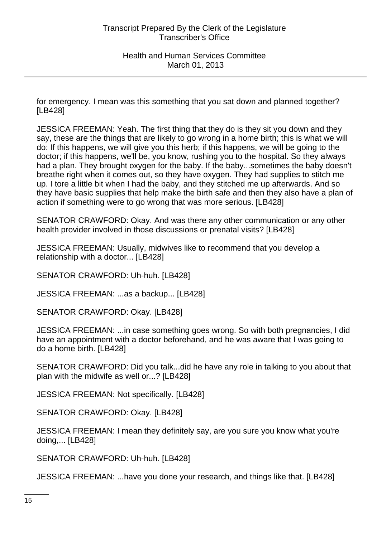for emergency. I mean was this something that you sat down and planned together? [LB428]

JESSICA FREEMAN: Yeah. The first thing that they do is they sit you down and they say, these are the things that are likely to go wrong in a home birth; this is what we will do: If this happens, we will give you this herb; if this happens, we will be going to the doctor; if this happens, we'll be, you know, rushing you to the hospital. So they always had a plan. They brought oxygen for the baby. If the baby...sometimes the baby doesn't breathe right when it comes out, so they have oxygen. They had supplies to stitch me up. I tore a little bit when I had the baby, and they stitched me up afterwards. And so they have basic supplies that help make the birth safe and then they also have a plan of action if something were to go wrong that was more serious. [LB428]

SENATOR CRAWFORD: Okay. And was there any other communication or any other health provider involved in those discussions or prenatal visits? [LB428]

JESSICA FREEMAN: Usually, midwives like to recommend that you develop a relationship with a doctor... [LB428]

SENATOR CRAWFORD: Uh-huh. [LB428]

JESSICA FREEMAN: ...as a backup... [LB428]

SENATOR CRAWFORD: Okay. [LB428]

JESSICA FREEMAN: ...in case something goes wrong. So with both pregnancies, I did have an appointment with a doctor beforehand, and he was aware that I was going to do a home birth. [LB428]

SENATOR CRAWFORD: Did you talk...did he have any role in talking to you about that plan with the midwife as well or...? [LB428]

JESSICA FREEMAN: Not specifically. [LB428]

SENATOR CRAWFORD: Okay. [LB428]

JESSICA FREEMAN: I mean they definitely say, are you sure you know what you're doing,... [LB428]

SENATOR CRAWFORD: Uh-huh. [LB428]

JESSICA FREEMAN: ...have you done your research, and things like that. [LB428]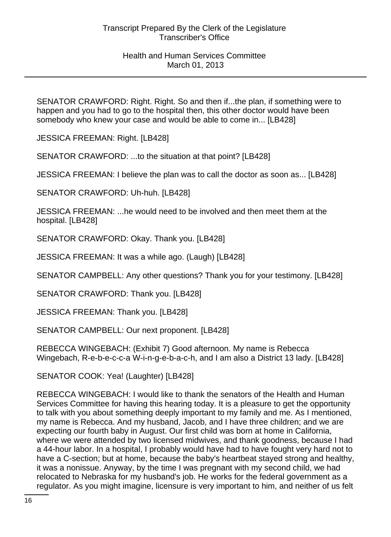SENATOR CRAWFORD: Right. Right. So and then if...the plan, if something were to happen and you had to go to the hospital then, this other doctor would have been somebody who knew your case and would be able to come in... [LB428]

JESSICA FREEMAN: Right. [LB428]

SENATOR CRAWFORD: ...to the situation at that point? [LB428]

JESSICA FREEMAN: I believe the plan was to call the doctor as soon as... [LB428]

SENATOR CRAWFORD: Uh-huh. [LB428]

JESSICA FREEMAN: ...he would need to be involved and then meet them at the hospital. [LB428]

SENATOR CRAWFORD: Okay. Thank you. [LB428]

JESSICA FREEMAN: It was a while ago. (Laugh) [LB428]

SENATOR CAMPBELL: Any other questions? Thank you for your testimony. [LB428]

SENATOR CRAWFORD: Thank you. [LB428]

JESSICA FREEMAN: Thank you. [LB428]

SENATOR CAMPBELL: Our next proponent. [LB428]

REBECCA WINGEBACH: (Exhibit 7) Good afternoon. My name is Rebecca Wingebach, R-e-b-e-c-c-a W-i-n-g-e-b-a-c-h, and I am also a District 13 lady. [LB428]

SENATOR COOK: Yea! (Laughter) [LB428]

REBECCA WINGEBACH: I would like to thank the senators of the Health and Human Services Committee for having this hearing today. It is a pleasure to get the opportunity to talk with you about something deeply important to my family and me. As I mentioned, my name is Rebecca. And my husband, Jacob, and I have three children; and we are expecting our fourth baby in August. Our first child was born at home in California, where we were attended by two licensed midwives, and thank goodness, because I had a 44-hour labor. In a hospital, I probably would have had to have fought very hard not to have a C-section; but at home, because the baby's heartbeat stayed strong and healthy, it was a nonissue. Anyway, by the time I was pregnant with my second child, we had relocated to Nebraska for my husband's job. He works for the federal government as a regulator. As you might imagine, licensure is very important to him, and neither of us felt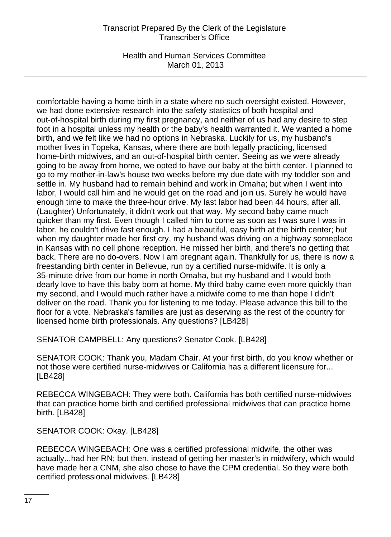Health and Human Services Committee March 01, 2013

comfortable having a home birth in a state where no such oversight existed. However, we had done extensive research into the safety statistics of both hospital and out-of-hospital birth during my first pregnancy, and neither of us had any desire to step foot in a hospital unless my health or the baby's health warranted it. We wanted a home birth, and we felt like we had no options in Nebraska. Luckily for us, my husband's mother lives in Topeka, Kansas, where there are both legally practicing, licensed home-birth midwives, and an out-of-hospital birth center. Seeing as we were already going to be away from home, we opted to have our baby at the birth center. I planned to go to my mother-in-law's house two weeks before my due date with my toddler son and settle in. My husband had to remain behind and work in Omaha; but when I went into labor, I would call him and he would get on the road and join us. Surely he would have enough time to make the three-hour drive. My last labor had been 44 hours, after all. (Laughter) Unfortunately, it didn't work out that way. My second baby came much quicker than my first. Even though I called him to come as soon as I was sure I was in labor, he couldn't drive fast enough. I had a beautiful, easy birth at the birth center; but when my daughter made her first cry, my husband was driving on a highway someplace in Kansas with no cell phone reception. He missed her birth, and there's no getting that back. There are no do-overs. Now I am pregnant again. Thankfully for us, there is now a freestanding birth center in Bellevue, run by a certified nurse-midwife. It is only a 35-minute drive from our home in north Omaha, but my husband and I would both dearly love to have this baby born at home. My third baby came even more quickly than my second, and I would much rather have a midwife come to me than hope I didn't deliver on the road. Thank you for listening to me today. Please advance this bill to the floor for a vote. Nebraska's families are just as deserving as the rest of the country for licensed home birth professionals. Any questions? [LB428]

SENATOR CAMPBELL: Any questions? Senator Cook. [LB428]

SENATOR COOK: Thank you, Madam Chair. At your first birth, do you know whether or not those were certified nurse-midwives or California has a different licensure for... [LB428]

REBECCA WINGEBACH: They were both. California has both certified nurse-midwives that can practice home birth and certified professional midwives that can practice home birth. [LB428]

SENATOR COOK: Okay. [LB428]

REBECCA WINGEBACH: One was a certified professional midwife, the other was actually...had her RN; but then, instead of getting her master's in midwifery, which would have made her a CNM, she also chose to have the CPM credential. So they were both certified professional midwives. [LB428]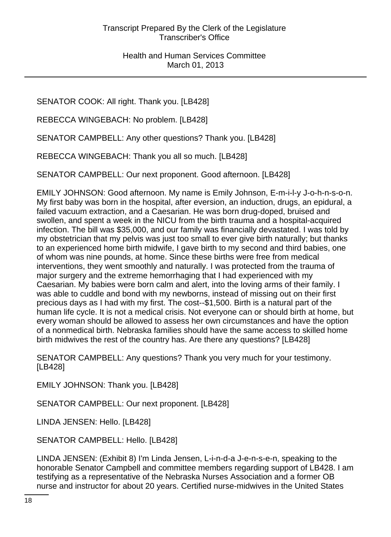SENATOR COOK: All right. Thank you. [LB428]

REBECCA WINGEBACH: No problem. [LB428]

SENATOR CAMPBELL: Any other questions? Thank you. [LB428]

REBECCA WINGEBACH: Thank you all so much. [LB428]

SENATOR CAMPBELL: Our next proponent. Good afternoon. [LB428]

EMILY JOHNSON: Good afternoon. My name is Emily Johnson, E-m-i-l-y J-o-h-n-s-o-n. My first baby was born in the hospital, after eversion, an induction, drugs, an epidural, a failed vacuum extraction, and a Caesarian. He was born drug-doped, bruised and swollen, and spent a week in the NICU from the birth trauma and a hospital-acquired infection. The bill was \$35,000, and our family was financially devastated. I was told by my obstetrician that my pelvis was just too small to ever give birth naturally; but thanks to an experienced home birth midwife, I gave birth to my second and third babies, one of whom was nine pounds, at home. Since these births were free from medical interventions, they went smoothly and naturally. I was protected from the trauma of major surgery and the extreme hemorrhaging that I had experienced with my Caesarian. My babies were born calm and alert, into the loving arms of their family. I was able to cuddle and bond with my newborns, instead of missing out on their first precious days as I had with my first. The cost--\$1,500. Birth is a natural part of the human life cycle. It is not a medical crisis. Not everyone can or should birth at home, but every woman should be allowed to assess her own circumstances and have the option of a nonmedical birth. Nebraska families should have the same access to skilled home birth midwives the rest of the country has. Are there any questions? [LB428]

SENATOR CAMPBELL: Any questions? Thank you very much for your testimony. [LB428]

EMILY JOHNSON: Thank you. [LB428]

SENATOR CAMPBELL: Our next proponent. [LB428]

LINDA JENSEN: Hello. [LB428]

SENATOR CAMPBELL: Hello. [LB428]

LINDA JENSEN: (Exhibit 8) I'm Linda Jensen, L-i-n-d-a J-e-n-s-e-n, speaking to the honorable Senator Campbell and committee members regarding support of LB428. I am testifying as a representative of the Nebraska Nurses Association and a former OB nurse and instructor for about 20 years. Certified nurse-midwives in the United States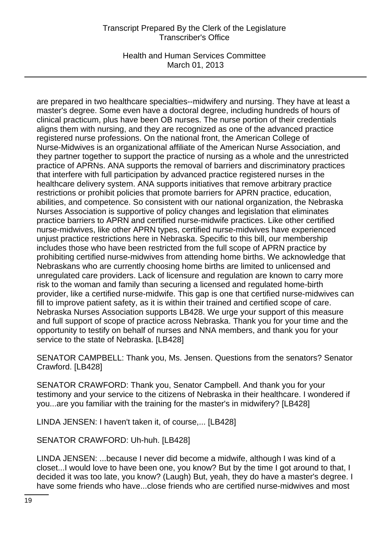Health and Human Services Committee March 01, 2013

are prepared in two healthcare specialties--midwifery and nursing. They have at least a master's degree. Some even have a doctoral degree, including hundreds of hours of clinical practicum, plus have been OB nurses. The nurse portion of their credentials aligns them with nursing, and they are recognized as one of the advanced practice registered nurse professions. On the national front, the American College of Nurse-Midwives is an organizational affiliate of the American Nurse Association, and they partner together to support the practice of nursing as a whole and the unrestricted practice of APRNs. ANA supports the removal of barriers and discriminatory practices that interfere with full participation by advanced practice registered nurses in the healthcare delivery system. ANA supports initiatives that remove arbitrary practice restrictions or prohibit policies that promote barriers for APRN practice, education, abilities, and competence. So consistent with our national organization, the Nebraska Nurses Association is supportive of policy changes and legislation that eliminates practice barriers to APRN and certified nurse-midwife practices. Like other certified nurse-midwives, like other APRN types, certified nurse-midwives have experienced unjust practice restrictions here in Nebraska. Specific to this bill, our membership includes those who have been restricted from the full scope of APRN practice by prohibiting certified nurse-midwives from attending home births. We acknowledge that Nebraskans who are currently choosing home births are limited to unlicensed and unregulated care providers. Lack of licensure and regulation are known to carry more risk to the woman and family than securing a licensed and regulated home-birth provider, like a certified nurse-midwife. This gap is one that certified nurse-midwives can fill to improve patient safety, as it is within their trained and certified scope of care. Nebraska Nurses Association supports LB428. We urge your support of this measure and full support of scope of practice across Nebraska. Thank you for your time and the opportunity to testify on behalf of nurses and NNA members, and thank you for your service to the state of Nebraska. [LB428]

SENATOR CAMPBELL: Thank you, Ms. Jensen. Questions from the senators? Senator Crawford. [LB428]

SENATOR CRAWFORD: Thank you, Senator Campbell. And thank you for your testimony and your service to the citizens of Nebraska in their healthcare. I wondered if you...are you familiar with the training for the master's in midwifery? [LB428]

LINDA JENSEN: I haven't taken it, of course,... [LB428]

SENATOR CRAWFORD: Uh-huh. [LB428]

LINDA JENSEN: ...because I never did become a midwife, although I was kind of a closet...I would love to have been one, you know? But by the time I got around to that, I decided it was too late, you know? (Laugh) But, yeah, they do have a master's degree. I have some friends who have...close friends who are certified nurse-midwives and most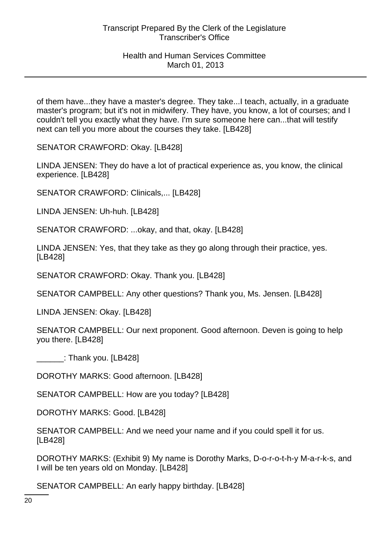of them have...they have a master's degree. They take...I teach, actually, in a graduate master's program; but it's not in midwifery. They have, you know, a lot of courses; and I couldn't tell you exactly what they have. I'm sure someone here can...that will testify next can tell you more about the courses they take. [LB428]

SENATOR CRAWFORD: Okay. [LB428]

LINDA JENSEN: They do have a lot of practical experience as, you know, the clinical experience. [LB428]

SENATOR CRAWFORD: Clinicals,... [LB428]

LINDA JENSEN: Uh-huh. [LB428]

SENATOR CRAWFORD: ...okay, and that, okay. [LB428]

LINDA JENSEN: Yes, that they take as they go along through their practice, yes. [LB428]

SENATOR CRAWFORD: Okay. Thank you. [LB428]

SENATOR CAMPBELL: Any other questions? Thank you, Ms. Jensen. [LB428]

LINDA JENSEN: Okay. [LB428]

SENATOR CAMPBELL: Our next proponent. Good afternoon. Deven is going to help you there. [LB428]

 $\Box$ : Thank you. [LB428]

DOROTHY MARKS: Good afternoon. [LB428]

SENATOR CAMPBELL: How are you today? [LB428]

DOROTHY MARKS: Good. [LB428]

SENATOR CAMPBELL: And we need your name and if you could spell it for us. [LB428]

DOROTHY MARKS: (Exhibit 9) My name is Dorothy Marks, D-o-r-o-t-h-y M-a-r-k-s, and I will be ten years old on Monday. [LB428]

SENATOR CAMPBELL: An early happy birthday. [LB428]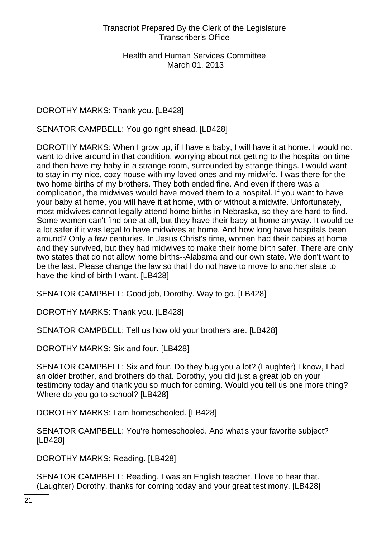DOROTHY MARKS: Thank you. [LB428]

SENATOR CAMPBELL: You go right ahead. [LB428]

DOROTHY MARKS: When I grow up, if I have a baby, I will have it at home. I would not want to drive around in that condition, worrying about not getting to the hospital on time and then have my baby in a strange room, surrounded by strange things. I would want to stay in my nice, cozy house with my loved ones and my midwife. I was there for the two home births of my brothers. They both ended fine. And even if there was a complication, the midwives would have moved them to a hospital. If you want to have your baby at home, you will have it at home, with or without a midwife. Unfortunately, most midwives cannot legally attend home births in Nebraska, so they are hard to find. Some women can't find one at all, but they have their baby at home anyway. It would be a lot safer if it was legal to have midwives at home. And how long have hospitals been around? Only a few centuries. In Jesus Christ's time, women had their babies at home and they survived, but they had midwives to make their home birth safer. There are only two states that do not allow home births--Alabama and our own state. We don't want to be the last. Please change the law so that I do not have to move to another state to have the kind of birth I want. [LB428]

SENATOR CAMPBELL: Good job, Dorothy. Way to go. [LB428]

DOROTHY MARKS: Thank you. [LB428]

SENATOR CAMPBELL: Tell us how old your brothers are. [LB428]

DOROTHY MARKS: Six and four. [LB428]

SENATOR CAMPBELL: Six and four. Do they bug you a lot? (Laughter) I know, I had an older brother, and brothers do that. Dorothy, you did just a great job on your testimony today and thank you so much for coming. Would you tell us one more thing? Where do you go to school? [LB428]

DOROTHY MARKS: I am homeschooled. [LB428]

SENATOR CAMPBELL: You're homeschooled. And what's your favorite subject? [LB428]

DOROTHY MARKS: Reading. [LB428]

SENATOR CAMPBELL: Reading. I was an English teacher. I love to hear that. (Laughter) Dorothy, thanks for coming today and your great testimony. [LB428]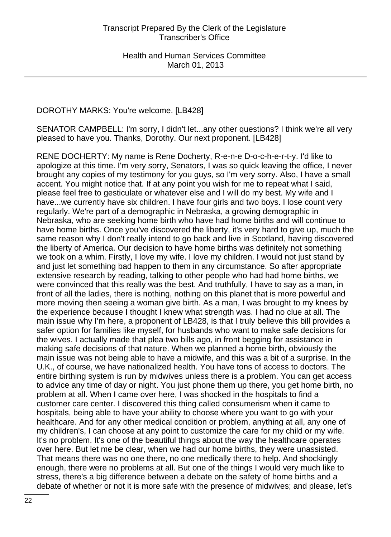DOROTHY MARKS: You're welcome. [LB428]

SENATOR CAMPBELL: I'm sorry, I didn't let...any other questions? I think we're all very pleased to have you. Thanks, Dorothy. Our next proponent. [LB428]

RENE DOCHERTY: My name is Rene Docherty, R-e-n-e D-o-c-h-e-r-t-y. I'd like to apologize at this time. I'm very sorry, Senators, I was so quick leaving the office, I never brought any copies of my testimony for you guys, so I'm very sorry. Also, I have a small accent. You might notice that. If at any point you wish for me to repeat what I said, please feel free to gesticulate or whatever else and I will do my best. My wife and I have...we currently have six children. I have four girls and two boys. I lose count very regularly. We're part of a demographic in Nebraska, a growing demographic in Nebraska, who are seeking home birth who have had home births and will continue to have home births. Once you've discovered the liberty, it's very hard to give up, much the same reason why I don't really intend to go back and live in Scotland, having discovered the liberty of America. Our decision to have home births was definitely not something we took on a whim. Firstly, I love my wife. I love my children. I would not just stand by and just let something bad happen to them in any circumstance. So after appropriate extensive research by reading, talking to other people who had had home births, we were convinced that this really was the best. And truthfully, I have to say as a man, in front of all the ladies, there is nothing, nothing on this planet that is more powerful and more moving then seeing a woman give birth. As a man, I was brought to my knees by the experience because I thought I knew what strength was. I had no clue at all. The main issue why I'm here, a proponent of LB428, is that I truly believe this bill provides a safer option for families like myself, for husbands who want to make safe decisions for the wives. I actually made that plea two bills ago, in front begging for assistance in making safe decisions of that nature. When we planned a home birth, obviously the main issue was not being able to have a midwife, and this was a bit of a surprise. In the U.K., of course, we have nationalized health. You have tons of access to doctors. The entire birthing system is run by midwives unless there is a problem. You can get access to advice any time of day or night. You just phone them up there, you get home birth, no problem at all. When I came over here, I was shocked in the hospitals to find a customer care center. I discovered this thing called consumerism when it came to hospitals, being able to have your ability to choose where you want to go with your healthcare. And for any other medical condition or problem, anything at all, any one of my children's, I can choose at any point to customize the care for my child or my wife. It's no problem. It's one of the beautiful things about the way the healthcare operates over here. But let me be clear, when we had our home births, they were unassisted. That means there was no one there, no one medically there to help. And shockingly enough, there were no problems at all. But one of the things I would very much like to stress, there's a big difference between a debate on the safety of home births and a debate of whether or not it is more safe with the presence of midwives; and please, let's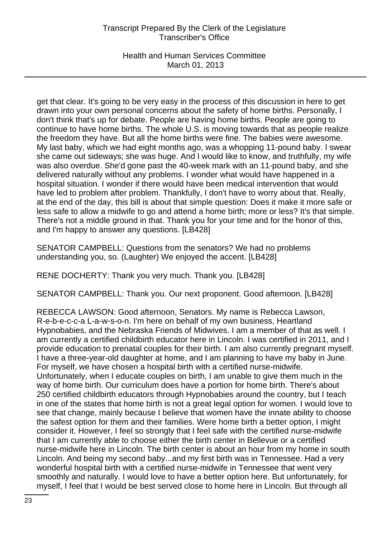Health and Human Services Committee March 01, 2013

get that clear. It's going to be very easy in the process of this discussion in here to get drawn into your own personal concerns about the safety of home births. Personally, I don't think that's up for debate. People are having home births. People are going to continue to have home births. The whole U.S. is moving towards that as people realize the freedom they have. But all the home births were fine. The babies were awesome. My last baby, which we had eight months ago, was a whopping 11-pound baby. I swear she came out sideways; she was huge. And I would like to know, and truthfully, my wife was also overdue. She'd gone past the 40-week mark with an 11-pound baby, and she delivered naturally without any problems. I wonder what would have happened in a hospital situation. I wonder if there would have been medical intervention that would have led to problem after problem. Thankfully, I don't have to worry about that. Really, at the end of the day, this bill is about that simple question: Does it make it more safe or less safe to allow a midwife to go and attend a home birth; more or less? It's that simple. There's not a middle ground in that. Thank you for your time and for the honor of this, and I'm happy to answer any questions. [LB428]

SENATOR CAMPBELL: Questions from the senators? We had no problems understanding you, so. (Laughter) We enjoyed the accent. [LB428]

RENE DOCHERTY: Thank you very much. Thank you. [LB428]

SENATOR CAMPBELL: Thank you. Our next proponent. Good afternoon. [LB428]

REBECCA LAWSON: Good afternoon, Senators. My name is Rebecca Lawson, R-e-b-e-c-c-a L-a-w-s-o-n. I'm here on behalf of my own business, Heartland Hypnobabies, and the Nebraska Friends of Midwives. I am a member of that as well. I am currently a certified childbirth educator here in Lincoln. I was certified in 2011, and I provide education to prenatal couples for their birth. I am also currently pregnant myself. I have a three-year-old daughter at home, and I am planning to have my baby in June. For myself, we have chosen a hospital birth with a certified nurse-midwife. Unfortunately, when I educate couples on birth, I am unable to give them much in the way of home birth. Our curriculum does have a portion for home birth. There's about 250 certified childbirth educators through Hypnobabies around the country, but I teach in one of the states that home birth is not a great legal option for women. I would love to see that change, mainly because I believe that women have the innate ability to choose the safest option for them and their families. Were home birth a better option, I might consider it. However, I feel so strongly that I feel safe with the certified nurse-midwife that I am currently able to choose either the birth center in Bellevue or a certified nurse-midwife here in Lincoln. The birth center is about an hour from my home in south Lincoln. And being my second baby...and my first birth was in Tennessee. Had a very wonderful hospital birth with a certified nurse-midwife in Tennessee that went very smoothly and naturally. I would love to have a better option here. But unfortunately, for myself, I feel that I would be best served close to home here in Lincoln. But through all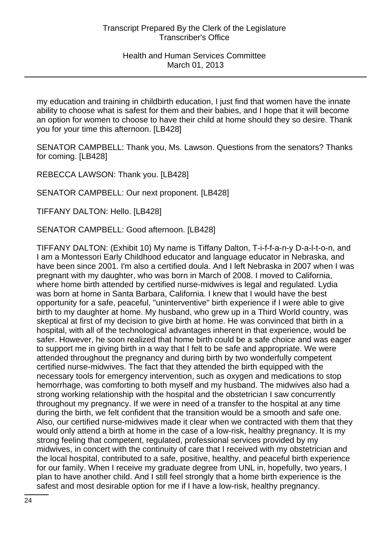my education and training in childbirth education, I just find that women have the innate ability to choose what is safest for them and their babies, and I hope that it will become an option for women to choose to have their child at home should they so desire. Thank you for your time this afternoon. [LB428]

SENATOR CAMPBELL: Thank you, Ms. Lawson. Questions from the senators? Thanks for coming. [LB428]

REBECCA LAWSON: Thank you. [LB428]

SENATOR CAMPBELL: Our next proponent. [LB428]

TIFFANY DALTON: Hello. [LB428]

SENATOR CAMPBELL: Good afternoon. [LB428]

TIFFANY DALTON: (Exhibit 10) My name is Tiffany Dalton, T-i-f-f-a-n-y D-a-l-t-o-n, and I am a Montessori Early Childhood educator and language educator in Nebraska, and have been since 2001. I'm also a certified doula. And I left Nebraska in 2007 when I was pregnant with my daughter, who was born in March of 2008. I moved to California, where home birth attended by certified nurse-midwives is legal and regulated. Lydia was born at home in Santa Barbara, California. I knew that I would have the best opportunity for a safe, peaceful, "uninterventive" birth experience if I were able to give birth to my daughter at home. My husband, who grew up in a Third World country, was skeptical at first of my decision to give birth at home. He was convinced that birth in a hospital, with all of the technological advantages inherent in that experience, would be safer. However, he soon realized that home birth could be a safe choice and was eager to support me in giving birth in a way that I felt to be safe and appropriate. We were attended throughout the pregnancy and during birth by two wonderfully competent certified nurse-midwives. The fact that they attended the birth equipped with the necessary tools for emergency intervention, such as oxygen and medications to stop hemorrhage, was comforting to both myself and my husband. The midwives also had a strong working relationship with the hospital and the obstetrician I saw concurrently throughout my pregnancy. If we were in need of a transfer to the hospital at any time during the birth, we felt confident that the transition would be a smooth and safe one. Also, our certified nurse-midwives made it clear when we contracted with them that they would only attend a birth at home in the case of a low-risk, healthy pregnancy. It is my strong feeling that competent, regulated, professional services provided by my midwives, in concert with the continuity of care that I received with my obstetrician and the local hospital, contributed to a safe, positive, healthy, and peaceful birth experience for our family. When I receive my graduate degree from UNL in, hopefully, two years, I plan to have another child. And I still feel strongly that a home birth experience is the safest and most desirable option for me if I have a low-risk, healthy pregnancy.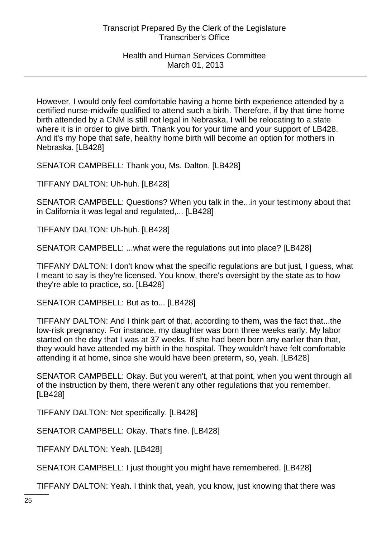However, I would only feel comfortable having a home birth experience attended by a certified nurse-midwife qualified to attend such a birth. Therefore, if by that time home birth attended by a CNM is still not legal in Nebraska, I will be relocating to a state where it is in order to give birth. Thank you for your time and your support of LB428. And it's my hope that safe, healthy home birth will become an option for mothers in Nebraska. [LB428]

SENATOR CAMPBELL: Thank you, Ms. Dalton. [LB428]

TIFFANY DALTON: Uh-huh. [LB428]

SENATOR CAMPBELL: Questions? When you talk in the...in your testimony about that in California it was legal and regulated,... [LB428]

TIFFANY DALTON: Uh-huh. [LB428]

SENATOR CAMPBELL: ...what were the regulations put into place? [LB428]

TIFFANY DALTON: I don't know what the specific regulations are but just, I guess, what I meant to say is they're licensed. You know, there's oversight by the state as to how they're able to practice, so. [LB428]

SENATOR CAMPBELL: But as to... [LB428]

TIFFANY DALTON: And I think part of that, according to them, was the fact that...the low-risk pregnancy. For instance, my daughter was born three weeks early. My labor started on the day that I was at 37 weeks. If she had been born any earlier than that, they would have attended my birth in the hospital. They wouldn't have felt comfortable attending it at home, since she would have been preterm, so, yeah. [LB428]

SENATOR CAMPBELL: Okay. But you weren't, at that point, when you went through all of the instruction by them, there weren't any other regulations that you remember. [LB428]

TIFFANY DALTON: Not specifically. [LB428]

SENATOR CAMPBELL: Okay. That's fine. [LB428]

TIFFANY DALTON: Yeah. [LB428]

SENATOR CAMPBELL: I just thought you might have remembered. [LB428]

TIFFANY DALTON: Yeah. I think that, yeah, you know, just knowing that there was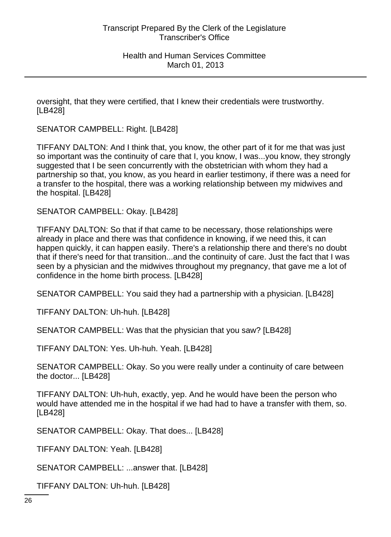oversight, that they were certified, that I knew their credentials were trustworthy. [LB428]

SENATOR CAMPBELL: Right. [LB428]

TIFFANY DALTON: And I think that, you know, the other part of it for me that was just so important was the continuity of care that I, you know, I was...you know, they strongly suggested that I be seen concurrently with the obstetrician with whom they had a partnership so that, you know, as you heard in earlier testimony, if there was a need for a transfer to the hospital, there was a working relationship between my midwives and the hospital. [LB428]

SENATOR CAMPBELL: Okay. [LB428]

TIFFANY DALTON: So that if that came to be necessary, those relationships were already in place and there was that confidence in knowing, if we need this, it can happen quickly, it can happen easily. There's a relationship there and there's no doubt that if there's need for that transition...and the continuity of care. Just the fact that I was seen by a physician and the midwives throughout my pregnancy, that gave me a lot of confidence in the home birth process. [LB428]

SENATOR CAMPBELL: You said they had a partnership with a physician. [LB428]

TIFFANY DALTON: Uh-huh. [LB428]

SENATOR CAMPBELL: Was that the physician that you saw? [LB428]

TIFFANY DALTON: Yes. Uh-huh. Yeah. [LB428]

SENATOR CAMPBELL: Okay. So you were really under a continuity of care between the doctor... [LB428]

TIFFANY DALTON: Uh-huh, exactly, yep. And he would have been the person who would have attended me in the hospital if we had had to have a transfer with them, so. [LB428]

SENATOR CAMPBELL: Okay. That does... [LB428]

TIFFANY DALTON: Yeah. [LB428]

SENATOR CAMPBELL: ...answer that. [LB428]

TIFFANY DALTON: Uh-huh. [LB428]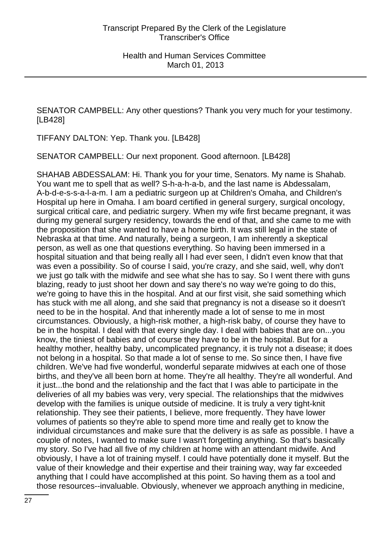SENATOR CAMPBELL: Any other questions? Thank you very much for your testimony. [LB428]

TIFFANY DALTON: Yep. Thank you. [LB428]

SENATOR CAMPBELL: Our next proponent. Good afternoon. [LB428]

SHAHAB ABDESSALAM: Hi. Thank you for your time, Senators. My name is Shahab. You want me to spell that as well? S-h-a-h-a-b, and the last name is Abdessalam, A-b-d-e-s-s-a-l-a-m. I am a pediatric surgeon up at Children's Omaha, and Children's Hospital up here in Omaha. I am board certified in general surgery, surgical oncology, surgical critical care, and pediatric surgery. When my wife first became pregnant, it was during my general surgery residency, towards the end of that, and she came to me with the proposition that she wanted to have a home birth. It was still legal in the state of Nebraska at that time. And naturally, being a surgeon, I am inherently a skeptical person, as well as one that questions everything. So having been immersed in a hospital situation and that being really all I had ever seen, I didn't even know that that was even a possibility. So of course I said, you're crazy, and she said, well, why don't we just go talk with the midwife and see what she has to say. So I went there with guns blazing, ready to just shoot her down and say there's no way we're going to do this, we're going to have this in the hospital. And at our first visit, she said something which has stuck with me all along, and she said that pregnancy is not a disease so it doesn't need to be in the hospital. And that inherently made a lot of sense to me in most circumstances. Obviously, a high-risk mother, a high-risk baby, of course they have to be in the hospital. I deal with that every single day. I deal with babies that are on...you know, the tiniest of babies and of course they have to be in the hospital. But for a healthy mother, healthy baby, uncomplicated pregnancy, it is truly not a disease; it does not belong in a hospital. So that made a lot of sense to me. So since then, I have five children. We've had five wonderful, wonderful separate midwives at each one of those births, and they've all been born at home. They're all healthy. They're all wonderful. And it just...the bond and the relationship and the fact that I was able to participate in the deliveries of all my babies was very, very special. The relationships that the midwives develop with the families is unique outside of medicine. It is truly a very tight-knit relationship. They see their patients, I believe, more frequently. They have lower volumes of patients so they're able to spend more time and really get to know the individual circumstances and make sure that the delivery is as safe as possible. I have a couple of notes, I wanted to make sure I wasn't forgetting anything. So that's basically my story. So I've had all five of my children at home with an attendant midwife. And obviously, I have a lot of training myself. I could have potentially done it myself. But the value of their knowledge and their expertise and their training way, way far exceeded anything that I could have accomplished at this point. So having them as a tool and those resources--invaluable. Obviously, whenever we approach anything in medicine,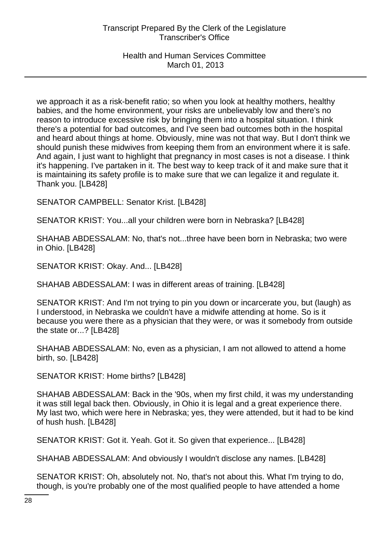Health and Human Services Committee March 01, 2013

we approach it as a risk-benefit ratio; so when you look at healthy mothers, healthy babies, and the home environment, your risks are unbelievably low and there's no reason to introduce excessive risk by bringing them into a hospital situation. I think there's a potential for bad outcomes, and I've seen bad outcomes both in the hospital and heard about things at home. Obviously, mine was not that way. But I don't think we should punish these midwives from keeping them from an environment where it is safe. And again, I just want to highlight that pregnancy in most cases is not a disease. I think it's happening. I've partaken in it. The best way to keep track of it and make sure that it is maintaining its safety profile is to make sure that we can legalize it and regulate it. Thank you. [LB428]

SENATOR CAMPBELL: Senator Krist. [LB428]

SENATOR KRIST: You...all your children were born in Nebraska? [LB428]

SHAHAB ABDESSALAM: No, that's not...three have been born in Nebraska; two were in Ohio. [LB428]

SENATOR KRIST: Okay. And... [LB428]

SHAHAB ABDESSALAM: I was in different areas of training. [LB428]

SENATOR KRIST: And I'm not trying to pin you down or incarcerate you, but (laugh) as I understood, in Nebraska we couldn't have a midwife attending at home. So is it because you were there as a physician that they were, or was it somebody from outside the state or...? [LB428]

SHAHAB ABDESSALAM: No, even as a physician, I am not allowed to attend a home birth, so. [LB428]

SENATOR KRIST: Home births? [LB428]

SHAHAB ABDESSALAM: Back in the '90s, when my first child, it was my understanding it was still legal back then. Obviously, in Ohio it is legal and a great experience there. My last two, which were here in Nebraska; yes, they were attended, but it had to be kind of hush hush. [LB428]

SENATOR KRIST: Got it. Yeah. Got it. So given that experience... [LB428]

SHAHAB ABDESSALAM: And obviously I wouldn't disclose any names. [LB428]

SENATOR KRIST: Oh, absolutely not. No, that's not about this. What I'm trying to do, though, is you're probably one of the most qualified people to have attended a home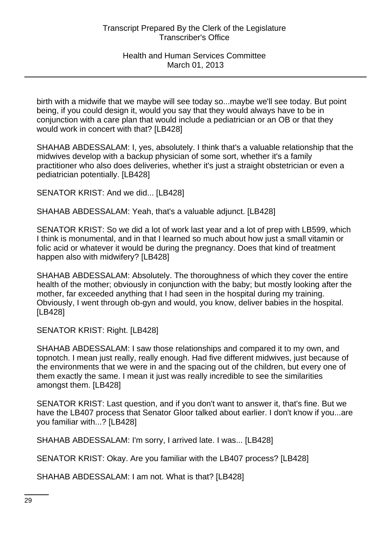birth with a midwife that we maybe will see today so...maybe we'll see today. But point being, if you could design it, would you say that they would always have to be in conjunction with a care plan that would include a pediatrician or an OB or that they would work in concert with that? [LB428]

SHAHAB ABDESSALAM: I, yes, absolutely. I think that's a valuable relationship that the midwives develop with a backup physician of some sort, whether it's a family practitioner who also does deliveries, whether it's just a straight obstetrician or even a pediatrician potentially. [LB428]

SENATOR KRIST: And we did... [LB428]

SHAHAB ABDESSALAM: Yeah, that's a valuable adjunct. [LB428]

SENATOR KRIST: So we did a lot of work last year and a lot of prep with LB599, which I think is monumental, and in that I learned so much about how just a small vitamin or folic acid or whatever it would be during the pregnancy. Does that kind of treatment happen also with midwifery? [LB428]

SHAHAB ABDESSALAM: Absolutely. The thoroughness of which they cover the entire health of the mother; obviously in conjunction with the baby; but mostly looking after the mother, far exceeded anything that I had seen in the hospital during my training. Obviously, I went through ob-gyn and would, you know, deliver babies in the hospital. [LB428]

SENATOR KRIST: Right. [LB428]

SHAHAB ABDESSALAM: I saw those relationships and compared it to my own, and topnotch. I mean just really, really enough. Had five different midwives, just because of the environments that we were in and the spacing out of the children, but every one of them exactly the same. I mean it just was really incredible to see the similarities amongst them. [LB428]

SENATOR KRIST: Last question, and if you don't want to answer it, that's fine. But we have the LB407 process that Senator Gloor talked about earlier. I don't know if you...are you familiar with...? [LB428]

SHAHAB ABDESSALAM: I'm sorry, I arrived late. I was... [LB428]

SENATOR KRIST: Okay. Are you familiar with the LB407 process? [LB428]

SHAHAB ABDESSALAM: I am not. What is that? [LB428]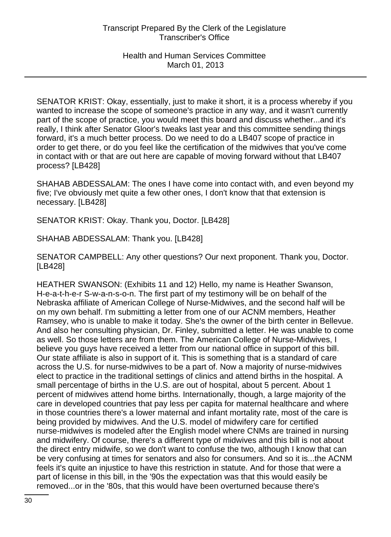SENATOR KRIST: Okay, essentially, just to make it short, it is a process whereby if you wanted to increase the scope of someone's practice in any way, and it wasn't currently part of the scope of practice, you would meet this board and discuss whether...and it's really, I think after Senator Gloor's tweaks last year and this committee sending things forward, it's a much better process. Do we need to do a LB407 scope of practice in order to get there, or do you feel like the certification of the midwives that you've come in contact with or that are out here are capable of moving forward without that LB407 process? [LB428]

SHAHAB ABDESSALAM: The ones I have come into contact with, and even beyond my five; I've obviously met quite a few other ones, I don't know that that extension is necessary. [LB428]

SENATOR KRIST: Okay. Thank you, Doctor. [LB428]

SHAHAB ABDESSALAM: Thank you. [LB428]

SENATOR CAMPBELL: Any other questions? Our next proponent. Thank you, Doctor. [LB428]

HEATHER SWANSON: (Exhibits 11 and 12) Hello, my name is Heather Swanson, H-e-a-t-h-e-r S-w-a-n-s-o-n. The first part of my testimony will be on behalf of the Nebraska affiliate of American College of Nurse-Midwives, and the second half will be on my own behalf. I'm submitting a letter from one of our ACNM members, Heather Ramsey, who is unable to make it today. She's the owner of the birth center in Bellevue. And also her consulting physician, Dr. Finley, submitted a letter. He was unable to come as well. So those letters are from them. The American College of Nurse-Midwives, I believe you guys have received a letter from our national office in support of this bill. Our state affiliate is also in support of it. This is something that is a standard of care across the U.S. for nurse-midwives to be a part of. Now a majority of nurse-midwives elect to practice in the traditional settings of clinics and attend births in the hospital. A small percentage of births in the U.S. are out of hospital, about 5 percent. About 1 percent of midwives attend home births. Internationally, though, a large majority of the care in developed countries that pay less per capita for maternal healthcare and where in those countries there's a lower maternal and infant mortality rate, most of the care is being provided by midwives. And the U.S. model of midwifery care for certified nurse-midwives is modeled after the English model where CNMs are trained in nursing and midwifery. Of course, there's a different type of midwives and this bill is not about the direct entry midwife, so we don't want to confuse the two, although I know that can be very confusing at times for senators and also for consumers. And so it is...the ACNM feels it's quite an injustice to have this restriction in statute. And for those that were a part of license in this bill, in the '90s the expectation was that this would easily be removed...or in the '80s, that this would have been overturned because there's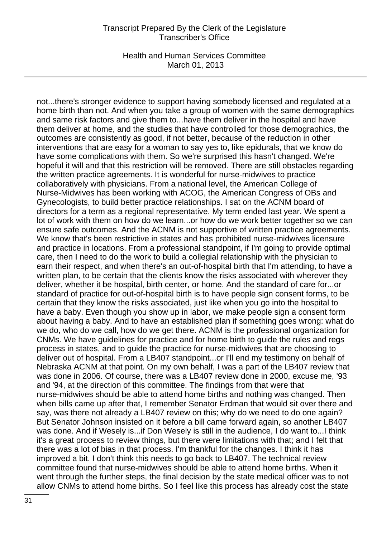Health and Human Services Committee March 01, 2013

not...there's stronger evidence to support having somebody licensed and regulated at a home birth than not. And when you take a group of women with the same demographics and same risk factors and give them to...have them deliver in the hospital and have them deliver at home, and the studies that have controlled for those demographics, the outcomes are consistently as good, if not better, because of the reduction in other interventions that are easy for a woman to say yes to, like epidurals, that we know do have some complications with them. So we're surprised this hasn't changed. We're hopeful it will and that this restriction will be removed. There are still obstacles regarding the written practice agreements. It is wonderful for nurse-midwives to practice collaboratively with physicians. From a national level, the American College of Nurse-Midwives has been working with ACOG, the American Congress of OBs and Gynecologists, to build better practice relationships. I sat on the ACNM board of directors for a term as a regional representative. My term ended last year. We spent a lot of work with them on how do we learn...or how do we work better together so we can ensure safe outcomes. And the ACNM is not supportive of written practice agreements. We know that's been restrictive in states and has prohibited nurse-midwives licensure and practice in locations. From a professional standpoint, if I'm going to provide optimal care, then I need to do the work to build a collegial relationship with the physician to earn their respect, and when there's an out-of-hospital birth that I'm attending, to have a written plan, to be certain that the clients know the risks associated with wherever they deliver, whether it be hospital, birth center, or home. And the standard of care for...or standard of practice for out-of-hospital birth is to have people sign consent forms, to be certain that they know the risks associated, just like when you go into the hospital to have a baby. Even though you show up in labor, we make people sign a consent form about having a baby. And to have an established plan if something goes wrong: what do we do, who do we call, how do we get there. ACNM is the professional organization for CNMs. We have guidelines for practice and for home birth to guide the rules and regs process in states, and to guide the practice for nurse-midwives that are choosing to deliver out of hospital. From a LB407 standpoint...or I'll end my testimony on behalf of Nebraska ACNM at that point. On my own behalf, I was a part of the LB407 review that was done in 2006. Of course, there was a LB407 review done in 2000, excuse me, '93 and '94, at the direction of this committee. The findings from that were that nurse-midwives should be able to attend home births and nothing was changed. Then when bills came up after that, I remember Senator Erdman that would sit over there and say, was there not already a LB407 review on this; why do we need to do one again? But Senator Johnson insisted on it before a bill came forward again, so another LB407 was done. And if Wesely is...if Don Wesely is still in the audience, I do want to...I think it's a great process to review things, but there were limitations with that; and I felt that there was a lot of bias in that process. I'm thankful for the changes. I think it has improved a bit. I don't think this needs to go back to LB407. The technical review committee found that nurse-midwives should be able to attend home births. When it went through the further steps, the final decision by the state medical officer was to not allow CNMs to attend home births. So I feel like this process has already cost the state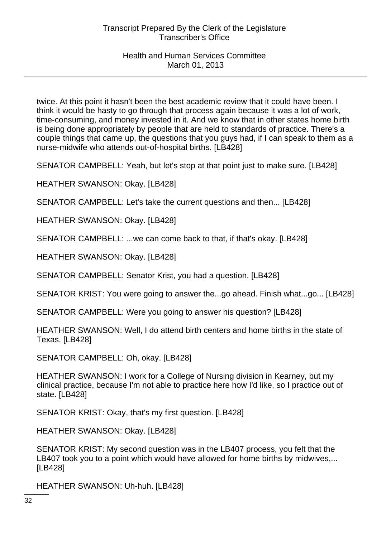twice. At this point it hasn't been the best academic review that it could have been. I think it would be hasty to go through that process again because it was a lot of work, time-consuming, and money invested in it. And we know that in other states home birth is being done appropriately by people that are held to standards of practice. There's a couple things that came up, the questions that you guys had, if I can speak to them as a nurse-midwife who attends out-of-hospital births. [LB428]

SENATOR CAMPBELL: Yeah, but let's stop at that point just to make sure. [LB428]

HEATHER SWANSON: Okay. [LB428]

SENATOR CAMPBELL: Let's take the current questions and then... [LB428]

HEATHER SWANSON: Okay. [LB428]

SENATOR CAMPBELL: ...we can come back to that, if that's okay. [LB428]

HEATHER SWANSON: Okay. [LB428]

SENATOR CAMPBELL: Senator Krist, you had a question. [LB428]

SENATOR KRIST: You were going to answer the...go ahead. Finish what...go... [LB428]

SENATOR CAMPBELL: Were you going to answer his question? [LB428]

HEATHER SWANSON: Well, I do attend birth centers and home births in the state of Texas. [LB428]

SENATOR CAMPBELL: Oh, okay. [LB428]

HEATHER SWANSON: I work for a College of Nursing division in Kearney, but my clinical practice, because I'm not able to practice here how I'd like, so I practice out of state. [LB428]

SENATOR KRIST: Okay, that's my first question. [LB428]

HEATHER SWANSON: Okay. [LB428]

SENATOR KRIST: My second question was in the LB407 process, you felt that the LB407 took you to a point which would have allowed for home births by midwives,... [LB428]

HEATHER SWANSON: Uh-huh. [LB428]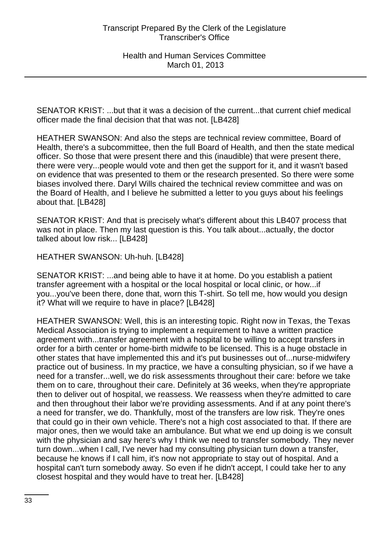SENATOR KRIST: ...but that it was a decision of the current...that current chief medical officer made the final decision that that was not. [LB428]

HEATHER SWANSON: And also the steps are technical review committee, Board of Health, there's a subcommittee, then the full Board of Health, and then the state medical officer. So those that were present there and this (inaudible) that were present there, there were very...people would vote and then get the support for it, and it wasn't based on evidence that was presented to them or the research presented. So there were some biases involved there. Daryl Wills chaired the technical review committee and was on the Board of Health, and I believe he submitted a letter to you guys about his feelings about that. [LB428]

SENATOR KRIST: And that is precisely what's different about this LB407 process that was not in place. Then my last question is this. You talk about...actually, the doctor talked about low risk... [LB428]

HEATHER SWANSON: Uh-huh. [LB428]

SENATOR KRIST: ...and being able to have it at home. Do you establish a patient transfer agreement with a hospital or the local hospital or local clinic, or how...if you...you've been there, done that, worn this T-shirt. So tell me, how would you design it? What will we require to have in place? [LB428]

HEATHER SWANSON: Well, this is an interesting topic. Right now in Texas, the Texas Medical Association is trying to implement a requirement to have a written practice agreement with...transfer agreement with a hospital to be willing to accept transfers in order for a birth center or home-birth midwife to be licensed. This is a huge obstacle in other states that have implemented this and it's put businesses out of...nurse-midwifery practice out of business. In my practice, we have a consulting physician, so if we have a need for a transfer...well, we do risk assessments throughout their care: before we take them on to care, throughout their care. Definitely at 36 weeks, when they're appropriate then to deliver out of hospital, we reassess. We reassess when they're admitted to care and then throughout their labor we're providing assessments. And if at any point there's a need for transfer, we do. Thankfully, most of the transfers are low risk. They're ones that could go in their own vehicle. There's not a high cost associated to that. If there are major ones, then we would take an ambulance. But what we end up doing is we consult with the physician and say here's why I think we need to transfer somebody. They never turn down...when I call, I've never had my consulting physician turn down a transfer, because he knows if I call him, it's now not appropriate to stay out of hospital. And a hospital can't turn somebody away. So even if he didn't accept, I could take her to any closest hospital and they would have to treat her. [LB428]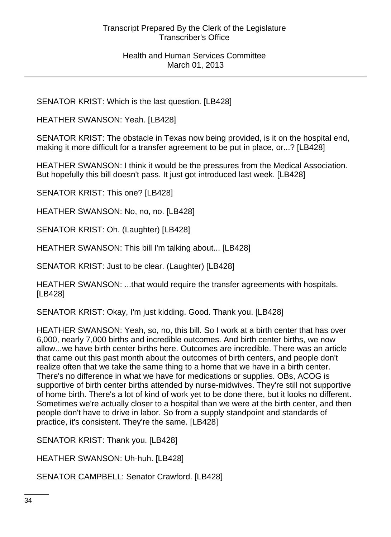SENATOR KRIST: Which is the last question. [LB428]

HEATHER SWANSON: Yeah. [LB428]

SENATOR KRIST: The obstacle in Texas now being provided, is it on the hospital end, making it more difficult for a transfer agreement to be put in place, or...? [LB428]

HEATHER SWANSON: I think it would be the pressures from the Medical Association. But hopefully this bill doesn't pass. It just got introduced last week. [LB428]

SENATOR KRIST: This one? [LB428]

HEATHER SWANSON: No, no, no. [LB428]

SENATOR KRIST: Oh. (Laughter) [LB428]

HEATHER SWANSON: This bill I'm talking about... [LB428]

SENATOR KRIST: Just to be clear. (Laughter) [LB428]

HEATHER SWANSON: ...that would require the transfer agreements with hospitals. [LB428]

SENATOR KRIST: Okay, I'm just kidding. Good. Thank you. [LB428]

HEATHER SWANSON: Yeah, so, no, this bill. So I work at a birth center that has over 6,000, nearly 7,000 births and incredible outcomes. And birth center births, we now allow...we have birth center births here. Outcomes are incredible. There was an article that came out this past month about the outcomes of birth centers, and people don't realize often that we take the same thing to a home that we have in a birth center. There's no difference in what we have for medications or supplies. OBs, ACOG is supportive of birth center births attended by nurse-midwives. They're still not supportive of home birth. There's a lot of kind of work yet to be done there, but it looks no different. Sometimes we're actually closer to a hospital than we were at the birth center, and then people don't have to drive in labor. So from a supply standpoint and standards of practice, it's consistent. They're the same. [LB428]

SENATOR KRIST: Thank you. [LB428]

HEATHER SWANSON: Uh-huh. [LB428]

SENATOR CAMPBELL: Senator Crawford. [LB428]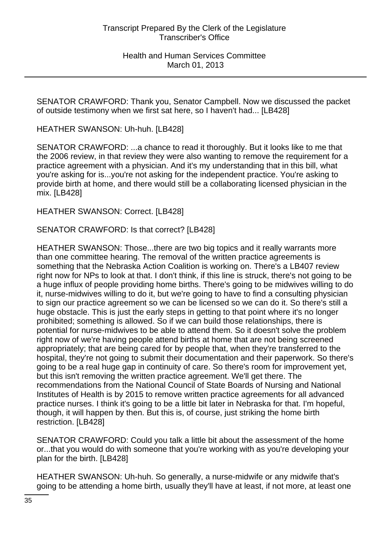SENATOR CRAWFORD: Thank you, Senator Campbell. Now we discussed the packet of outside testimony when we first sat here, so I haven't had... [LB428]

HEATHER SWANSON: Uh-huh. [LB428]

SENATOR CRAWFORD: ...a chance to read it thoroughly. But it looks like to me that the 2006 review, in that review they were also wanting to remove the requirement for a practice agreement with a physician. And it's my understanding that in this bill, what you're asking for is...you're not asking for the independent practice. You're asking to provide birth at home, and there would still be a collaborating licensed physician in the mix. [LB428]

HEATHER SWANSON: Correct. [LB428]

SENATOR CRAWFORD: Is that correct? [LB428]

HEATHER SWANSON: Those...there are two big topics and it really warrants more than one committee hearing. The removal of the written practice agreements is something that the Nebraska Action Coalition is working on. There's a LB407 review right now for NPs to look at that. I don't think, if this line is struck, there's not going to be a huge influx of people providing home births. There's going to be midwives willing to do it, nurse-midwives willing to do it, but we're going to have to find a consulting physician to sign our practice agreement so we can be licensed so we can do it. So there's still a huge obstacle. This is just the early steps in getting to that point where it's no longer prohibited; something is allowed. So if we can build those relationships, there is potential for nurse-midwives to be able to attend them. So it doesn't solve the problem right now of we're having people attend births at home that are not being screened appropriately; that are being cared for by people that, when they're transferred to the hospital, they're not going to submit their documentation and their paperwork. So there's going to be a real huge gap in continuity of care. So there's room for improvement yet, but this isn't removing the written practice agreement. We'll get there. The recommendations from the National Council of State Boards of Nursing and National Institutes of Health is by 2015 to remove written practice agreements for all advanced practice nurses. I think it's going to be a little bit later in Nebraska for that. I'm hopeful, though, it will happen by then. But this is, of course, just striking the home birth restriction. [LB428]

SENATOR CRAWFORD: Could you talk a little bit about the assessment of the home or...that you would do with someone that you're working with as you're developing your plan for the birth. [LB428]

HEATHER SWANSON: Uh-huh. So generally, a nurse-midwife or any midwife that's going to be attending a home birth, usually they'll have at least, if not more, at least one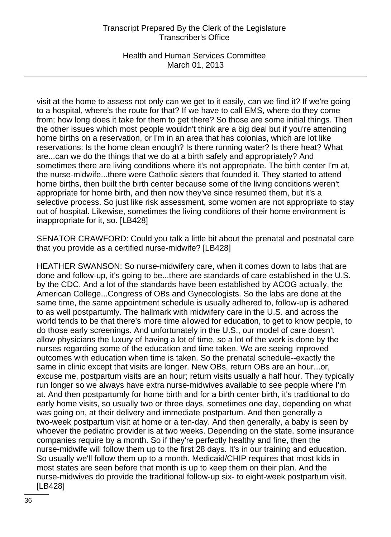Health and Human Services Committee March 01, 2013

visit at the home to assess not only can we get to it easily, can we find it? If we're going to a hospital, where's the route for that? If we have to call EMS, where do they come from; how long does it take for them to get there? So those are some initial things. Then the other issues which most people wouldn't think are a big deal but if you're attending home births on a reservation, or I'm in an area that has colonias, which are lot like reservations: Is the home clean enough? Is there running water? Is there heat? What are...can we do the things that we do at a birth safely and appropriately? And sometimes there are living conditions where it's not appropriate. The birth center I'm at, the nurse-midwife...there were Catholic sisters that founded it. They started to attend home births, then built the birth center because some of the living conditions weren't appropriate for home birth, and then now they've since resumed them, but it's a selective process. So just like risk assessment, some women are not appropriate to stay out of hospital. Likewise, sometimes the living conditions of their home environment is inappropriate for it, so. [LB428]

SENATOR CRAWFORD: Could you talk a little bit about the prenatal and postnatal care that you provide as a certified nurse-midwife? [LB428]

HEATHER SWANSON: So nurse-midwifery care, when it comes down to labs that are done and follow-up, it's going to be...there are standards of care established in the U.S. by the CDC. And a lot of the standards have been established by ACOG actually, the American College...Congress of OBs and Gynecologists. So the labs are done at the same time, the same appointment schedule is usually adhered to, follow-up is adhered to as well postpartumly. The hallmark with midwifery care in the U.S. and across the world tends to be that there's more time allowed for education, to get to know people, to do those early screenings. And unfortunately in the U.S., our model of care doesn't allow physicians the luxury of having a lot of time, so a lot of the work is done by the nurses regarding some of the education and time taken. We are seeing improved outcomes with education when time is taken. So the prenatal schedule--exactly the same in clinic except that visits are longer. New OBs, return OBs are an hour...or, excuse me, postpartum visits are an hour; return visits usually a half hour. They typically run longer so we always have extra nurse-midwives available to see people where I'm at. And then postpartumly for home birth and for a birth center birth, it's traditional to do early home visits, so usually two or three days, sometimes one day, depending on what was going on, at their delivery and immediate postpartum. And then generally a two-week postpartum visit at home or a ten-day. And then generally, a baby is seen by whoever the pediatric provider is at two weeks. Depending on the state, some insurance companies require by a month. So if they're perfectly healthy and fine, then the nurse-midwife will follow them up to the first 28 days. It's in our training and education. So usually we'll follow them up to a month. Medicaid/CHIP requires that most kids in most states are seen before that month is up to keep them on their plan. And the nurse-midwives do provide the traditional follow-up six- to eight-week postpartum visit. [LB428]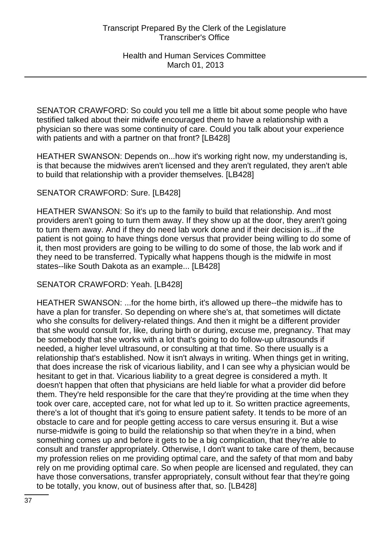SENATOR CRAWFORD: So could you tell me a little bit about some people who have testified talked about their midwife encouraged them to have a relationship with a physician so there was some continuity of care. Could you talk about your experience with patients and with a partner on that front? [LB428]

HEATHER SWANSON: Depends on...how it's working right now, my understanding is, is that because the midwives aren't licensed and they aren't regulated, they aren't able to build that relationship with a provider themselves. [LB428]

# SENATOR CRAWFORD: Sure. [LB428]

HEATHER SWANSON: So it's up to the family to build that relationship. And most providers aren't going to turn them away. If they show up at the door, they aren't going to turn them away. And if they do need lab work done and if their decision is...if the patient is not going to have things done versus that provider being willing to do some of it, then most providers are going to be willing to do some of those, the lab work and if they need to be transferred. Typically what happens though is the midwife in most states--like South Dakota as an example... [LB428]

SENATOR CRAWFORD: Yeah. [LB428]

HEATHER SWANSON: ...for the home birth, it's allowed up there--the midwife has to have a plan for transfer. So depending on where she's at, that sometimes will dictate who she consults for delivery-related things. And then it might be a different provider that she would consult for, like, during birth or during, excuse me, pregnancy. That may be somebody that she works with a lot that's going to do follow-up ultrasounds if needed, a higher level ultrasound, or consulting at that time. So there usually is a relationship that's established. Now it isn't always in writing. When things get in writing, that does increase the risk of vicarious liability, and I can see why a physician would be hesitant to get in that. Vicarious liability to a great degree is considered a myth. It doesn't happen that often that physicians are held liable for what a provider did before them. They're held responsible for the care that they're providing at the time when they took over care, accepted care, not for what led up to it. So written practice agreements, there's a lot of thought that it's going to ensure patient safety. It tends to be more of an obstacle to care and for people getting access to care versus ensuring it. But a wise nurse-midwife is going to build the relationship so that when they're in a bind, when something comes up and before it gets to be a big complication, that they're able to consult and transfer appropriately. Otherwise, I don't want to take care of them, because my profession relies on me providing optimal care, and the safety of that mom and baby rely on me providing optimal care. So when people are licensed and regulated, they can have those conversations, transfer appropriately, consult without fear that they're going to be totally, you know, out of business after that, so. [LB428]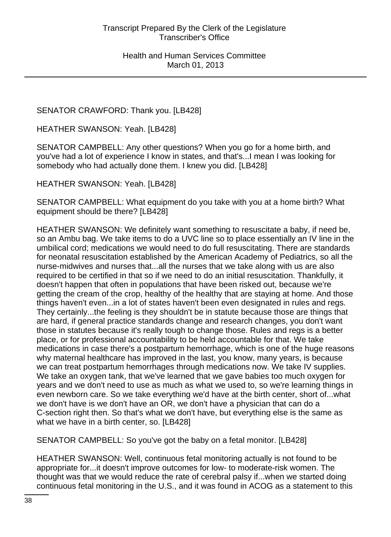# SENATOR CRAWFORD: Thank you. [LB428]

HEATHER SWANSON: Yeah. [LB428]

SENATOR CAMPBELL: Any other questions? When you go for a home birth, and you've had a lot of experience I know in states, and that's...I mean I was looking for somebody who had actually done them. I knew you did. [LB428]

HEATHER SWANSON: Yeah. [LB428]

SENATOR CAMPBELL: What equipment do you take with you at a home birth? What equipment should be there? [LB428]

HEATHER SWANSON: We definitely want something to resuscitate a baby, if need be, so an Ambu bag. We take items to do a UVC line so to place essentially an IV line in the umbilical cord; medications we would need to do full resuscitating. There are standards for neonatal resuscitation established by the American Academy of Pediatrics, so all the nurse-midwives and nurses that...all the nurses that we take along with us are also required to be certified in that so if we need to do an initial resuscitation. Thankfully, it doesn't happen that often in populations that have been risked out, because we're getting the cream of the crop, healthy of the healthy that are staying at home. And those things haven't even...in a lot of states haven't been even designated in rules and regs. They certainly...the feeling is they shouldn't be in statute because those are things that are hard, if general practice standards change and research changes, you don't want those in statutes because it's really tough to change those. Rules and regs is a better place, or for professional accountability to be held accountable for that. We take medications in case there's a postpartum hemorrhage, which is one of the huge reasons why maternal healthcare has improved in the last, you know, many years, is because we can treat postpartum hemorrhages through medications now. We take IV supplies. We take an oxygen tank, that we've learned that we gave babies too much oxygen for years and we don't need to use as much as what we used to, so we're learning things in even newborn care. So we take everything we'd have at the birth center, short of...what we don't have is we don't have an OR, we don't have a physician that can do a C-section right then. So that's what we don't have, but everything else is the same as what we have in a birth center, so. [LB428]

SENATOR CAMPBELL: So you've got the baby on a fetal monitor. [LB428]

HEATHER SWANSON: Well, continuous fetal monitoring actually is not found to be appropriate for...it doesn't improve outcomes for low- to moderate-risk women. The thought was that we would reduce the rate of cerebral palsy if...when we started doing continuous fetal monitoring in the U.S., and it was found in ACOG as a statement to this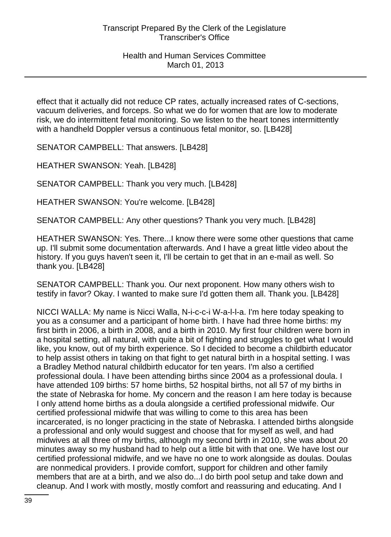effect that it actually did not reduce CP rates, actually increased rates of C-sections, vacuum deliveries, and forceps. So what we do for women that are low to moderate risk, we do intermittent fetal monitoring. So we listen to the heart tones intermittently with a handheld Doppler versus a continuous fetal monitor, so. [LB428]

SENATOR CAMPBELL: That answers. [LB428]

HEATHER SWANSON: Yeah. [LB428]

SENATOR CAMPBELL: Thank you very much. [LB428]

HEATHER SWANSON: You're welcome. [LB428]

SENATOR CAMPBELL: Any other questions? Thank you very much. [LB428]

HEATHER SWANSON: Yes. There...I know there were some other questions that came up. I'll submit some documentation afterwards. And I have a great little video about the history. If you guys haven't seen it, I'll be certain to get that in an e-mail as well. So thank you. [LB428]

SENATOR CAMPBELL: Thank you. Our next proponent. How many others wish to testify in favor? Okay. I wanted to make sure I'd gotten them all. Thank you. [LB428]

NICCI WALLA: My name is Nicci Walla, N-i-c-c-i W-a-l-l-a. I'm here today speaking to you as a consumer and a participant of home birth. I have had three home births: my first birth in 2006, a birth in 2008, and a birth in 2010. My first four children were born in a hospital setting, all natural, with quite a bit of fighting and struggles to get what I would like, you know, out of my birth experience. So I decided to become a childbirth educator to help assist others in taking on that fight to get natural birth in a hospital setting. I was a Bradley Method natural childbirth educator for ten years. I'm also a certified professional doula. I have been attending births since 2004 as a professional doula. I have attended 109 births: 57 home births, 52 hospital births, not all 57 of my births in the state of Nebraska for home. My concern and the reason I am here today is because I only attend home births as a doula alongside a certified professional midwife. Our certified professional midwife that was willing to come to this area has been incarcerated, is no longer practicing in the state of Nebraska. I attended births alongside a professional and only would suggest and choose that for myself as well, and had midwives at all three of my births, although my second birth in 2010, she was about 20 minutes away so my husband had to help out a little bit with that one. We have lost our certified professional midwife, and we have no one to work alongside as doulas. Doulas are nonmedical providers. I provide comfort, support for children and other family members that are at a birth, and we also do...I do birth pool setup and take down and cleanup. And I work with mostly, mostly comfort and reassuring and educating. And I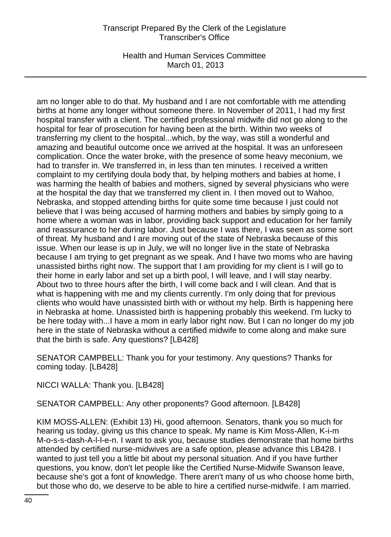Health and Human Services Committee March 01, 2013

am no longer able to do that. My husband and I are not comfortable with me attending births at home any longer without someone there. In November of 2011, I had my first hospital transfer with a client. The certified professional midwife did not go along to the hospital for fear of prosecution for having been at the birth. Within two weeks of transferring my client to the hospital...which, by the way, was still a wonderful and amazing and beautiful outcome once we arrived at the hospital. It was an unforeseen complication. Once the water broke, with the presence of some heavy meconium, we had to transfer in. We transferred in, in less than ten minutes. I received a written complaint to my certifying doula body that, by helping mothers and babies at home, I was harming the health of babies and mothers, signed by several physicians who were at the hospital the day that we transferred my client in. I then moved out to Wahoo, Nebraska, and stopped attending births for quite some time because I just could not believe that I was being accused of harming mothers and babies by simply going to a home where a woman was in labor, providing back support and education for her family and reassurance to her during labor. Just because I was there, I was seen as some sort of threat. My husband and I are moving out of the state of Nebraska because of this issue. When our lease is up in July, we will no longer live in the state of Nebraska because I am trying to get pregnant as we speak. And I have two moms who are having unassisted births right now. The support that I am providing for my client is I will go to their home in early labor and set up a birth pool, I will leave, and I will stay nearby. About two to three hours after the birth, I will come back and I will clean. And that is what is happening with me and my clients currently. I'm only doing that for previous clients who would have unassisted birth with or without my help. Birth is happening here in Nebraska at home. Unassisted birth is happening probably this weekend. I'm lucky to be here today with...I have a mom in early labor right now. But I can no longer do my job here in the state of Nebraska without a certified midwife to come along and make sure that the birth is safe. Any questions? [LB428]

SENATOR CAMPBELL: Thank you for your testimony. Any questions? Thanks for coming today. [LB428]

NICCI WALLA: Thank you. [LB428]

SENATOR CAMPBELL: Any other proponents? Good afternoon. [LB428]

KIM MOSS-ALLEN: (Exhibit 13) Hi, good afternoon. Senators, thank you so much for hearing us today, giving us this chance to speak. My name is Kim Moss-Allen, K-i-m M-o-s-s-dash-A-l-l-e-n. I want to ask you, because studies demonstrate that home births attended by certified nurse-midwives are a safe option, please advance this LB428. I wanted to just tell you a little bit about my personal situation. And if you have further questions, you know, don't let people like the Certified Nurse-Midwife Swanson leave, because she's got a font of knowledge. There aren't many of us who choose home birth, but those who do, we deserve to be able to hire a certified nurse-midwife. I am married.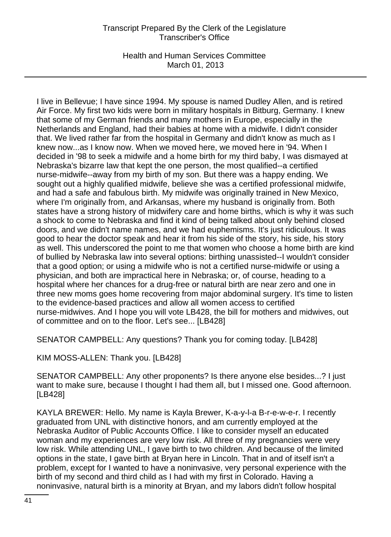Health and Human Services Committee March 01, 2013

I live in Bellevue; I have since 1994. My spouse is named Dudley Allen, and is retired Air Force. My first two kids were born in military hospitals in Bitburg, Germany. I knew that some of my German friends and many mothers in Europe, especially in the Netherlands and England, had their babies at home with a midwife. I didn't consider that. We lived rather far from the hospital in Germany and didn't know as much as I knew now...as I know now. When we moved here, we moved here in '94. When I decided in '98 to seek a midwife and a home birth for my third baby, I was dismayed at Nebraska's bizarre law that kept the one person, the most qualified--a certified nurse-midwife--away from my birth of my son. But there was a happy ending. We sought out a highly qualified midwife, believe she was a certified professional midwife, and had a safe and fabulous birth. My midwife was originally trained in New Mexico, where I'm originally from, and Arkansas, where my husband is originally from. Both states have a strong history of midwifery care and home births, which is why it was such a shock to come to Nebraska and find it kind of being talked about only behind closed doors, and we didn't name names, and we had euphemisms. It's just ridiculous. It was good to hear the doctor speak and hear it from his side of the story, his side, his story as well. This underscored the point to me that women who choose a home birth are kind of bullied by Nebraska law into several options: birthing unassisted--I wouldn't consider that a good option; or using a midwife who is not a certified nurse-midwife or using a physician, and both are impractical here in Nebraska; or, of course, heading to a hospital where her chances for a drug-free or natural birth are near zero and one in three new moms goes home recovering from major abdominal surgery. It's time to listen to the evidence-based practices and allow all women access to certified nurse-midwives. And I hope you will vote LB428, the bill for mothers and midwives, out of committee and on to the floor. Let's see... [LB428]

SENATOR CAMPBELL: Any questions? Thank you for coming today. [LB428]

KIM MOSS-ALLEN: Thank you. [LB428]

SENATOR CAMPBELL: Any other proponents? Is there anyone else besides...? I just want to make sure, because I thought I had them all, but I missed one. Good afternoon. [LB428]

KAYLA BREWER: Hello. My name is Kayla Brewer, K-a-y-l-a B-r-e-w-e-r. I recently graduated from UNL with distinctive honors, and am currently employed at the Nebraska Auditor of Public Accounts Office. I like to consider myself an educated woman and my experiences are very low risk. All three of my pregnancies were very low risk. While attending UNL, I gave birth to two children. And because of the limited options in the state, I gave birth at Bryan here in Lincoln. That in and of itself isn't a problem, except for I wanted to have a noninvasive, very personal experience with the birth of my second and third child as I had with my first in Colorado. Having a noninvasive, natural birth is a minority at Bryan, and my labors didn't follow hospital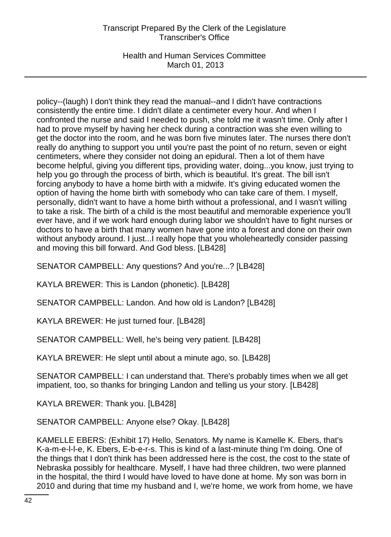Health and Human Services Committee March 01, 2013

policy--(laugh) I don't think they read the manual--and I didn't have contractions consistently the entire time. I didn't dilate a centimeter every hour. And when I confronted the nurse and said I needed to push, she told me it wasn't time. Only after I had to prove myself by having her check during a contraction was she even willing to get the doctor into the room, and he was born five minutes later. The nurses there don't really do anything to support you until you're past the point of no return, seven or eight centimeters, where they consider not doing an epidural. Then a lot of them have become helpful, giving you different tips, providing water, doing...you know, just trying to help you go through the process of birth, which is beautiful. It's great. The bill isn't forcing anybody to have a home birth with a midwife. It's giving educated women the option of having the home birth with somebody who can take care of them. I myself, personally, didn't want to have a home birth without a professional, and I wasn't willing to take a risk. The birth of a child is the most beautiful and memorable experience you'll ever have, and if we work hard enough during labor we shouldn't have to fight nurses or doctors to have a birth that many women have gone into a forest and done on their own without anybody around. I just...I really hope that you wholeheartedly consider passing and moving this bill forward. And God bless. [LB428]

SENATOR CAMPBELL: Any questions? And you're...? [LB428]

KAYLA BREWER: This is Landon (phonetic). [LB428]

SENATOR CAMPBELL: Landon. And how old is Landon? [LB428]

KAYLA BREWER: He just turned four. [LB428]

SENATOR CAMPBELL: Well, he's being very patient. [LB428]

KAYLA BREWER: He slept until about a minute ago, so. [LB428]

SENATOR CAMPBELL: I can understand that. There's probably times when we all get impatient, too, so thanks for bringing Landon and telling us your story. [LB428]

KAYLA BREWER: Thank you. [LB428]

SENATOR CAMPBELL: Anyone else? Okay. [LB428]

KAMELLE EBERS: (Exhibit 17) Hello, Senators. My name is Kamelle K. Ebers, that's K-a-m-e-l-l-e, K. Ebers, E-b-e-r-s. This is kind of a last-minute thing I'm doing. One of the things that I don't think has been addressed here is the cost, the cost to the state of Nebraska possibly for healthcare. Myself, I have had three children, two were planned in the hospital, the third I would have loved to have done at home. My son was born in 2010 and during that time my husband and I, we're home, we work from home, we have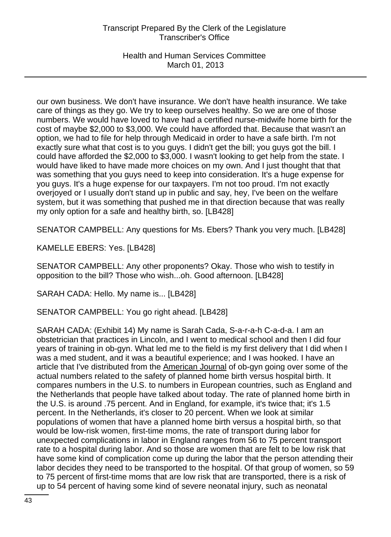Health and Human Services Committee March 01, 2013

our own business. We don't have insurance. We don't have health insurance. We take care of things as they go. We try to keep ourselves healthy. So we are one of those numbers. We would have loved to have had a certified nurse-midwife home birth for the cost of maybe \$2,000 to \$3,000. We could have afforded that. Because that wasn't an option, we had to file for help through Medicaid in order to have a safe birth. I'm not exactly sure what that cost is to you guys. I didn't get the bill; you guys got the bill. I could have afforded the \$2,000 to \$3,000. I wasn't looking to get help from the state. I would have liked to have made more choices on my own. And I just thought that that was something that you guys need to keep into consideration. It's a huge expense for you guys. It's a huge expense for our taxpayers. I'm not too proud. I'm not exactly overjoyed or I usually don't stand up in public and say, hey, I've been on the welfare system, but it was something that pushed me in that direction because that was really my only option for a safe and healthy birth, so. [LB428]

SENATOR CAMPBELL: Any questions for Ms. Ebers? Thank you very much. [LB428]

KAMELLE EBERS: Yes. [LB428]

SENATOR CAMPBELL: Any other proponents? Okay. Those who wish to testify in opposition to the bill? Those who wish...oh. Good afternoon. [LB428]

SARAH CADA: Hello. My name is... [LB428]

SENATOR CAMPBELL: You go right ahead. [LB428]

SARAH CADA: (Exhibit 14) My name is Sarah Cada, S-a-r-a-h C-a-d-a. I am an obstetrician that practices in Lincoln, and I went to medical school and then I did four years of training in ob-gyn. What led me to the field is my first delivery that I did when I was a med student, and it was a beautiful experience; and I was hooked. I have an article that I've distributed from the American Journal of ob-gyn going over some of the actual numbers related to the safety of planned home birth versus hospital birth. It compares numbers in the U.S. to numbers in European countries, such as England and the Netherlands that people have talked about today. The rate of planned home birth in the U.S. is around .75 percent. And in England, for example, it's twice that; it's 1.5 percent. In the Netherlands, it's closer to 20 percent. When we look at similar populations of women that have a planned home birth versus a hospital birth, so that would be low-risk women, first-time moms, the rate of transport during labor for unexpected complications in labor in England ranges from 56 to 75 percent transport rate to a hospital during labor. And so those are women that are felt to be low risk that have some kind of complication come up during the labor that the person attending their labor decides they need to be transported to the hospital. Of that group of women, so 59 to 75 percent of first-time moms that are low risk that are transported, there is a risk of up to 54 percent of having some kind of severe neonatal injury, such as neonatal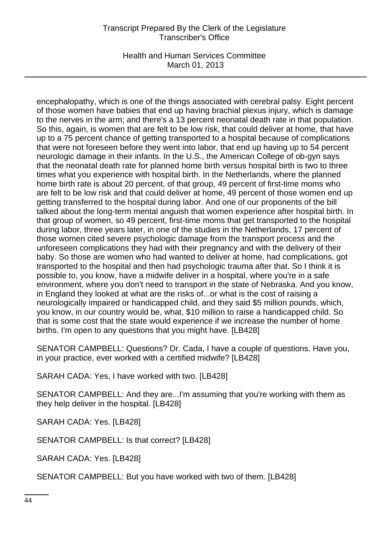Health and Human Services Committee March 01, 2013

encephalopathy, which is one of the things associated with cerebral palsy. Eight percent of those women have babies that end up having brachial plexus injury, which is damage to the nerves in the arm; and there's a 13 percent neonatal death rate in that population. So this, again, is women that are felt to be low risk, that could deliver at home, that have up to a 75 percent chance of getting transported to a hospital because of complications that were not foreseen before they went into labor, that end up having up to 54 percent neurologic damage in their infants. In the U.S., the American College of ob-gyn says that the neonatal death rate for planned home birth versus hospital birth is two to three times what you experience with hospital birth. In the Netherlands, where the planned home birth rate is about 20 percent, of that group, 49 percent of first-time moms who are felt to be low risk and that could deliver at home, 49 percent of those women end up getting transferred to the hospital during labor. And one of our proponents of the bill talked about the long-term mental anguish that women experience after hospital birth. In that group of women, so 49 percent, first-time moms that get transported to the hospital during labor, three years later, in one of the studies in the Netherlands, 17 percent of those women cited severe psychologic damage from the transport process and the unforeseen complications they had with their pregnancy and with the delivery of their baby. So those are women who had wanted to deliver at home, had complications, got transported to the hospital and then had psychologic trauma after that. So I think it is possible to, you know, have a midwife deliver in a hospital, where you're in a safe environment, where you don't need to transport in the state of Nebraska. And you know, in England they looked at what are the risks of...or what is the cost of raising a neurologically impaired or handicapped child, and they said \$5 million pounds, which, you know, in our country would be, what, \$10 million to raise a handicapped child. So that is some cost that the state would experience if we increase the number of home births. I'm open to any questions that you might have. [LB428]

SENATOR CAMPBELL: Questions? Dr. Cada, I have a couple of questions. Have you, in your practice, ever worked with a certified midwife? [LB428]

SARAH CADA: Yes, I have worked with two. [LB428]

SENATOR CAMPBELL: And they are...I'm assuming that you're working with them as they help deliver in the hospital. [LB428]

SARAH CADA: Yes. [LB428]

SENATOR CAMPBELL: Is that correct? [LB428]

SARAH CADA: Yes. [LB428]

SENATOR CAMPBELL: But you have worked with two of them. [LB428]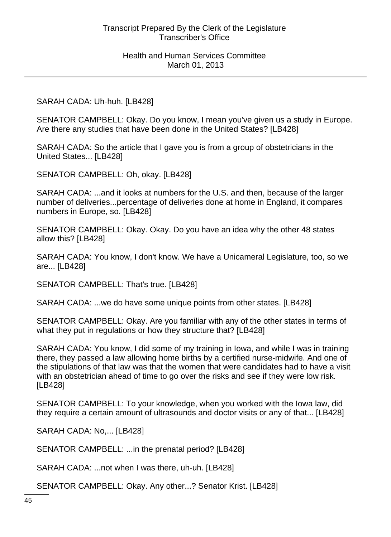#### SARAH CADA: Uh-huh. [LB428]

SENATOR CAMPBELL: Okay. Do you know, I mean you've given us a study in Europe. Are there any studies that have been done in the United States? [LB428]

SARAH CADA: So the article that I gave you is from a group of obstetricians in the United States... [LB428]

SENATOR CAMPBELL: Oh, okay. [LB428]

SARAH CADA: ...and it looks at numbers for the U.S. and then, because of the larger number of deliveries...percentage of deliveries done at home in England, it compares numbers in Europe, so. [LB428]

SENATOR CAMPBELL: Okay. Okay. Do you have an idea why the other 48 states allow this? [LB428]

SARAH CADA: You know, I don't know. We have a Unicameral Legislature, too, so we are... [LB428]

SENATOR CAMPBELL: That's true. [LB428]

SARAH CADA: ...we do have some unique points from other states. [LB428]

SENATOR CAMPBELL: Okay. Are you familiar with any of the other states in terms of what they put in regulations or how they structure that? [LB428]

SARAH CADA: You know, I did some of my training in Iowa, and while I was in training there, they passed a law allowing home births by a certified nurse-midwife. And one of the stipulations of that law was that the women that were candidates had to have a visit with an obstetrician ahead of time to go over the risks and see if they were low risk. [LB428]

SENATOR CAMPBELL: To your knowledge, when you worked with the Iowa law, did they require a certain amount of ultrasounds and doctor visits or any of that... [LB428]

SARAH CADA: No,... [LB428]

SENATOR CAMPBELL: ...in the prenatal period? [LB428]

SARAH CADA: ...not when I was there, uh-uh. [LB428]

SENATOR CAMPBELL: Okay. Any other...? Senator Krist. [LB428]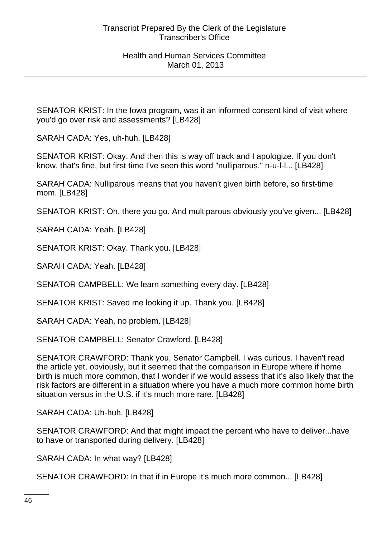SENATOR KRIST: In the Iowa program, was it an informed consent kind of visit where you'd go over risk and assessments? [LB428]

SARAH CADA: Yes, uh-huh. [LB428]

SENATOR KRIST: Okay. And then this is way off track and I apologize. If you don't know, that's fine, but first time I've seen this word "nulliparous," n-u-l-l... [LB428]

SARAH CADA: Nulliparous means that you haven't given birth before, so first-time mom. [LB428]

SENATOR KRIST: Oh, there you go. And multiparous obviously you've given... [LB428]

SARAH CADA: Yeah. [LB428]

SENATOR KRIST: Okay. Thank you. [LB428]

SARAH CADA: Yeah. [LB428]

SENATOR CAMPBELL: We learn something every day. [LB428]

SENATOR KRIST: Saved me looking it up. Thank you. [LB428]

SARAH CADA: Yeah, no problem. [LB428]

SENATOR CAMPBELL: Senator Crawford. [LB428]

SENATOR CRAWFORD: Thank you, Senator Campbell. I was curious. I haven't read the article yet, obviously, but it seemed that the comparison in Europe where if home birth is much more common, that I wonder if we would assess that it's also likely that the risk factors are different in a situation where you have a much more common home birth situation versus in the U.S. if it's much more rare. [LB428]

SARAH CADA: Uh-huh. [LB428]

SENATOR CRAWFORD: And that might impact the percent who have to deliver...have to have or transported during delivery. [LB428]

SARAH CADA: In what way? [LB428]

SENATOR CRAWFORD: In that if in Europe it's much more common... [LB428]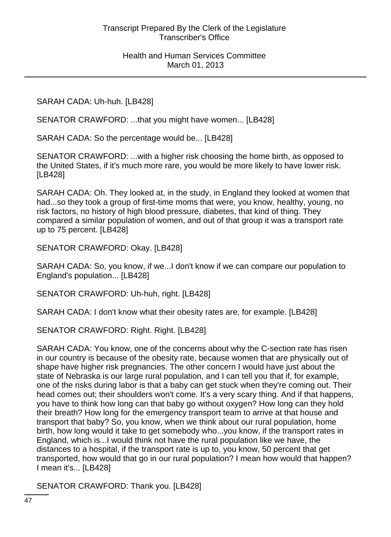SARAH CADA: Uh-huh. [LB428]

SENATOR CRAWFORD: ...that you might have women... [LB428]

SARAH CADA: So the percentage would be... [LB428]

SENATOR CRAWFORD: ...with a higher risk choosing the home birth, as opposed to the United States, if it's much more rare, you would be more likely to have lower risk. [LB428]

SARAH CADA: Oh. They looked at, in the study, in England they looked at women that had...so they took a group of first-time moms that were, you know, healthy, young, no risk factors, no history of high blood pressure, diabetes, that kind of thing. They compared a similar population of women, and out of that group it was a transport rate up to 75 percent. [LB428]

SENATOR CRAWFORD: Okay. [LB428]

SARAH CADA: So, you know, if we...I don't know if we can compare our population to England's population... [LB428]

SENATOR CRAWFORD: Uh-huh, right. [LB428]

SARAH CADA: I don't know what their obesity rates are, for example. [LB428]

SENATOR CRAWFORD: Right. Right. [LB428]

SARAH CADA: You know, one of the concerns about why the C-section rate has risen in our country is because of the obesity rate, because women that are physically out of shape have higher risk pregnancies. The other concern I would have just about the state of Nebraska is our large rural population, and I can tell you that if, for example, one of the risks during labor is that a baby can get stuck when they're coming out. Their head comes out; their shoulders won't come. It's a very scary thing. And if that happens, you have to think how long can that baby go without oxygen? How long can they hold their breath? How long for the emergency transport team to arrive at that house and transport that baby? So, you know, when we think about our rural population, home birth, how long would it take to get somebody who...you know, if the transport rates in England, which is...I would think not have the rural population like we have, the distances to a hospital, if the transport rate is up to, you know, 50 percent that get transported, how would that go in our rural population? I mean how would that happen? I mean it's... [LB428]

SENATOR CRAWFORD: Thank you. [LB428]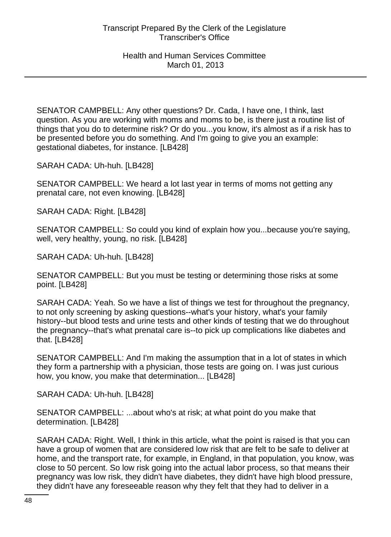SENATOR CAMPBELL: Any other questions? Dr. Cada, I have one, I think, last question. As you are working with moms and moms to be, is there just a routine list of things that you do to determine risk? Or do you...you know, it's almost as if a risk has to be presented before you do something. And I'm going to give you an example: gestational diabetes, for instance. [LB428]

SARAH CADA: Uh-huh. [LB428]

SENATOR CAMPBELL: We heard a lot last year in terms of moms not getting any prenatal care, not even knowing. [LB428]

SARAH CADA: Right. [LB428]

SENATOR CAMPBELL: So could you kind of explain how you...because you're saying, well, very healthy, young, no risk. [LB428]

SARAH CADA: Uh-huh. [LB428]

SENATOR CAMPBELL: But you must be testing or determining those risks at some point. [LB428]

SARAH CADA: Yeah. So we have a list of things we test for throughout the pregnancy, to not only screening by asking questions--what's your history, what's your family history--but blood tests and urine tests and other kinds of testing that we do throughout the pregnancy--that's what prenatal care is--to pick up complications like diabetes and that. [LB428]

SENATOR CAMPBELL: And I'm making the assumption that in a lot of states in which they form a partnership with a physician, those tests are going on. I was just curious how, you know, you make that determination... [LB428]

SARAH CADA: Uh-huh. [LB428]

SENATOR CAMPBELL: ...about who's at risk; at what point do you make that determination. [LB428]

SARAH CADA: Right. Well, I think in this article, what the point is raised is that you can have a group of women that are considered low risk that are felt to be safe to deliver at home, and the transport rate, for example, in England, in that population, you know, was close to 50 percent. So low risk going into the actual labor process, so that means their pregnancy was low risk, they didn't have diabetes, they didn't have high blood pressure, they didn't have any foreseeable reason why they felt that they had to deliver in a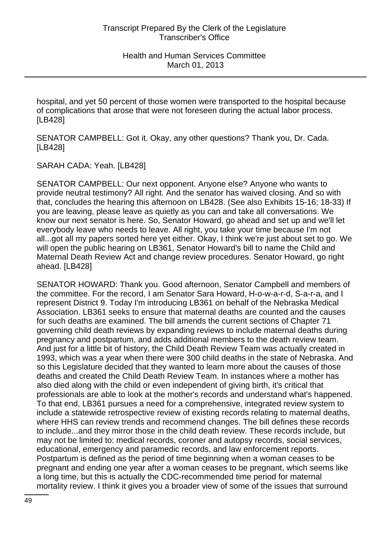hospital, and yet 50 percent of those women were transported to the hospital because of complications that arose that were not foreseen during the actual labor process. [LB428]

SENATOR CAMPBELL: Got it. Okay, any other questions? Thank you, Dr. Cada. [LB428]

SARAH CADA: Yeah. [LB428]

SENATOR CAMPBELL: Our next opponent. Anyone else? Anyone who wants to provide neutral testimony? All right. And the senator has waived closing. And so with that, concludes the hearing this afternoon on LB428. (See also Exhibits 15-16; 18-33) If you are leaving, please leave as quietly as you can and take all conversations. We know our next senator is here. So, Senator Howard, go ahead and set up and we'll let everybody leave who needs to leave. All right, you take your time because I'm not all...got all my papers sorted here yet either. Okay, I think we're just about set to go. We will open the public hearing on LB361, Senator Howard's bill to name the Child and Maternal Death Review Act and change review procedures. Senator Howard, go right ahead. [LB428]

SENATOR HOWARD: Thank you. Good afternoon, Senator Campbell and members of the committee. For the record, I am Senator Sara Howard, H-o-w-a-r-d, S-a-r-a, and I represent District 9. Today I'm introducing LB361 on behalf of the Nebraska Medical Association. LB361 seeks to ensure that maternal deaths are counted and the causes for such deaths are examined. The bill amends the current sections of Chapter 71 governing child death reviews by expanding reviews to include maternal deaths during pregnancy and postpartum, and adds additional members to the death review team. And just for a little bit of history, the Child Death Review Team was actually created in 1993, which was a year when there were 300 child deaths in the state of Nebraska. And so this Legislature decided that they wanted to learn more about the causes of those deaths and created the Child Death Review Team. In instances where a mother has also died along with the child or even independent of giving birth, it's critical that professionals are able to look at the mother's records and understand what's happened. To that end, LB361 pursues a need for a comprehensive, integrated review system to include a statewide retrospective review of existing records relating to maternal deaths, where HHS can review trends and recommend changes. The bill defines these records to include...and they mirror those in the child death review. These records include, but may not be limited to: medical records, coroner and autopsy records, social services, educational, emergency and paramedic records, and law enforcement reports. Postpartum is defined as the period of time beginning when a woman ceases to be pregnant and ending one year after a woman ceases to be pregnant, which seems like a long time, but this is actually the CDC-recommended time period for maternal mortality review. I think it gives you a broader view of some of the issues that surround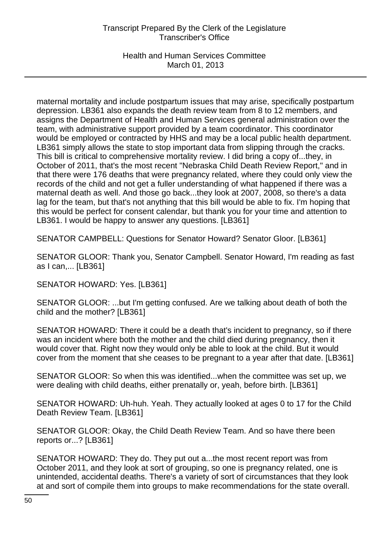Health and Human Services Committee March 01, 2013

maternal mortality and include postpartum issues that may arise, specifically postpartum depression. LB361 also expands the death review team from 8 to 12 members, and assigns the Department of Health and Human Services general administration over the team, with administrative support provided by a team coordinator. This coordinator would be employed or contracted by HHS and may be a local public health department. LB361 simply allows the state to stop important data from slipping through the cracks. This bill is critical to comprehensive mortality review. I did bring a copy of...they, in October of 2011, that's the most recent "Nebraska Child Death Review Report," and in that there were 176 deaths that were pregnancy related, where they could only view the records of the child and not get a fuller understanding of what happened if there was a maternal death as well. And those go back...they look at 2007, 2008, so there's a data lag for the team, but that's not anything that this bill would be able to fix. I'm hoping that this would be perfect for consent calendar, but thank you for your time and attention to LB361. I would be happy to answer any questions. [LB361]

SENATOR CAMPBELL: Questions for Senator Howard? Senator Gloor. [LB361]

SENATOR GLOOR: Thank you, Senator Campbell. Senator Howard, I'm reading as fast as I can,... [LB361]

SENATOR HOWARD: Yes. [LB361]

SENATOR GLOOR: ...but I'm getting confused. Are we talking about death of both the child and the mother? [LB361]

SENATOR HOWARD: There it could be a death that's incident to pregnancy, so if there was an incident where both the mother and the child died during pregnancy, then it would cover that. Right now they would only be able to look at the child. But it would cover from the moment that she ceases to be pregnant to a year after that date. [LB361]

SENATOR GLOOR: So when this was identified...when the committee was set up, we were dealing with child deaths, either prenatally or, yeah, before birth. [LB361]

SENATOR HOWARD: Uh-huh. Yeah. They actually looked at ages 0 to 17 for the Child Death Review Team. [LB361]

SENATOR GLOOR: Okay, the Child Death Review Team. And so have there been reports or...? [LB361]

SENATOR HOWARD: They do. They put out a...the most recent report was from October 2011, and they look at sort of grouping, so one is pregnancy related, one is unintended, accidental deaths. There's a variety of sort of circumstances that they look at and sort of compile them into groups to make recommendations for the state overall.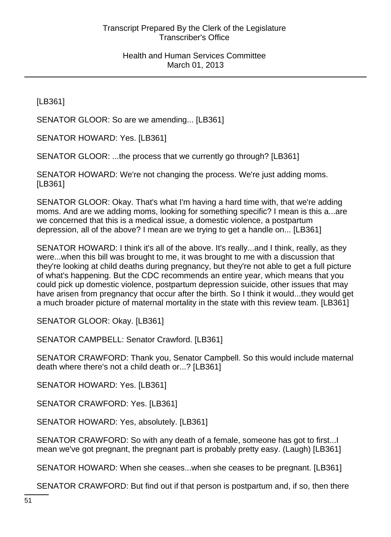[LB361]

SENATOR GLOOR: So are we amending... [LB361]

SENATOR HOWARD: Yes. [LB361]

SENATOR GLOOR: ...the process that we currently go through? [LB361]

SENATOR HOWARD: We're not changing the process. We're just adding moms. [LB361]

SENATOR GLOOR: Okay. That's what I'm having a hard time with, that we're adding moms. And are we adding moms, looking for something specific? I mean is this a...are we concerned that this is a medical issue, a domestic violence, a postpartum depression, all of the above? I mean are we trying to get a handle on... [LB361]

SENATOR HOWARD: I think it's all of the above. It's really...and I think, really, as they were...when this bill was brought to me, it was brought to me with a discussion that they're looking at child deaths during pregnancy, but they're not able to get a full picture of what's happening. But the CDC recommends an entire year, which means that you could pick up domestic violence, postpartum depression suicide, other issues that may have arisen from pregnancy that occur after the birth. So I think it would...they would get a much broader picture of maternal mortality in the state with this review team. [LB361]

SENATOR GLOOR: Okay. [LB361]

SENATOR CAMPBELL: Senator Crawford. [LB361]

SENATOR CRAWFORD: Thank you, Senator Campbell. So this would include maternal death where there's not a child death or...? [LB361]

SENATOR HOWARD: Yes. [LB361]

SENATOR CRAWFORD: Yes. [LB361]

SENATOR HOWARD: Yes, absolutely. [LB361]

SENATOR CRAWFORD: So with any death of a female, someone has got to first...I mean we've got pregnant, the pregnant part is probably pretty easy. (Laugh) [LB361]

SENATOR HOWARD: When she ceases...when she ceases to be pregnant. [LB361]

SENATOR CRAWFORD: But find out if that person is postpartum and, if so, then there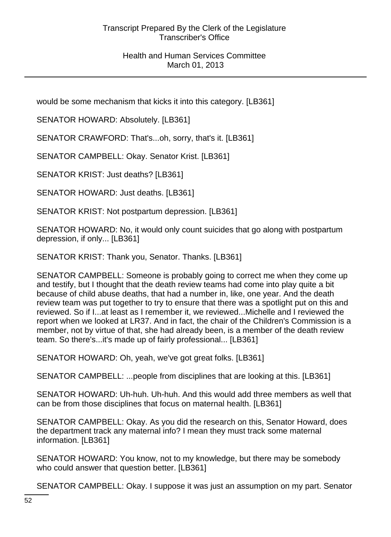would be some mechanism that kicks it into this category. [LB361]

SENATOR HOWARD: Absolutely. [LB361]

SENATOR CRAWFORD: That's...oh, sorry, that's it. [LB361]

SENATOR CAMPBELL: Okay. Senator Krist. [LB361]

SENATOR KRIST: Just deaths? [LB361]

SENATOR HOWARD: Just deaths. [LB361]

SENATOR KRIST: Not postpartum depression. [LB361]

SENATOR HOWARD: No, it would only count suicides that go along with postpartum depression, if only... [LB361]

SENATOR KRIST: Thank you, Senator. Thanks. [LB361]

SENATOR CAMPBELL: Someone is probably going to correct me when they come up and testify, but I thought that the death review teams had come into play quite a bit because of child abuse deaths, that had a number in, like, one year. And the death review team was put together to try to ensure that there was a spotlight put on this and reviewed. So if I...at least as I remember it, we reviewed...Michelle and I reviewed the report when we looked at LR37. And in fact, the chair of the Children's Commission is a member, not by virtue of that, she had already been, is a member of the death review team. So there's...it's made up of fairly professional... [LB361]

SENATOR HOWARD: Oh, yeah, we've got great folks. [LB361]

SENATOR CAMPBELL: ...people from disciplines that are looking at this. [LB361]

SENATOR HOWARD: Uh-huh. Uh-huh. And this would add three members as well that can be from those disciplines that focus on maternal health. [LB361]

SENATOR CAMPBELL: Okay. As you did the research on this, Senator Howard, does the department track any maternal info? I mean they must track some maternal information. [LB361]

SENATOR HOWARD: You know, not to my knowledge, but there may be somebody who could answer that question better. [LB361]

SENATOR CAMPBELL: Okay. I suppose it was just an assumption on my part. Senator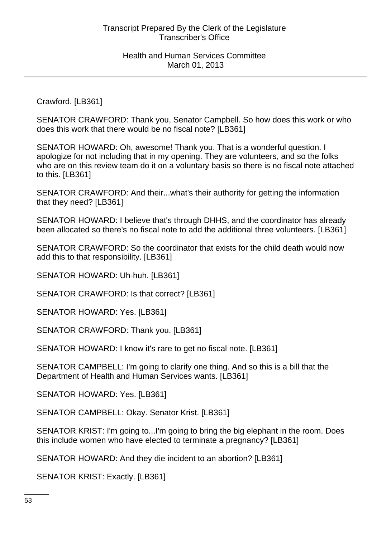Crawford. [LB361]

SENATOR CRAWFORD: Thank you, Senator Campbell. So how does this work or who does this work that there would be no fiscal note? [LB361]

SENATOR HOWARD: Oh, awesome! Thank you. That is a wonderful question. I apologize for not including that in my opening. They are volunteers, and so the folks who are on this review team do it on a voluntary basis so there is no fiscal note attached to this. [LB361]

SENATOR CRAWFORD: And their...what's their authority for getting the information that they need? [LB361]

SENATOR HOWARD: I believe that's through DHHS, and the coordinator has already been allocated so there's no fiscal note to add the additional three volunteers. [LB361]

SENATOR CRAWFORD: So the coordinator that exists for the child death would now add this to that responsibility. [LB361]

SENATOR HOWARD: Uh-huh. [LB361]

SENATOR CRAWFORD: Is that correct? [LB361]

SENATOR HOWARD: Yes. [LB361]

SENATOR CRAWFORD: Thank you. [LB361]

SENATOR HOWARD: I know it's rare to get no fiscal note. [LB361]

SENATOR CAMPBELL: I'm going to clarify one thing. And so this is a bill that the Department of Health and Human Services wants. [LB361]

SENATOR HOWARD: Yes. [LB361]

SENATOR CAMPBELL: Okay. Senator Krist. [LB361]

SENATOR KRIST: I'm going to...I'm going to bring the big elephant in the room. Does this include women who have elected to terminate a pregnancy? [LB361]

SENATOR HOWARD: And they die incident to an abortion? [LB361]

SENATOR KRIST: Exactly. [LB361]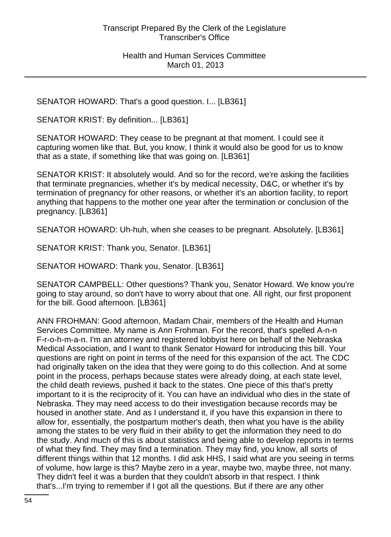SENATOR HOWARD: That's a good question. I... [LB361]

SENATOR KRIST: By definition... [LB361]

SENATOR HOWARD: They cease to be pregnant at that moment. I could see it capturing women like that. But, you know, I think it would also be good for us to know that as a state, if something like that was going on. [LB361]

SENATOR KRIST: It absolutely would. And so for the record, we're asking the facilities that terminate pregnancies, whether it's by medical necessity, D&C, or whether it's by termination of pregnancy for other reasons, or whether it's an abortion facility, to report anything that happens to the mother one year after the termination or conclusion of the pregnancy. [LB361]

SENATOR HOWARD: Uh-huh, when she ceases to be pregnant. Absolutely. [LB361]

SENATOR KRIST: Thank you, Senator. [LB361]

SENATOR HOWARD: Thank you, Senator. [LB361]

SENATOR CAMPBELL: Other questions? Thank you, Senator Howard. We know you're going to stay around, so don't have to worry about that one. All right, our first proponent for the bill. Good afternoon. [LB361]

ANN FROHMAN: Good afternoon, Madam Chair, members of the Health and Human Services Committee. My name is Ann Frohman. For the record, that's spelled A-n-n F-r-o-h-m-a-n. I'm an attorney and registered lobbyist here on behalf of the Nebraska Medical Association, and I want to thank Senator Howard for introducing this bill. Your questions are right on point in terms of the need for this expansion of the act. The CDC had originally taken on the idea that they were going to do this collection. And at some point in the process, perhaps because states were already doing, at each state level, the child death reviews, pushed it back to the states. One piece of this that's pretty important to it is the reciprocity of it. You can have an individual who dies in the state of Nebraska. They may need access to do their investigation because records may be housed in another state. And as I understand it, if you have this expansion in there to allow for, essentially, the postpartum mother's death, then what you have is the ability among the states to be very fluid in their ability to get the information they need to do the study. And much of this is about statistics and being able to develop reports in terms of what they find. They may find a termination. They may find, you know, all sorts of different things within that 12 months. I did ask HHS, I said what are you seeing in terms of volume, how large is this? Maybe zero in a year, maybe two, maybe three, not many. They didn't feel it was a burden that they couldn't absorb in that respect. I think that's...I'm trying to remember if I got all the questions. But if there are any other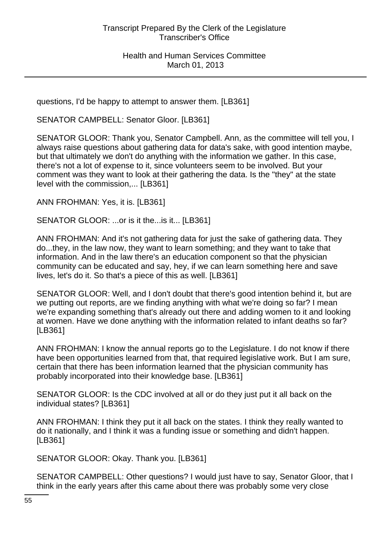questions, I'd be happy to attempt to answer them. [LB361]

SENATOR CAMPBELL: Senator Gloor. [LB361]

SENATOR GLOOR: Thank you, Senator Campbell. Ann, as the committee will tell you, I always raise questions about gathering data for data's sake, with good intention maybe, but that ultimately we don't do anything with the information we gather. In this case, there's not a lot of expense to it, since volunteers seem to be involved. But your comment was they want to look at their gathering the data. Is the "they" at the state level with the commission,... [LB361]

ANN FROHMAN: Yes, it is. [LB361]

SENATOR GLOOR: ...or is it the...is it... [LB361]

ANN FROHMAN: And it's not gathering data for just the sake of gathering data. They do...they, in the law now, they want to learn something; and they want to take that information. And in the law there's an education component so that the physician community can be educated and say, hey, if we can learn something here and save lives, let's do it. So that's a piece of this as well. [LB361]

SENATOR GLOOR: Well, and I don't doubt that there's good intention behind it, but are we putting out reports, are we finding anything with what we're doing so far? I mean we're expanding something that's already out there and adding women to it and looking at women. Have we done anything with the information related to infant deaths so far? [LB361]

ANN FROHMAN: I know the annual reports go to the Legislature. I do not know if there have been opportunities learned from that, that required legislative work. But I am sure, certain that there has been information learned that the physician community has probably incorporated into their knowledge base. [LB361]

SENATOR GLOOR: Is the CDC involved at all or do they just put it all back on the individual states? [LB361]

ANN FROHMAN: I think they put it all back on the states. I think they really wanted to do it nationally, and I think it was a funding issue or something and didn't happen. [LB361]

SENATOR GLOOR: Okay. Thank you. [LB361]

SENATOR CAMPBELL: Other questions? I would just have to say, Senator Gloor, that I think in the early years after this came about there was probably some very close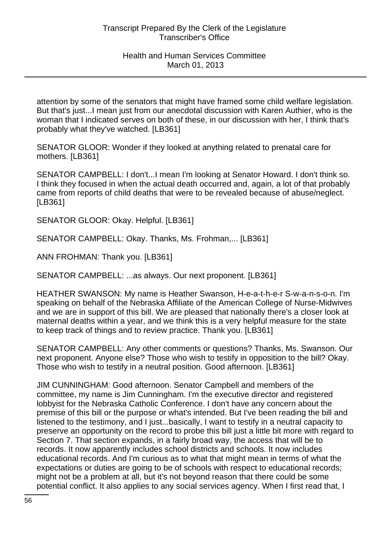attention by some of the senators that might have framed some child welfare legislation. But that's just...I mean just from our anecdotal discussion with Karen Authier, who is the woman that I indicated serves on both of these, in our discussion with her, I think that's probably what they've watched. [LB361]

SENATOR GLOOR: Wonder if they looked at anything related to prenatal care for mothers. [LB361]

SENATOR CAMPBELL: I don't...I mean I'm looking at Senator Howard. I don't think so. I think they focused in when the actual death occurred and, again, a lot of that probably came from reports of child deaths that were to be revealed because of abuse/neglect. [LB361]

SENATOR GLOOR: Okay. Helpful. [LB361]

SENATOR CAMPBELL: Okay. Thanks, Ms. Frohman,... [LB361]

ANN FROHMAN: Thank you. [LB361]

SENATOR CAMPBELL: ...as always. Our next proponent. [LB361]

HEATHER SWANSON: My name is Heather Swanson, H-e-a-t-h-e-r S-w-a-n-s-o-n. I'm speaking on behalf of the Nebraska Affiliate of the American College of Nurse-Midwives and we are in support of this bill. We are pleased that nationally there's a closer look at maternal deaths within a year, and we think this is a very helpful measure for the state to keep track of things and to review practice. Thank you. [LB361]

SENATOR CAMPBELL: Any other comments or questions? Thanks, Ms. Swanson. Our next proponent. Anyone else? Those who wish to testify in opposition to the bill? Okay. Those who wish to testify in a neutral position. Good afternoon. [LB361]

JIM CUNNINGHAM: Good afternoon. Senator Campbell and members of the committee, my name is Jim Cunningham. I'm the executive director and registered lobbyist for the Nebraska Catholic Conference. I don't have any concern about the premise of this bill or the purpose or what's intended. But I've been reading the bill and listened to the testimony, and I just...basically, I want to testify in a neutral capacity to preserve an opportunity on the record to probe this bill just a little bit more with regard to Section 7. That section expands, in a fairly broad way, the access that will be to records. It now apparently includes school districts and schools. It now includes educational records. And I'm curious as to what that might mean in terms of what the expectations or duties are going to be of schools with respect to educational records; might not be a problem at all, but it's not beyond reason that there could be some potential conflict. It also applies to any social services agency. When I first read that, I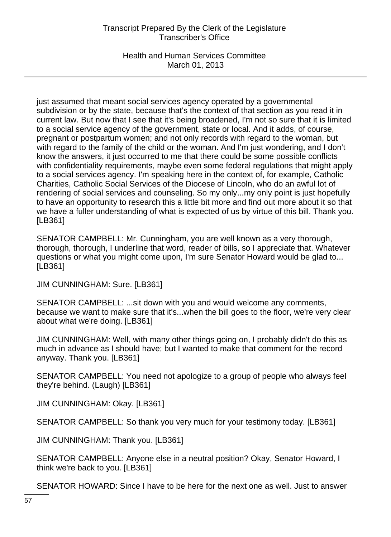Health and Human Services Committee March 01, 2013

just assumed that meant social services agency operated by a governmental subdivision or by the state, because that's the context of that section as you read it in current law. But now that I see that it's being broadened, I'm not so sure that it is limited to a social service agency of the government, state or local. And it adds, of course, pregnant or postpartum women; and not only records with regard to the woman, but with regard to the family of the child or the woman. And I'm just wondering, and I don't know the answers, it just occurred to me that there could be some possible conflicts with confidentiality requirements, maybe even some federal regulations that might apply to a social services agency. I'm speaking here in the context of, for example, Catholic Charities, Catholic Social Services of the Diocese of Lincoln, who do an awful lot of rendering of social services and counseling. So my only...my only point is just hopefully to have an opportunity to research this a little bit more and find out more about it so that we have a fuller understanding of what is expected of us by virtue of this bill. Thank you. [LB361]

SENATOR CAMPBELL: Mr. Cunningham, you are well known as a very thorough, thorough, thorough, I underline that word, reader of bills, so I appreciate that. Whatever questions or what you might come upon, I'm sure Senator Howard would be glad to... [LB361]

JIM CUNNINGHAM: Sure. [LB361]

SENATOR CAMPBELL: ...sit down with you and would welcome any comments, because we want to make sure that it's...when the bill goes to the floor, we're very clear about what we're doing. [LB361]

JIM CUNNINGHAM: Well, with many other things going on, I probably didn't do this as much in advance as I should have; but I wanted to make that comment for the record anyway. Thank you. [LB361]

SENATOR CAMPBELL: You need not apologize to a group of people who always feel they're behind. (Laugh) [LB361]

JIM CUNNINGHAM: Okay. [LB361]

SENATOR CAMPBELL: So thank you very much for your testimony today. [LB361]

JIM CUNNINGHAM: Thank you. [LB361]

SENATOR CAMPBELL: Anyone else in a neutral position? Okay, Senator Howard, I think we're back to you. [LB361]

SENATOR HOWARD: Since I have to be here for the next one as well. Just to answer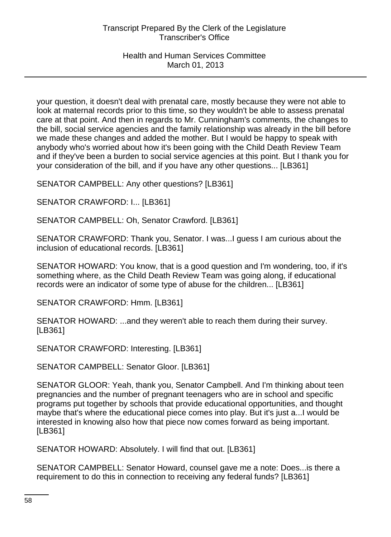your question, it doesn't deal with prenatal care, mostly because they were not able to look at maternal records prior to this time, so they wouldn't be able to assess prenatal care at that point. And then in regards to Mr. Cunningham's comments, the changes to the bill, social service agencies and the family relationship was already in the bill before we made these changes and added the mother. But I would be happy to speak with anybody who's worried about how it's been going with the Child Death Review Team and if they've been a burden to social service agencies at this point. But I thank you for your consideration of the bill, and if you have any other questions... [LB361]

SENATOR CAMPBELL: Any other questions? [LB361]

SENATOR CRAWFORD: I... [LB361]

SENATOR CAMPBELL: Oh, Senator Crawford. [LB361]

SENATOR CRAWFORD: Thank you, Senator. I was...I guess I am curious about the inclusion of educational records. [LB361]

SENATOR HOWARD: You know, that is a good question and I'm wondering, too, if it's something where, as the Child Death Review Team was going along, if educational records were an indicator of some type of abuse for the children... [LB361]

SENATOR CRAWFORD: Hmm. [LB361]

SENATOR HOWARD: ...and they weren't able to reach them during their survey. [LB361]

SENATOR CRAWFORD: Interesting. [LB361]

SENATOR CAMPBELL: Senator Gloor. [LB361]

SENATOR GLOOR: Yeah, thank you, Senator Campbell. And I'm thinking about teen pregnancies and the number of pregnant teenagers who are in school and specific programs put together by schools that provide educational opportunities, and thought maybe that's where the educational piece comes into play. But it's just a...I would be interested in knowing also how that piece now comes forward as being important. [LB361]

SENATOR HOWARD: Absolutely. I will find that out. [LB361]

SENATOR CAMPBELL: Senator Howard, counsel gave me a note: Does...is there a requirement to do this in connection to receiving any federal funds? [LB361]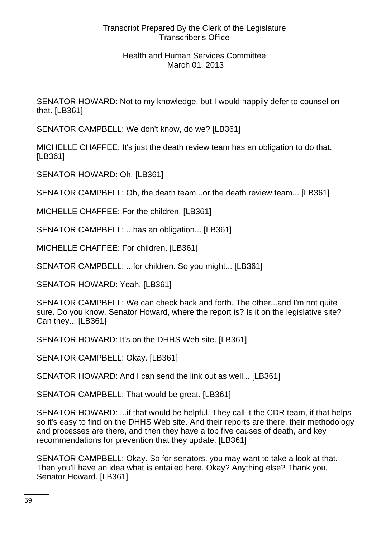SENATOR HOWARD: Not to my knowledge, but I would happily defer to counsel on that. [LB361]

SENATOR CAMPBELL: We don't know, do we? [LB361]

MICHELLE CHAFFEE: It's just the death review team has an obligation to do that. [LB361]

SENATOR HOWARD: Oh. [LB361]

SENATOR CAMPBELL: Oh, the death team...or the death review team... [LB361]

MICHELLE CHAFFEE: For the children. [LB361]

SENATOR CAMPBELL: ...has an obligation... [LB361]

MICHELLE CHAFFEE: For children. [LB361]

SENATOR CAMPBELL: ...for children. So you might... [LB361]

SENATOR HOWARD: Yeah. [LB361]

SENATOR CAMPBELL: We can check back and forth. The other...and I'm not quite sure. Do you know, Senator Howard, where the report is? Is it on the legislative site? Can they... [LB361]

SENATOR HOWARD: It's on the DHHS Web site. [LB361]

SENATOR CAMPBELL: Okay. [LB361]

SENATOR HOWARD: And I can send the link out as well... [LB361]

SENATOR CAMPBELL: That would be great. [LB361]

SENATOR HOWARD: ...if that would be helpful. They call it the CDR team, if that helps so it's easy to find on the DHHS Web site. And their reports are there, their methodology and processes are there, and then they have a top five causes of death, and key recommendations for prevention that they update. [LB361]

SENATOR CAMPBELL: Okay. So for senators, you may want to take a look at that. Then you'll have an idea what is entailed here. Okay? Anything else? Thank you, Senator Howard. [LB361]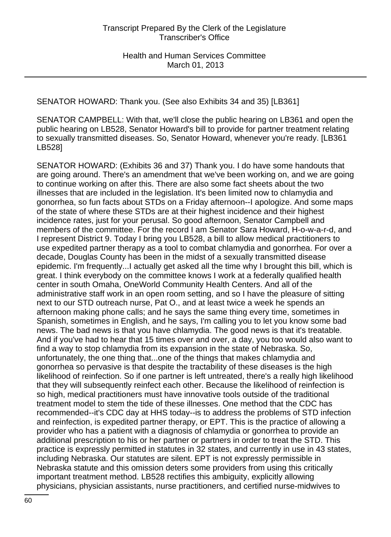SENATOR HOWARD: Thank you. (See also Exhibits 34 and 35) [LB361]

SENATOR CAMPBELL: With that, we'll close the public hearing on LB361 and open the public hearing on LB528, Senator Howard's bill to provide for partner treatment relating to sexually transmitted diseases. So, Senator Howard, whenever you're ready. [LB361 LB528]

SENATOR HOWARD: (Exhibits 36 and 37) Thank you. I do have some handouts that are going around. There's an amendment that we've been working on, and we are going to continue working on after this. There are also some fact sheets about the two illnesses that are included in the legislation. It's been limited now to chlamydia and gonorrhea, so fun facts about STDs on a Friday afternoon--I apologize. And some maps of the state of where these STDs are at their highest incidence and their highest incidence rates, just for your perusal. So good afternoon, Senator Campbell and members of the committee. For the record I am Senator Sara Howard, H-o-w-a-r-d, and I represent District 9. Today I bring you LB528, a bill to allow medical practitioners to use expedited partner therapy as a tool to combat chlamydia and gonorrhea. For over a decade, Douglas County has been in the midst of a sexually transmitted disease epidemic. I'm frequently...I actually get asked all the time why I brought this bill, which is great. I think everybody on the committee knows I work at a federally qualified health center in south Omaha, OneWorld Community Health Centers. And all of the administrative staff work in an open room setting, and so I have the pleasure of sitting next to our STD outreach nurse, Pat O., and at least twice a week he spends an afternoon making phone calls; and he says the same thing every time, sometimes in Spanish, sometimes in English, and he says, I'm calling you to let you know some bad news. The bad news is that you have chlamydia. The good news is that it's treatable. And if you've had to hear that 15 times over and over, a day, you too would also want to find a way to stop chlamydia from its expansion in the state of Nebraska. So, unfortunately, the one thing that...one of the things that makes chlamydia and gonorrhea so pervasive is that despite the tractability of these diseases is the high likelihood of reinfection. So if one partner is left untreated, there's a really high likelihood that they will subsequently reinfect each other. Because the likelihood of reinfection is so high, medical practitioners must have innovative tools outside of the traditional treatment model to stem the tide of these illnesses. One method that the CDC has recommended--it's CDC day at HHS today--is to address the problems of STD infection and reinfection, is expedited partner therapy, or EPT. This is the practice of allowing a provider who has a patient with a diagnosis of chlamydia or gonorrhea to provide an additional prescription to his or her partner or partners in order to treat the STD. This practice is expressly permitted in statutes in 32 states, and currently in use in 43 states, including Nebraska. Our statutes are silent. EPT is not expressly permissible in Nebraska statute and this omission deters some providers from using this critically important treatment method. LB528 rectifies this ambiguity, explicitly allowing physicians, physician assistants, nurse practitioners, and certified nurse-midwives to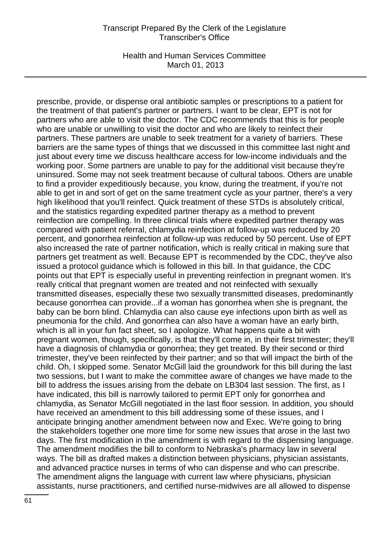Health and Human Services Committee March 01, 2013

prescribe, provide, or dispense oral antibiotic samples or prescriptions to a patient for the treatment of that patient's partner or partners. I want to be clear, EPT is not for partners who are able to visit the doctor. The CDC recommends that this is for people who are unable or unwilling to visit the doctor and who are likely to reinfect their partners. These partners are unable to seek treatment for a variety of barriers. These barriers are the same types of things that we discussed in this committee last night and just about every time we discuss healthcare access for low-income individuals and the working poor. Some partners are unable to pay for the additional visit because they're uninsured. Some may not seek treatment because of cultural taboos. Others are unable to find a provider expeditiously because, you know, during the treatment, if you're not able to get in and sort of get on the same treatment cycle as your partner, there's a very high likelihood that you'll reinfect. Quick treatment of these STDs is absolutely critical, and the statistics regarding expedited partner therapy as a method to prevent reinfection are compelling. In three clinical trials where expedited partner therapy was compared with patient referral, chlamydia reinfection at follow-up was reduced by 20 percent, and gonorrhea reinfection at follow-up was reduced by 50 percent. Use of EPT also increased the rate of partner notification, which is really critical in making sure that partners get treatment as well. Because EPT is recommended by the CDC, they've also issued a protocol guidance which is followed in this bill. In that guidance, the CDC points out that EPT is especially useful in preventing reinfection in pregnant women. It's really critical that pregnant women are treated and not reinfected with sexually transmitted diseases, especially these two sexually transmitted diseases, predominantly because gonorrhea can provide...if a woman has gonorrhea when she is pregnant, the baby can be born blind. Chlamydia can also cause eye infections upon birth as well as pneumonia for the child. And gonorrhea can also have a woman have an early birth, which is all in your fun fact sheet, so I apologize. What happens quite a bit with pregnant women, though, specifically, is that they'll come in, in their first trimester; they'll have a diagnosis of chlamydia or gonorrhea; they get treated. By their second or third trimester, they've been reinfected by their partner; and so that will impact the birth of the child. Oh, I skipped some. Senator McGill laid the groundwork for this bill during the last two sessions, but I want to make the committee aware of changes we have made to the bill to address the issues arising from the debate on LB304 last session. The first, as I have indicated, this bill is narrowly tailored to permit EPT only for gonorrhea and chlamydia, as Senator McGill negotiated in the last floor session. In addition, you should have received an amendment to this bill addressing some of these issues, and I anticipate bringing another amendment between now and Exec. We're going to bring the stakeholders together one more time for some new issues that arose in the last two days. The first modification in the amendment is with regard to the dispensing language. The amendment modifies the bill to conform to Nebraska's pharmacy law in several ways. The bill as drafted makes a distinction between physicians, physician assistants, and advanced practice nurses in terms of who can dispense and who can prescribe. The amendment aligns the language with current law where physicians, physician assistants, nurse practitioners, and certified nurse-midwives are all allowed to dispense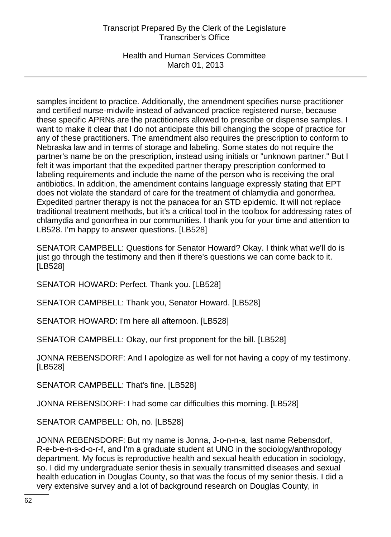Health and Human Services Committee March 01, 2013

samples incident to practice. Additionally, the amendment specifies nurse practitioner and certified nurse-midwife instead of advanced practice registered nurse, because these specific APRNs are the practitioners allowed to prescribe or dispense samples. I want to make it clear that I do not anticipate this bill changing the scope of practice for any of these practitioners. The amendment also requires the prescription to conform to Nebraska law and in terms of storage and labeling. Some states do not require the partner's name be on the prescription, instead using initials or "unknown partner." But I felt it was important that the expedited partner therapy prescription conformed to labeling requirements and include the name of the person who is receiving the oral antibiotics. In addition, the amendment contains language expressly stating that EPT does not violate the standard of care for the treatment of chlamydia and gonorrhea. Expedited partner therapy is not the panacea for an STD epidemic. It will not replace traditional treatment methods, but it's a critical tool in the toolbox for addressing rates of chlamydia and gonorrhea in our communities. I thank you for your time and attention to LB528. I'm happy to answer questions. [LB528]

SENATOR CAMPBELL: Questions for Senator Howard? Okay. I think what we'll do is just go through the testimony and then if there's questions we can come back to it. [LB528]

SENATOR HOWARD: Perfect. Thank you. [LB528]

SENATOR CAMPBELL: Thank you, Senator Howard. [LB528]

SENATOR HOWARD: I'm here all afternoon. [LB528]

SENATOR CAMPBELL: Okay, our first proponent for the bill. [LB528]

JONNA REBENSDORF: And I apologize as well for not having a copy of my testimony. [LB528]

SENATOR CAMPBELL: That's fine. [LB528]

JONNA REBENSDORF: I had some car difficulties this morning. [LB528]

SENATOR CAMPBELL: Oh, no. [LB528]

JONNA REBENSDORF: But my name is Jonna, J-o-n-n-a, last name Rebensdorf, R-e-b-e-n-s-d-o-r-f, and I'm a graduate student at UNO in the sociology/anthropology department. My focus is reproductive health and sexual health education in sociology, so. I did my undergraduate senior thesis in sexually transmitted diseases and sexual health education in Douglas County, so that was the focus of my senior thesis. I did a very extensive survey and a lot of background research on Douglas County, in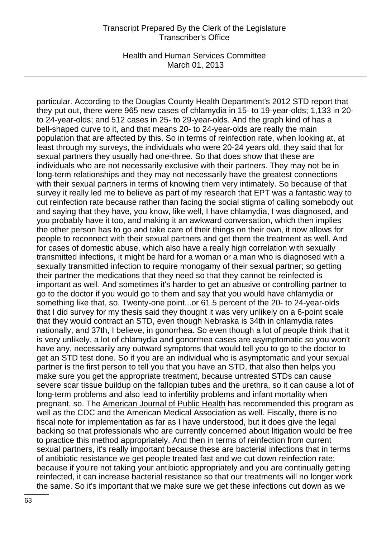Health and Human Services Committee March 01, 2013

particular. According to the Douglas County Health Department's 2012 STD report that they put out, there were 965 new cases of chlamydia in 15- to 19-year-olds; 1,133 in 20 to 24-year-olds; and 512 cases in 25- to 29-year-olds. And the graph kind of has a bell-shaped curve to it, and that means 20- to 24-year-olds are really the main population that are affected by this. So in terms of reinfection rate, when looking at, at least through my surveys, the individuals who were 20-24 years old, they said that for sexual partners they usually had one-three. So that does show that these are individuals who are not necessarily exclusive with their partners. They may not be in long-term relationships and they may not necessarily have the greatest connections with their sexual partners in terms of knowing them very intimately. So because of that survey it really led me to believe as part of my research that EPT was a fantastic way to cut reinfection rate because rather than facing the social stigma of calling somebody out and saying that they have, you know, like well, I have chlamydia, I was diagnosed, and you probably have it too, and making it an awkward conversation, which then implies the other person has to go and take care of their things on their own, it now allows for people to reconnect with their sexual partners and get them the treatment as well. And for cases of domestic abuse, which also have a really high correlation with sexually transmitted infections, it might be hard for a woman or a man who is diagnosed with a sexually transmitted infection to require monogamy of their sexual partner; so getting their partner the medications that they need so that they cannot be reinfected is important as well. And sometimes it's harder to get an abusive or controlling partner to go to the doctor if you would go to them and say that you would have chlamydia or something like that, so. Twenty-one point...or 61.5 percent of the 20- to 24-year-olds that I did survey for my thesis said they thought it was very unlikely on a 6-point scale that they would contract an STD, even though Nebraska is 34th in chlamydia rates nationally, and 37th, I believe, in gonorrhea. So even though a lot of people think that it is very unlikely, a lot of chlamydia and gonorrhea cases are asymptomatic so you won't have any, necessarily any outward symptoms that would tell you to go to the doctor to get an STD test done. So if you are an individual who is asymptomatic and your sexual partner is the first person to tell you that you have an STD, that also then helps you make sure you get the appropriate treatment, because untreated STDs can cause severe scar tissue buildup on the fallopian tubes and the urethra, so it can cause a lot of long-term problems and also lead to infertility problems and infant mortality when pregnant, so. The American Journal of Public Health has recommended this program as well as the CDC and the American Medical Association as well. Fiscally, there is no fiscal note for implementation as far as I have understood, but it does give the legal backing so that professionals who are currently concerned about litigation would be free to practice this method appropriately. And then in terms of reinfection from current sexual partners, it's really important because these are bacterial infections that in terms of antibiotic resistance we get people treated fast and we cut down reinfection rate; because if you're not taking your antibiotic appropriately and you are continually getting reinfected, it can increase bacterial resistance so that our treatments will no longer work the same. So it's important that we make sure we get these infections cut down as we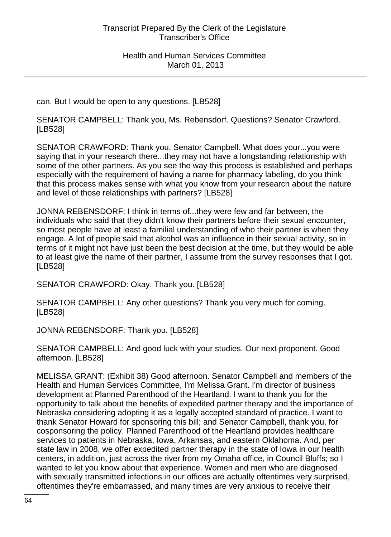can. But I would be open to any questions. [LB528]

SENATOR CAMPBELL: Thank you, Ms. Rebensdorf. Questions? Senator Crawford. [LB528]

SENATOR CRAWFORD: Thank you, Senator Campbell. What does your...you were saying that in your research there...they may not have a longstanding relationship with some of the other partners. As you see the way this process is established and perhaps especially with the requirement of having a name for pharmacy labeling, do you think that this process makes sense with what you know from your research about the nature and level of those relationships with partners? [LB528]

JONNA REBENSDORF: I think in terms of...they were few and far between, the individuals who said that they didn't know their partners before their sexual encounter, so most people have at least a familial understanding of who their partner is when they engage. A lot of people said that alcohol was an influence in their sexual activity, so in terms of it might not have just been the best decision at the time, but they would be able to at least give the name of their partner, I assume from the survey responses that I got. [LB528]

SENATOR CRAWFORD: Okay. Thank you. [LB528]

SENATOR CAMPBELL: Any other questions? Thank you very much for coming. [LB528]

JONNA REBENSDORF: Thank you. [LB528]

SENATOR CAMPBELL: And good luck with your studies. Our next proponent. Good afternoon. [LB528]

MELISSA GRANT: (Exhibit 38) Good afternoon. Senator Campbell and members of the Health and Human Services Committee, I'm Melissa Grant. I'm director of business development at Planned Parenthood of the Heartland. I want to thank you for the opportunity to talk about the benefits of expedited partner therapy and the importance of Nebraska considering adopting it as a legally accepted standard of practice. I want to thank Senator Howard for sponsoring this bill; and Senator Campbell, thank you, for cosponsoring the policy. Planned Parenthood of the Heartland provides healthcare services to patients in Nebraska, Iowa, Arkansas, and eastern Oklahoma. And, per state law in 2008, we offer expedited partner therapy in the state of Iowa in our health centers, in addition, just across the river from my Omaha office, in Council Bluffs; so I wanted to let you know about that experience. Women and men who are diagnosed with sexually transmitted infections in our offices are actually oftentimes very surprised, oftentimes they're embarrassed, and many times are very anxious to receive their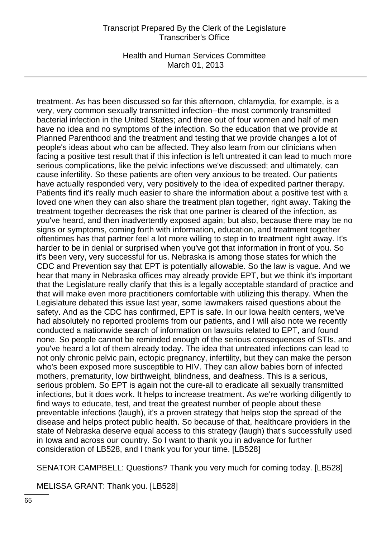Health and Human Services Committee March 01, 2013

treatment. As has been discussed so far this afternoon, chlamydia, for example, is a very, very common sexually transmitted infection--the most commonly transmitted bacterial infection in the United States; and three out of four women and half of men have no idea and no symptoms of the infection. So the education that we provide at Planned Parenthood and the treatment and testing that we provide changes a lot of people's ideas about who can be affected. They also learn from our clinicians when facing a positive test result that if this infection is left untreated it can lead to much more serious complications, like the pelvic infections we've discussed; and ultimately, can cause infertility. So these patients are often very anxious to be treated. Our patients have actually responded very, very positively to the idea of expedited partner therapy. Patients find it's really much easier to share the information about a positive test with a loved one when they can also share the treatment plan together, right away. Taking the treatment together decreases the risk that one partner is cleared of the infection, as you've heard, and then inadvertently exposed again; but also, because there may be no signs or symptoms, coming forth with information, education, and treatment together oftentimes has that partner feel a lot more willing to step in to treatment right away. It's harder to be in denial or surprised when you've got that information in front of you. So it's been very, very successful for us. Nebraska is among those states for which the CDC and Prevention say that EPT is potentially allowable. So the law is vague. And we hear that many in Nebraska offices may already provide EPT, but we think it's important that the Legislature really clarify that this is a legally acceptable standard of practice and that will make even more practitioners comfortable with utilizing this therapy. When the Legislature debated this issue last year, some lawmakers raised questions about the safety. And as the CDC has confirmed, EPT is safe. In our Iowa health centers, we've had absolutely no reported problems from our patients, and I will also note we recently conducted a nationwide search of information on lawsuits related to EPT, and found none. So people cannot be reminded enough of the serious consequences of STIs, and you've heard a lot of them already today. The idea that untreated infections can lead to not only chronic pelvic pain, ectopic pregnancy, infertility, but they can make the person who's been exposed more susceptible to HIV. They can allow babies born of infected mothers, prematurity, low birthweight, blindness, and deafness. This is a serious, serious problem. So EPT is again not the cure-all to eradicate all sexually transmitted infections, but it does work. It helps to increase treatment. As we're working diligently to find ways to educate, test, and treat the greatest number of people about these preventable infections (laugh), it's a proven strategy that helps stop the spread of the disease and helps protect public health. So because of that, healthcare providers in the state of Nebraska deserve equal access to this strategy (laugh) that's successfully used in Iowa and across our country. So I want to thank you in advance for further consideration of LB528, and I thank you for your time. [LB528]

SENATOR CAMPBELL: Questions? Thank you very much for coming today. [LB528]

MELISSA GRANT: Thank you. [LB528]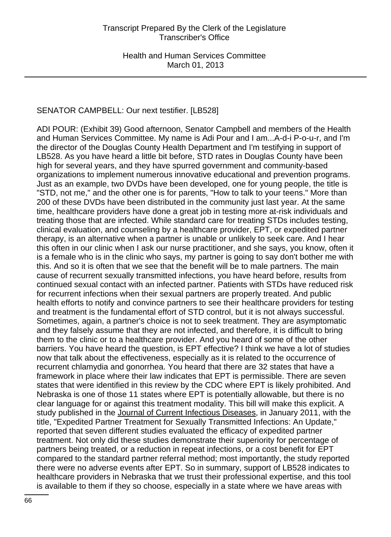# SENATOR CAMPBELL: Our next testifier. [LB528]

ADI POUR: (Exhibit 39) Good afternoon, Senator Campbell and members of the Health and Human Services Committee. My name is Adi Pour and I am...A-d-i P-o-u-r, and I'm the director of the Douglas County Health Department and I'm testifying in support of LB528. As you have heard a little bit before, STD rates in Douglas County have been high for several years, and they have spurred government and community-based organizations to implement numerous innovative educational and prevention programs. Just as an example, two DVDs have been developed, one for young people, the title is "STD, not me," and the other one is for parents, "How to talk to your teens." More than 200 of these DVDs have been distributed in the community just last year. At the same time, healthcare providers have done a great job in testing more at-risk individuals and treating those that are infected. While standard care for treating STDs includes testing, clinical evaluation, and counseling by a healthcare provider, EPT, or expedited partner therapy, is an alternative when a partner is unable or unlikely to seek care. And I hear this often in our clinic when I ask our nurse practitioner, and she says, you know, often it is a female who is in the clinic who says, my partner is going to say don't bother me with this. And so it is often that we see that the benefit will be to male partners. The main cause of recurrent sexually transmitted infections, you have heard before, results from continued sexual contact with an infected partner. Patients with STDs have reduced risk for recurrent infections when their sexual partners are properly treated. And public health efforts to notify and convince partners to see their healthcare providers for testing and treatment is the fundamental effort of STD control, but it is not always successful. Sometimes, again, a partner's choice is not to seek treatment. They are asymptomatic and they falsely assume that they are not infected, and therefore, it is difficult to bring them to the clinic or to a healthcare provider. And you heard of some of the other barriers. You have heard the question, is EPT effective? I think we have a lot of studies now that talk about the effectiveness, especially as it is related to the occurrence of recurrent chlamydia and gonorrhea. You heard that there are 32 states that have a framework in place where their law indicates that EPT is permissible. There are seven states that were identified in this review by the CDC where EPT is likely prohibited. And Nebraska is one of those 11 states where EPT is potentially allowable, but there is no clear language for or against this treatment modality. This bill will make this explicit. A study published in the Journal of Current Infectious Diseases, in January 2011, with the title, "Expedited Partner Treatment for Sexually Transmitted Infections: An Update," reported that seven different studies evaluated the efficacy of expedited partner treatment. Not only did these studies demonstrate their superiority for percentage of partners being treated, or a reduction in repeat infections, or a cost benefit for EPT compared to the standard partner referral method; most importantly, the study reported there were no adverse events after EPT. So in summary, support of LB528 indicates to healthcare providers in Nebraska that we trust their professional expertise, and this tool is available to them if they so choose, especially in a state where we have areas with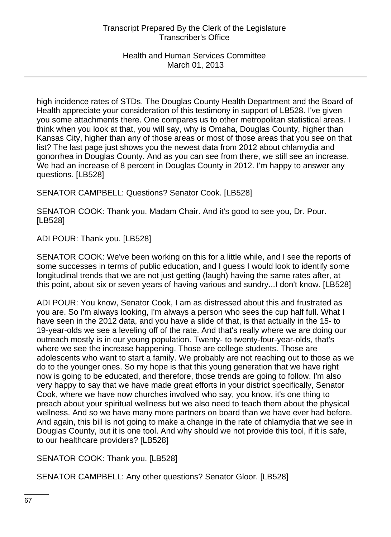high incidence rates of STDs. The Douglas County Health Department and the Board of Health appreciate your consideration of this testimony in support of LB528. I've given you some attachments there. One compares us to other metropolitan statistical areas. I think when you look at that, you will say, why is Omaha, Douglas County, higher than Kansas City, higher than any of those areas or most of those areas that you see on that list? The last page just shows you the newest data from 2012 about chlamydia and gonorrhea in Douglas County. And as you can see from there, we still see an increase. We had an increase of 8 percent in Douglas County in 2012. I'm happy to answer any questions. [LB528]

SENATOR CAMPBELL: Questions? Senator Cook. [LB528]

SENATOR COOK: Thank you, Madam Chair. And it's good to see you, Dr. Pour. [LB528]

ADI POUR: Thank you. [LB528]

SENATOR COOK: We've been working on this for a little while, and I see the reports of some successes in terms of public education, and I guess I would look to identify some longitudinal trends that we are not just getting (laugh) having the same rates after, at this point, about six or seven years of having various and sundry...I don't know. [LB528]

ADI POUR: You know, Senator Cook, I am as distressed about this and frustrated as you are. So I'm always looking, I'm always a person who sees the cup half full. What I have seen in the 2012 data, and you have a slide of that, is that actually in the 15- to 19-year-olds we see a leveling off of the rate. And that's really where we are doing our outreach mostly is in our young population. Twenty- to twenty-four-year-olds, that's where we see the increase happening. Those are college students. Those are adolescents who want to start a family. We probably are not reaching out to those as we do to the younger ones. So my hope is that this young generation that we have right now is going to be educated, and therefore, those trends are going to follow. I'm also very happy to say that we have made great efforts in your district specifically, Senator Cook, where we have now churches involved who say, you know, it's one thing to preach about your spiritual wellness but we also need to teach them about the physical wellness. And so we have many more partners on board than we have ever had before. And again, this bill is not going to make a change in the rate of chlamydia that we see in Douglas County, but it is one tool. And why should we not provide this tool, if it is safe, to our healthcare providers? [LB528]

SENATOR COOK: Thank you. [LB528]

SENATOR CAMPBELL: Any other questions? Senator Gloor. [LB528]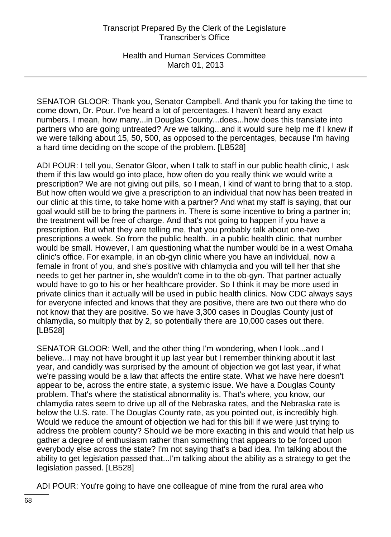Health and Human Services Committee March 01, 2013

SENATOR GLOOR: Thank you, Senator Campbell. And thank you for taking the time to come down, Dr. Pour. I've heard a lot of percentages. I haven't heard any exact numbers. I mean, how many...in Douglas County...does...how does this translate into partners who are going untreated? Are we talking...and it would sure help me if I knew if we were talking about 15, 50, 500, as opposed to the percentages, because I'm having a hard time deciding on the scope of the problem. [LB528]

ADI POUR: I tell you, Senator Gloor, when I talk to staff in our public health clinic, I ask them if this law would go into place, how often do you really think we would write a prescription? We are not giving out pills, so I mean, I kind of want to bring that to a stop. But how often would we give a prescription to an individual that now has been treated in our clinic at this time, to take home with a partner? And what my staff is saying, that our goal would still be to bring the partners in. There is some incentive to bring a partner in; the treatment will be free of charge. And that's not going to happen if you have a prescription. But what they are telling me, that you probably talk about one-two prescriptions a week. So from the public health...in a public health clinic, that number would be small. However, I am questioning what the number would be in a west Omaha clinic's office. For example, in an ob-gyn clinic where you have an individual, now a female in front of you, and she's positive with chlamydia and you will tell her that she needs to get her partner in, she wouldn't come in to the ob-gyn. That partner actually would have to go to his or her healthcare provider. So I think it may be more used in private clinics than it actually will be used in public health clinics. Now CDC always says for everyone infected and knows that they are positive, there are two out there who do not know that they are positive. So we have 3,300 cases in Douglas County just of chlamydia, so multiply that by 2, so potentially there are 10,000 cases out there. [LB528]

SENATOR GLOOR: Well, and the other thing I'm wondering, when I look...and I believe...I may not have brought it up last year but I remember thinking about it last year, and candidly was surprised by the amount of objection we got last year, if what we're passing would be a law that affects the entire state. What we have here doesn't appear to be, across the entire state, a systemic issue. We have a Douglas County problem. That's where the statistical abnormality is. That's where, you know, our chlamydia rates seem to drive up all of the Nebraska rates, and the Nebraska rate is below the U.S. rate. The Douglas County rate, as you pointed out, is incredibly high. Would we reduce the amount of objection we had for this bill if we were just trying to address the problem county? Should we be more exacting in this and would that help us gather a degree of enthusiasm rather than something that appears to be forced upon everybody else across the state? I'm not saying that's a bad idea. I'm talking about the ability to get legislation passed that...I'm talking about the ability as a strategy to get the legislation passed. [LB528]

ADI POUR: You're going to have one colleague of mine from the rural area who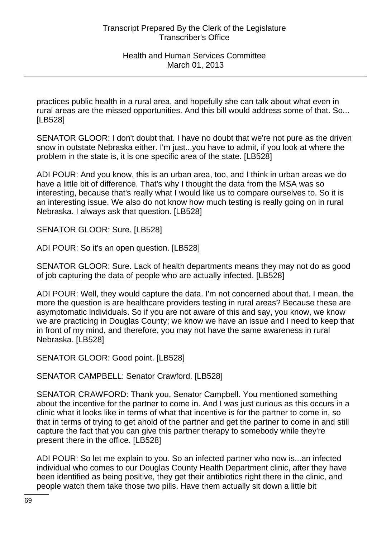practices public health in a rural area, and hopefully she can talk about what even in rural areas are the missed opportunities. And this bill would address some of that. So... [LB528]

SENATOR GLOOR: I don't doubt that. I have no doubt that we're not pure as the driven snow in outstate Nebraska either. I'm just...you have to admit, if you look at where the problem in the state is, it is one specific area of the state. [LB528]

ADI POUR: And you know, this is an urban area, too, and I think in urban areas we do have a little bit of difference. That's why I thought the data from the MSA was so interesting, because that's really what I would like us to compare ourselves to. So it is an interesting issue. We also do not know how much testing is really going on in rural Nebraska. I always ask that question. [LB528]

SENATOR GLOOR: Sure. [LB528]

ADI POUR: So it's an open question. [LB528]

SENATOR GLOOR: Sure. Lack of health departments means they may not do as good of job capturing the data of people who are actually infected. [LB528]

ADI POUR: Well, they would capture the data. I'm not concerned about that. I mean, the more the question is are healthcare providers testing in rural areas? Because these are asymptomatic individuals. So if you are not aware of this and say, you know, we know we are practicing in Douglas County; we know we have an issue and I need to keep that in front of my mind, and therefore, you may not have the same awareness in rural Nebraska. [LB528]

SENATOR GLOOR: Good point. [LB528]

SENATOR CAMPBELL: Senator Crawford. [LB528]

SENATOR CRAWFORD: Thank you, Senator Campbell. You mentioned something about the incentive for the partner to come in. And I was just curious as this occurs in a clinic what it looks like in terms of what that incentive is for the partner to come in, so that in terms of trying to get ahold of the partner and get the partner to come in and still capture the fact that you can give this partner therapy to somebody while they're present there in the office. [LB528]

ADI POUR: So let me explain to you. So an infected partner who now is...an infected individual who comes to our Douglas County Health Department clinic, after they have been identified as being positive, they get their antibiotics right there in the clinic, and people watch them take those two pills. Have them actually sit down a little bit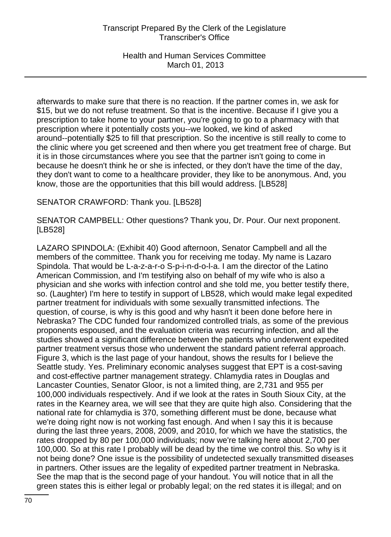Health and Human Services Committee March 01, 2013

afterwards to make sure that there is no reaction. If the partner comes in, we ask for \$15, but we do not refuse treatment. So that is the incentive. Because if I give you a prescription to take home to your partner, you're going to go to a pharmacy with that prescription where it potentially costs you--we looked, we kind of asked around--potentially \$25 to fill that prescription. So the incentive is still really to come to the clinic where you get screened and then where you get treatment free of charge. But it is in those circumstances where you see that the partner isn't going to come in because he doesn't think he or she is infected, or they don't have the time of the day, they don't want to come to a healthcare provider, they like to be anonymous. And, you know, those are the opportunities that this bill would address. [LB528]

SENATOR CRAWFORD: Thank you. [LB528]

SENATOR CAMPBELL: Other questions? Thank you, Dr. Pour. Our next proponent. [LB528]

LAZARO SPINDOLA: (Exhibit 40) Good afternoon, Senator Campbell and all the members of the committee. Thank you for receiving me today. My name is Lazaro Spindola. That would be L-a-z-a-r-o S-p-i-n-d-o-l-a. I am the director of the Latino American Commission, and I'm testifying also on behalf of my wife who is also a physician and she works with infection control and she told me, you better testify there, so. (Laughter) I'm here to testify in support of LB528, which would make legal expedited partner treatment for individuals with some sexually transmitted infections. The question, of course, is why is this good and why hasn't it been done before here in Nebraska? The CDC funded four randomized controlled trials, as some of the previous proponents espoused, and the evaluation criteria was recurring infection, and all the studies showed a significant difference between the patients who underwent expedited partner treatment versus those who underwent the standard patient referral approach. Figure 3, which is the last page of your handout, shows the results for I believe the Seattle study. Yes. Preliminary economic analyses suggest that EPT is a cost-saving and cost-effective partner management strategy. Chlamydia rates in Douglas and Lancaster Counties, Senator Gloor, is not a limited thing, are 2,731 and 955 per 100,000 individuals respectively. And if we look at the rates in South Sioux City, at the rates in the Kearney area, we will see that they are quite high also. Considering that the national rate for chlamydia is 370, something different must be done, because what we're doing right now is not working fast enough. And when I say this it is because during the last three years, 2008, 2009, and 2010, for which we have the statistics, the rates dropped by 80 per 100,000 individuals; now we're talking here about 2,700 per 100,000. So at this rate I probably will be dead by the time we control this. So why is it not being done? One issue is the possibility of undetected sexually transmitted diseases in partners. Other issues are the legality of expedited partner treatment in Nebraska. See the map that is the second page of your handout. You will notice that in all the green states this is either legal or probably legal; on the red states it is illegal; and on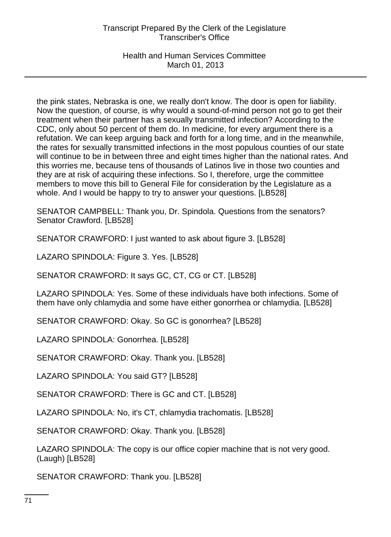Health and Human Services Committee March 01, 2013

the pink states, Nebraska is one, we really don't know. The door is open for liability. Now the question, of course, is why would a sound-of-mind person not go to get their treatment when their partner has a sexually transmitted infection? According to the CDC, only about 50 percent of them do. In medicine, for every argument there is a refutation. We can keep arguing back and forth for a long time, and in the meanwhile, the rates for sexually transmitted infections in the most populous counties of our state will continue to be in between three and eight times higher than the national rates. And this worries me, because tens of thousands of Latinos live in those two counties and they are at risk of acquiring these infections. So I, therefore, urge the committee members to move this bill to General File for consideration by the Legislature as a whole. And I would be happy to try to answer your questions. [LB528]

SENATOR CAMPBELL: Thank you, Dr. Spindola. Questions from the senators? Senator Crawford. [LB528]

SENATOR CRAWFORD: I just wanted to ask about figure 3. [LB528]

LAZARO SPINDOLA: Figure 3. Yes. [LB528]

SENATOR CRAWFORD: It says GC, CT, CG or CT. [LB528]

LAZARO SPINDOLA: Yes. Some of these individuals have both infections. Some of them have only chlamydia and some have either gonorrhea or chlamydia. [LB528]

SENATOR CRAWFORD: Okay. So GC is gonorrhea? [LB528]

LAZARO SPINDOLA: Gonorrhea. [LB528]

SENATOR CRAWFORD: Okay. Thank you. [LB528]

LAZARO SPINDOLA: You said GT? [LB528]

SENATOR CRAWFORD: There is GC and CT. [LB528]

LAZARO SPINDOLA: No, it's CT, chlamydia trachomatis. [LB528]

SENATOR CRAWFORD: Okay. Thank you. [LB528]

LAZARO SPINDOLA: The copy is our office copier machine that is not very good. (Laugh) [LB528]

SENATOR CRAWFORD: Thank you. [LB528]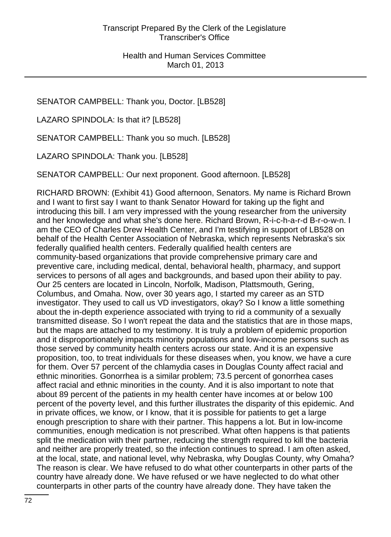SENATOR CAMPBELL: Thank you, Doctor. [LB528]

LAZARO SPINDOLA: Is that it? [LB528]

SENATOR CAMPBELL: Thank you so much. [LB528]

LAZARO SPINDOLA: Thank you. [LB528]

SENATOR CAMPBELL: Our next proponent. Good afternoon. [LB528]

RICHARD BROWN: (Exhibit 41) Good afternoon, Senators. My name is Richard Brown and I want to first say I want to thank Senator Howard for taking up the fight and introducing this bill. I am very impressed with the young researcher from the university and her knowledge and what she's done here. Richard Brown, R-i-c-h-a-r-d B-r-o-w-n. I am the CEO of Charles Drew Health Center, and I'm testifying in support of LB528 on behalf of the Health Center Association of Nebraska, which represents Nebraska's six federally qualified health centers. Federally qualified health centers are community-based organizations that provide comprehensive primary care and preventive care, including medical, dental, behavioral health, pharmacy, and support services to persons of all ages and backgrounds, and based upon their ability to pay. Our 25 centers are located in Lincoln, Norfolk, Madison, Plattsmouth, Gering, Columbus, and Omaha. Now, over 30 years ago, I started my career as an STD investigator. They used to call us VD investigators, okay? So I know a little something about the in-depth experience associated with trying to rid a community of a sexually transmitted disease. So I won't repeat the data and the statistics that are in those maps, but the maps are attached to my testimony. It is truly a problem of epidemic proportion and it disproportionately impacts minority populations and low-income persons such as those served by community health centers across our state. And it is an expensive proposition, too, to treat individuals for these diseases when, you know, we have a cure for them. Over 57 percent of the chlamydia cases in Douglas County affect racial and ethnic minorities. Gonorrhea is a similar problem; 73.5 percent of gonorrhea cases affect racial and ethnic minorities in the county. And it is also important to note that about 89 percent of the patients in my health center have incomes at or below 100 percent of the poverty level, and this further illustrates the disparity of this epidemic. And in private offices, we know, or I know, that it is possible for patients to get a large enough prescription to share with their partner. This happens a lot. But in low-income communities, enough medication is not prescribed. What often happens is that patients split the medication with their partner, reducing the strength required to kill the bacteria and neither are properly treated, so the infection continues to spread. I am often asked, at the local, state, and national level, why Nebraska, why Douglas County, why Omaha? The reason is clear. We have refused to do what other counterparts in other parts of the country have already done. We have refused or we have neglected to do what other counterparts in other parts of the country have already done. They have taken the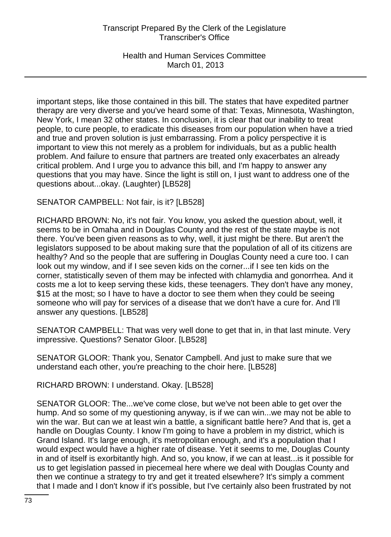## Transcript Prepared By the Clerk of the Legislature Transcriber's Office

Health and Human Services Committee March 01, 2013

important steps, like those contained in this bill. The states that have expedited partner therapy are very diverse and you've heard some of that: Texas, Minnesota, Washington, New York, I mean 32 other states. In conclusion, it is clear that our inability to treat people, to cure people, to eradicate this diseases from our population when have a tried and true and proven solution is just embarrassing. From a policy perspective it is important to view this not merely as a problem for individuals, but as a public health problem. And failure to ensure that partners are treated only exacerbates an already critical problem. And I urge you to advance this bill, and I'm happy to answer any questions that you may have. Since the light is still on, I just want to address one of the questions about...okay. (Laughter) [LB528]

## SENATOR CAMPBELL: Not fair, is it? [LB528]

RICHARD BROWN: No, it's not fair. You know, you asked the question about, well, it seems to be in Omaha and in Douglas County and the rest of the state maybe is not there. You've been given reasons as to why, well, it just might be there. But aren't the legislators supposed to be about making sure that the population of all of its citizens are healthy? And so the people that are suffering in Douglas County need a cure too. I can look out my window, and if I see seven kids on the corner...if I see ten kids on the corner, statistically seven of them may be infected with chlamydia and gonorrhea. And it costs me a lot to keep serving these kids, these teenagers. They don't have any money, \$15 at the most; so I have to have a doctor to see them when they could be seeing someone who will pay for services of a disease that we don't have a cure for. And I'll answer any questions. [LB528]

SENATOR CAMPBELL: That was very well done to get that in, in that last minute. Very impressive. Questions? Senator Gloor. [LB528]

SENATOR GLOOR: Thank you, Senator Campbell. And just to make sure that we understand each other, you're preaching to the choir here. [LB528]

RICHARD BROWN: I understand. Okay. [LB528]

SENATOR GLOOR: The...we've come close, but we've not been able to get over the hump. And so some of my questioning anyway, is if we can win...we may not be able to win the war. But can we at least win a battle, a significant battle here? And that is, get a handle on Douglas County. I know I'm going to have a problem in my district, which is Grand Island. It's large enough, it's metropolitan enough, and it's a population that I would expect would have a higher rate of disease. Yet it seems to me, Douglas County in and of itself is exorbitantly high. And so, you know, if we can at least...is it possible for us to get legislation passed in piecemeal here where we deal with Douglas County and then we continue a strategy to try and get it treated elsewhere? It's simply a comment that I made and I don't know if it's possible, but I've certainly also been frustrated by not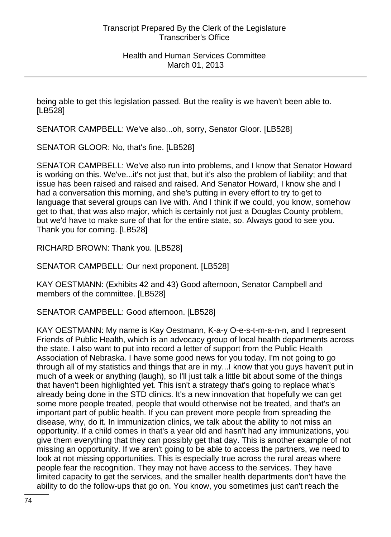being able to get this legislation passed. But the reality is we haven't been able to. [LB528]

SENATOR CAMPBELL: We've also...oh, sorry, Senator Gloor. [LB528]

SENATOR GLOOR: No, that's fine. [LB528]

SENATOR CAMPBELL: We've also run into problems, and I know that Senator Howard is working on this. We've...it's not just that, but it's also the problem of liability; and that issue has been raised and raised and raised. And Senator Howard, I know she and I had a conversation this morning, and she's putting in every effort to try to get to language that several groups can live with. And I think if we could, you know, somehow get to that, that was also major, which is certainly not just a Douglas County problem, but we'd have to make sure of that for the entire state, so. Always good to see you. Thank you for coming. [LB528]

RICHARD BROWN: Thank you. [LB528]

SENATOR CAMPBELL: Our next proponent. [LB528]

KAY OESTMANN: (Exhibits 42 and 43) Good afternoon, Senator Campbell and members of the committee. [LB528]

SENATOR CAMPBELL: Good afternoon. [LB528]

KAY OESTMANN: My name is Kay Oestmann, K-a-y O-e-s-t-m-a-n-n, and I represent Friends of Public Health, which is an advocacy group of local health departments across the state. I also want to put into record a letter of support from the Public Health Association of Nebraska. I have some good news for you today. I'm not going to go through all of my statistics and things that are in my...I know that you guys haven't put in much of a week or anything (laugh), so I'll just talk a little bit about some of the things that haven't been highlighted yet. This isn't a strategy that's going to replace what's already being done in the STD clinics. It's a new innovation that hopefully we can get some more people treated, people that would otherwise not be treated, and that's an important part of public health. If you can prevent more people from spreading the disease, why, do it. In immunization clinics, we talk about the ability to not miss an opportunity. If a child comes in that's a year old and hasn't had any immunizations, you give them everything that they can possibly get that day. This is another example of not missing an opportunity. If we aren't going to be able to access the partners, we need to look at not missing opportunities. This is especially true across the rural areas where people fear the recognition. They may not have access to the services. They have limited capacity to get the services, and the smaller health departments don't have the ability to do the follow-ups that go on. You know, you sometimes just can't reach the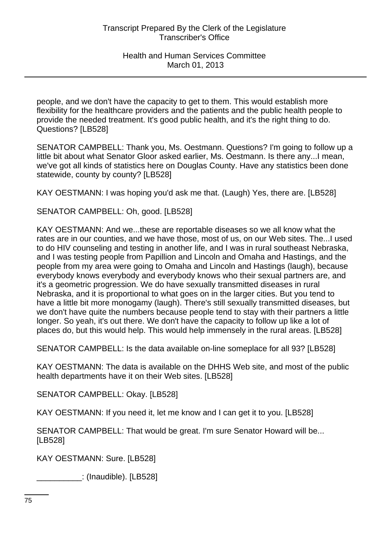people, and we don't have the capacity to get to them. This would establish more flexibility for the healthcare providers and the patients and the public health people to provide the needed treatment. It's good public health, and it's the right thing to do. Questions? [LB528]

SENATOR CAMPBELL: Thank you, Ms. Oestmann. Questions? I'm going to follow up a little bit about what Senator Gloor asked earlier, Ms. Oestmann. Is there any...I mean, we've got all kinds of statistics here on Douglas County. Have any statistics been done statewide, county by county? [LB528]

KAY OESTMANN: I was hoping you'd ask me that. (Laugh) Yes, there are. [LB528]

SENATOR CAMPBELL: Oh, good. [LB528]

KAY OESTMANN: And we...these are reportable diseases so we all know what the rates are in our counties, and we have those, most of us, on our Web sites. The...I used to do HIV counseling and testing in another life, and I was in rural southeast Nebraska, and I was testing people from Papillion and Lincoln and Omaha and Hastings, and the people from my area were going to Omaha and Lincoln and Hastings (laugh), because everybody knows everybody and everybody knows who their sexual partners are, and it's a geometric progression. We do have sexually transmitted diseases in rural Nebraska, and it is proportional to what goes on in the larger cities. But you tend to have a little bit more monogamy (laugh). There's still sexually transmitted diseases, but we don't have quite the numbers because people tend to stay with their partners a little longer. So yeah, it's out there. We don't have the capacity to follow up like a lot of places do, but this would help. This would help immensely in the rural areas. [LB528]

SENATOR CAMPBELL: Is the data available on-line someplace for all 93? [LB528]

KAY OESTMANN: The data is available on the DHHS Web site, and most of the public health departments have it on their Web sites. [LB528]

SENATOR CAMPBELL: Okay. [LB528]

KAY OESTMANN: If you need it, let me know and I can get it to you. [LB528]

SENATOR CAMPBELL: That would be great. I'm sure Senator Howard will be... [LB528]

KAY OESTMANN: Sure. [LB528]

\_\_\_\_\_\_\_\_\_\_: (Inaudible). [LB528]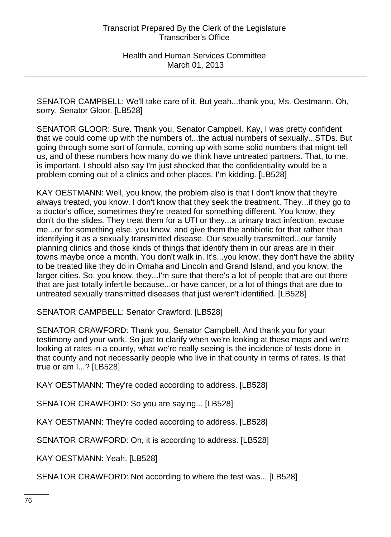SENATOR CAMPBELL: We'll take care of it. But yeah...thank you, Ms. Oestmann. Oh, sorry. Senator Gloor. [LB528]

SENATOR GLOOR: Sure. Thank you, Senator Campbell. Kay, I was pretty confident that we could come up with the numbers of...the actual numbers of sexually...STDs. But going through some sort of formula, coming up with some solid numbers that might tell us, and of these numbers how many do we think have untreated partners. That, to me, is important. I should also say I'm just shocked that the confidentiality would be a problem coming out of a clinics and other places. I'm kidding. [LB528]

KAY OESTMANN: Well, you know, the problem also is that I don't know that they're always treated, you know. I don't know that they seek the treatment. They...if they go to a doctor's office, sometimes they're treated for something different. You know, they don't do the slides. They treat them for a UTI or they...a urinary tract infection, excuse me...or for something else, you know, and give them the antibiotic for that rather than identifying it as a sexually transmitted disease. Our sexually transmitted...our family planning clinics and those kinds of things that identify them in our areas are in their towns maybe once a month. You don't walk in. It's...you know, they don't have the ability to be treated like they do in Omaha and Lincoln and Grand Island, and you know, the larger cities. So, you know, they...I'm sure that there's a lot of people that are out there that are just totally infertile because...or have cancer, or a lot of things that are due to untreated sexually transmitted diseases that just weren't identified. [LB528]

SENATOR CAMPBELL: Senator Crawford. [LB528]

SENATOR CRAWFORD: Thank you, Senator Campbell. And thank you for your testimony and your work. So just to clarify when we're looking at these maps and we're looking at rates in a county, what we're really seeing is the incidence of tests done in that county and not necessarily people who live in that county in terms of rates. Is that true or am I...? [LB528]

KAY OESTMANN: They're coded according to address. [LB528]

SENATOR CRAWFORD: So you are saying... [LB528]

KAY OESTMANN: They're coded according to address. [LB528]

SENATOR CRAWFORD: Oh, it is according to address. [LB528]

KAY OESTMANN: Yeah. [LB528]

SENATOR CRAWFORD: Not according to where the test was... [LB528]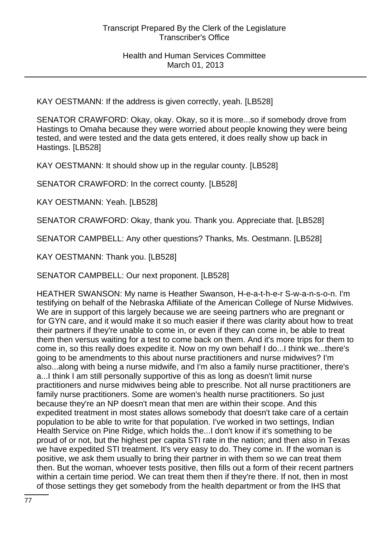KAY OESTMANN: If the address is given correctly, yeah. [LB528]

SENATOR CRAWFORD: Okay, okay. Okay, so it is more...so if somebody drove from Hastings to Omaha because they were worried about people knowing they were being tested, and were tested and the data gets entered, it does really show up back in Hastings. [LB528]

KAY OESTMANN: It should show up in the regular county. [LB528]

SENATOR CRAWFORD: In the correct county. [LB528]

KAY OESTMANN: Yeah. [LB528]

SENATOR CRAWFORD: Okay, thank you. Thank you. Appreciate that. [LB528]

SENATOR CAMPBELL: Any other questions? Thanks, Ms. Oestmann. [LB528]

KAY OESTMANN: Thank you. [LB528]

SENATOR CAMPBELL: Our next proponent. [LB528]

HEATHER SWANSON: My name is Heather Swanson, H-e-a-t-h-e-r S-w-a-n-s-o-n. I'm testifying on behalf of the Nebraska Affiliate of the American College of Nurse Midwives. We are in support of this largely because we are seeing partners who are pregnant or for GYN care, and it would make it so much easier if there was clarity about how to treat their partners if they're unable to come in, or even if they can come in, be able to treat them then versus waiting for a test to come back on them. And it's more trips for them to come in, so this really does expedite it. Now on my own behalf I do...I think we...there's going to be amendments to this about nurse practitioners and nurse midwives? I'm also...along with being a nurse midwife, and I'm also a family nurse practitioner, there's a...I think I am still personally supportive of this as long as doesn't limit nurse practitioners and nurse midwives being able to prescribe. Not all nurse practitioners are family nurse practitioners. Some are women's health nurse practitioners. So just because they're an NP doesn't mean that men are within their scope. And this expedited treatment in most states allows somebody that doesn't take care of a certain population to be able to write for that population. I've worked in two settings, Indian Health Service on Pine Ridge, which holds the...I don't know if it's something to be proud of or not, but the highest per capita STI rate in the nation; and then also in Texas we have expedited STI treatment. It's very easy to do. They come in. If the woman is positive, we ask them usually to bring their partner in with them so we can treat them then. But the woman, whoever tests positive, then fills out a form of their recent partners within a certain time period. We can treat them then if they're there. If not, then in most of those settings they get somebody from the health department or from the IHS that